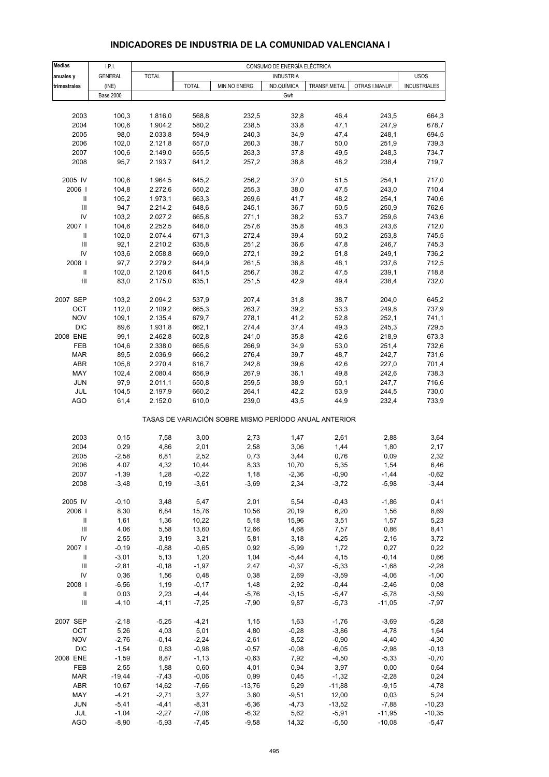| <b>Medias</b>                      | I.P.I.           | CONSUMO DE ENERGÍA ELÉCTRICA |                 |                                                       |                  |                    |                    |                     |  |  |
|------------------------------------|------------------|------------------------------|-----------------|-------------------------------------------------------|------------------|--------------------|--------------------|---------------------|--|--|
| anuales y                          | <b>GENERAL</b>   | <b>TOTAL</b>                 |                 |                                                       | <b>INDUSTRIA</b> |                    |                    | <b>USOS</b>         |  |  |
| trimestrales                       | (INE)            |                              | <b>TOTAL</b>    | MIN.NO ENERG.                                         | IND.QUÍMICA      | TRANSF.METAL       | OTRAS I.MANUF.     | <b>INDUSTRIALES</b> |  |  |
|                                    | <b>Base 2000</b> |                              |                 |                                                       | Gwh              |                    |                    |                     |  |  |
|                                    |                  |                              |                 |                                                       |                  |                    |                    |                     |  |  |
| 2003                               | 100,3            | 1.816,0                      | 568,8           | 232,5                                                 | 32,8             | 46,4               | 243,5              | 664,3               |  |  |
| 2004                               | 100,6            | 1.904,2                      | 580,2           | 238,5                                                 | 33,8             | 47,1               | 247,9              | 678,7               |  |  |
| 2005                               | 98,0             | 2.033,8                      | 594,9           | 240,3                                                 | 34,9             | 47,4               | 248,1              | 694,5               |  |  |
| 2006                               | 102,0            | 2.121,8                      | 657,0           | 260,3                                                 | 38,7             | 50,0               | 251,9              | 739,3               |  |  |
| 2007                               | 100,6            | 2.149,0                      | 655,5           | 263,3                                                 | 37,8             | 49,5               | 248,3              | 734,7               |  |  |
| 2008                               | 95,7             | 2.193,7                      | 641,2           | 257,2                                                 | 38,8             | 48,2               | 238,4              | 719,7               |  |  |
| 2005 IV                            | 100,6            | 1.964,5                      | 645,2           | 256,2                                                 | 37,0             | 51,5               | 254,1              | 717,0               |  |  |
| 2006                               | 104,8            | 2.272,6                      | 650,2           | 255,3                                                 | 38,0             | 47,5               | 243,0              | 710,4               |  |  |
| $\, \parallel$                     | 105,2            | 1.973,1                      | 663,3           | 269,6                                                 | 41,7             | 48,2               | 254,1              | 740,6               |  |  |
| $\ensuremath{\mathsf{III}}\xspace$ | 94,7             | 2.214,2                      | 648,6           | 245,1                                                 | 36,7             | 50,5               | 250,9              | 762,6               |  |  |
| IV                                 | 103,2            | 2.027,2                      | 665,8           | 271,1                                                 | 38,2             | 53,7               | 259,6              | 743,6               |  |  |
| 2007 l                             | 104,6            | 2.252,5                      | 646,0           | 257,6                                                 | 35,8             | 48,3               | 243,6              | 712,0               |  |  |
| $\, \parallel$                     | 102,0            | 2.074,4                      | 671,3           | 272,4                                                 | 39,4             | 50,2               | 253,8              | 745,5               |  |  |
| Ш                                  | 92,1             | 2.210,2                      | 635,8           | 251,2                                                 | 36,6             | 47,8               | 246,7              | 745,3               |  |  |
| IV                                 | 103,6            | 2.058,8                      | 669,0           | 272,1                                                 | 39,2             | 51,8               | 249,1              | 736,2               |  |  |
| 2008                               | 97,7             | 2.279,2                      | 644,9           | 261,5                                                 | 36,8             | 48,1               | 237,6              | 712,5               |  |  |
| $\mathbf{II}$                      | 102,0            | 2.120,6                      | 641,5           | 256,7                                                 | 38,2             | 47,5               | 239,1              | 718,8               |  |  |
| Ш                                  | 83,0             | 2.175,0                      | 635,1           | 251,5                                                 | 42,9             | 49,4               | 238,4              | 732,0               |  |  |
| 2007 SEP                           | 103,2            | 2.094,2                      | 537,9           | 207,4                                                 | 31,8             | 38,7               | 204,0              | 645,2               |  |  |
| OCT                                | 112,0            | 2.109,2                      | 665,3           | 263,7                                                 | 39,2             | 53,3               | 249,8              | 737,9               |  |  |
| <b>NOV</b>                         | 109,1            | 2.135,4                      | 679,7           | 278,1                                                 | 41,2             | 52,8               | 252,1              | 741,1               |  |  |
| <b>DIC</b>                         | 89,6             | 1.931,8                      | 662,1           | 274,4                                                 | 37,4             | 49,3               | 245,3              | 729,5               |  |  |
| 2008 ENE                           | 99,1             | 2.462,8                      | 602,8           | 241,0                                                 | 35,8             | 42,6               | 218,9              | 673,3               |  |  |
| FEB                                | 104,6            | 2.338,0                      | 665,6           | 266,9                                                 | 34,9             | 53,0               | 251,4              | 732,6               |  |  |
| <b>MAR</b>                         | 89,5             | 2.036,9                      | 666,2           | 276,4                                                 | 39,7             | 48,7               | 242,7              | 731,6               |  |  |
| ABR                                | 105,8            | 2.270,4                      | 616,7           | 242,8                                                 | 39,6             | 42,6               | 227,0              | 701,4               |  |  |
| MAY                                | 102,4            | 2.080,4                      | 656,9           | 267,9                                                 | 36,1             | 49,8               | 242,6              | 738,3               |  |  |
| <b>JUN</b>                         | 97,9             | 2.011,1                      | 650,8           | 259,5                                                 | 38,9             | 50,1               | 247,7              | 716,6               |  |  |
| JUL                                | 104,5            | 2.197,9                      | 660,2           | 264,1                                                 | 42,2             | 53,9               | 244,5              | 730,0               |  |  |
| <b>AGO</b>                         | 61,4             | 2.152,0                      | 610,0           | 239,0                                                 | 43,5             | 44,9               | 232,4              | 733,9               |  |  |
|                                    |                  |                              |                 | TASAS DE VARIACIÓN SOBRE MISMO PERÍODO ANUAL ANTERIOR |                  |                    |                    |                     |  |  |
| 2003                               | 0, 15            | 7,58                         | 3,00            | 2,73                                                  | 1,47             | 2,61               | 2,88               | 3,64                |  |  |
| 2004                               | 0,29             | 4,86                         | 2,01            | 2,58                                                  | 3,06             | 1,44               | 1,80               | 2,17                |  |  |
| 2005                               | $-2,58$          | 6,81                         | 2,52            | 0,73                                                  | 3,44             | 0,76               | 0,09               | 2,32                |  |  |
| 2006                               | 4,07             | 4,32                         | 10,44           | 8,33                                                  | 10,70            | 5,35               | 1,54               | 6,46                |  |  |
| 2007                               | $-1,39$          | 1,28                         | $-0,22$         | 1,18                                                  | $-2,36$          | $-0,90$            | $-1,44$            | $-0,62$             |  |  |
| 2008                               | $-3,48$          | 0, 19                        | $-3,61$         | $-3,69$                                               | 2,34             | $-3,72$            | $-5,98$            | $-3,44$             |  |  |
|                                    |                  |                              |                 |                                                       |                  |                    |                    |                     |  |  |
| 2005 IV                            | $-0, 10$         | 3,48                         | 5,47            | 2,01                                                  | 5,54             | $-0,43$            | $-1,86$            | 0,41                |  |  |
| 2006                               | 8,30             | 6,84                         | 15,76           | 10,56                                                 | 20,19            | 6,20               | 1,56               | 8,69                |  |  |
| $\ensuremath{\mathsf{II}}$         | 1,61             | 1,36                         | 10,22           | 5,18                                                  | 15,96            | 3,51               | 1,57               | 5,23                |  |  |
| $\ensuremath{\mathsf{III}}\xspace$ | 4,06             | 5,58                         | 13,60           | 12,66                                                 | 4,68             | 7,57               | 0,86               | 8,41                |  |  |
| IV                                 | 2,55             | 3,19                         | 3,21            | 5,81                                                  | 3,18             | 4,25               | 2,16               | 3,72                |  |  |
| 2007 l                             | $-0,19$          | $-0,88$                      | $-0,65$         | 0,92                                                  | $-5,99$          | 1,72               | 0,27               | 0,22                |  |  |
| $\, \parallel$                     | $-3,01$          | 5,13                         | 1,20            | 1,04                                                  | $-5,44$          | 4,15               | $-0,14$            | 0,66                |  |  |
| $\ensuremath{\mathsf{III}}\xspace$ | $-2,81$          | $-0,18$                      | $-1,97$         | 2,47                                                  | $-0,37$          | $-5,33$            | $-1,68$            | $-2,28$             |  |  |
| IV                                 | 0,36             | 1,56                         | 0,48<br>$-0,17$ | 0,38                                                  | 2,69             | $-3,59$            | $-4,06$            | $-1,00$             |  |  |
| 2008  <br>$\mathbf{II}$            | $-6,56$          | 1,19<br>2,23                 | $-4,44$         | 1,48                                                  | 2,92             | $-0,44$            | $-2,46$<br>$-5,78$ | 0,08                |  |  |
| $\ensuremath{\mathsf{III}}\xspace$ | 0,03<br>$-4, 10$ | $-4, 11$                     | $-7,25$         | $-5,76$<br>$-7,90$                                    | $-3,15$<br>9,87  | $-5,47$<br>$-5,73$ | $-11,05$           | $-3,59$<br>$-7,97$  |  |  |
|                                    |                  |                              |                 |                                                       |                  |                    |                    |                     |  |  |
| 2007 SEP                           | $-2,18$          | $-5,25$                      | $-4,21$         | 1,15                                                  | 1,63             | $-1,76$            | $-3,69$            | $-5,28$             |  |  |
| OCT                                | 5,26             | 4,03                         | 5,01            | 4,80                                                  | $-0,28$          | $-3,86$            | $-4,78$            | 1,64                |  |  |
| <b>NOV</b>                         | $-2,76$          | $-0,14$                      | $-2,24$         | $-2,61$                                               | 8,52             | $-0,90$            | $-4,40$            | $-4,30$             |  |  |
| <b>DIC</b>                         | $-1,54$          | 0,83                         | $-0,98$         | $-0,57$                                               | $-0,08$          | $-6,05$            | $-2,98$            | $-0,13$             |  |  |
| 2008 ENE                           | $-1,59$          | 8,87                         | $-1,13$         | $-0,63$                                               | 7,92             | $-4,50$            | $-5,33$            | $-0,70$             |  |  |
| FEB                                | 2,55             | 1,88                         | 0,60            | 4,01                                                  | 0,94             | 3,97               | 0,00               | 0,64                |  |  |
| <b>MAR</b>                         | $-19,44$         | $-7,43$                      | $-0,06$         | 0,99                                                  | 0,45             | $-1,32$            | $-2,28$            | 0,24                |  |  |
| <b>ABR</b>                         | 10,67            | 14,62                        | $-7,66$         | $-13,76$                                              | 5,29             | $-11,88$           | $-9,15$            | $-4,78$             |  |  |
| MAY                                | $-4,21$          | $-2,71$                      | 3,27            | 3,60                                                  | $-9,51$          | 12,00              | 0,03               | 5,24                |  |  |
| <b>JUN</b>                         | $-5,41$          | $-4,41$                      | $-8,31$         | $-6,36$                                               | $-4,73$          | $-13,52$           | $-7,88$            | $-10,23$            |  |  |
| JUL                                | $-1,04$          | $-2,27$                      | $-7,06$         | $-6,32$                                               | 5,62             | $-5,91$            | $-11,95$           | $-10,35$            |  |  |
| <b>AGO</b>                         | $-8,90$          | $-5,93$                      | $-7,45$         | $-9,58$                                               | 14,32            | $-5,50$            | $-10,08$           | $-5,47$             |  |  |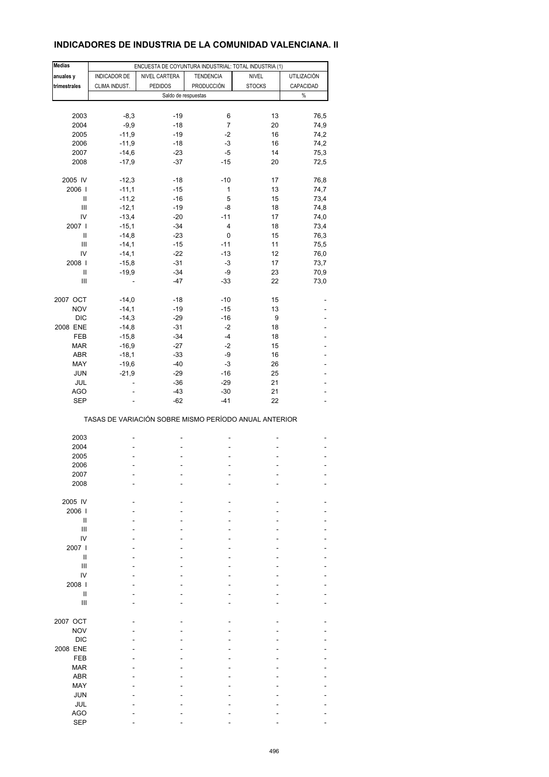### **INDICADORES DE INDUSTRIA DE LA COMUNIDAD VALENCIANA. II**

| <b>Medias</b>                      |                    | ENCUESTA DE COYUNTURA INDUSTRIAL: TOTAL INDUSTRIA (1) |                   |               |                    |
|------------------------------------|--------------------|-------------------------------------------------------|-------------------|---------------|--------------------|
| anuales y                          | INDICADOR DE       | NIVEL CARTERA                                         | <b>TENDENCIA</b>  | <b>NIVEL</b>  | <b>UTILIZACIÓN</b> |
| trimestrales                       | CLIMA INDUST.      | <b>PEDIDOS</b>                                        | <b>PRODUCCIÓN</b> | <b>STOCKS</b> | CAPACIDAD          |
|                                    |                    | Saldo de respuestas                                   |                   |               | $\%$               |
|                                    |                    |                                                       |                   |               |                    |
| 2003                               | $-8,3$             | $-19$                                                 | 6                 | 13            | 76,5               |
| 2004                               | $-9,9$             | $-18$                                                 | $\overline{7}$    | 20            | 74,9               |
| 2005                               | $-11,9$            | $-19$                                                 | $-2$              | 16            | 74,2               |
|                                    |                    |                                                       | -3                |               |                    |
| 2006                               | $-11,9$<br>$-14,6$ | $-18$                                                 | $-5$              | 16<br>14      | 74,2               |
| 2007                               |                    | $-23$                                                 |                   |               | 75,3               |
| 2008                               | $-17,9$            | $-37$                                                 | $-15$             | 20            | 72,5               |
|                                    |                    |                                                       |                   |               |                    |
| 2005 IV                            | $-12,3$            | $-18$                                                 | $-10$             | 17            | 76,8               |
| 2006                               | $-11,1$            | $-15$                                                 | 1                 | 13            | 74,7               |
| Ш                                  | $-11,2$            | $-16$                                                 | 5                 | 15            | 73,4               |
| $\ensuremath{\mathsf{III}}\xspace$ | $-12,1$            | $-19$                                                 | -8                | 18            | 74,8               |
| IV                                 | $-13,4$            | $-20$                                                 | $-11$             | 17            | 74,0               |
| 2007                               | $-15,1$            | $-34$                                                 | 4                 | 18            | 73,4               |
| Ш                                  | $-14,8$            | $-23$                                                 | 0                 | 15            | 76,3               |
| Ш                                  | $-14,1$            | $-15$                                                 | $-11$             | 11            | 75,5               |
| IV                                 | $-14,1$            | $-22$                                                 | $-13$             | 12            | 76,0               |
| 2008                               | $-15,8$            | $-31$                                                 | $-3$              | 17            | 73,7               |
| Ш                                  | $-19,9$            | $-34$                                                 | -9                | 23            | 70,9               |
| $\ensuremath{\mathsf{III}}\xspace$ |                    | $-47$                                                 | $-33$             | 22            | 73,0               |
|                                    |                    |                                                       |                   |               |                    |
| 2007 OCT                           | $-14,0$            | $-18$                                                 | $-10$             | 15            |                    |
| <b>NOV</b>                         | $-14,1$            | $-19$                                                 | $-15$             | 13            |                    |
| <b>DIC</b>                         | $-14,3$            | $-29$                                                 | $-16$             | 9             |                    |
| 2008 ENE                           | $-14,8$            | $-31$                                                 | $-2$              | 18            |                    |
| FEB                                | $-15,8$            | $-34$                                                 | $-4$              | 18            |                    |
| <b>MAR</b>                         | $-16,9$            | $-27$                                                 | $-2$              | 15            |                    |
| ABR                                | $-18,1$            | $-33$                                                 | -9                | 16            |                    |
| MAY                                | $-19,6$            | $-40$                                                 | $-3$              | 26            |                    |
| JUN                                | $-21,9$            | $-29$                                                 | $-16$             | 25            |                    |
| JUL                                |                    | $-36$                                                 | $-29$             | 21            |                    |
| AGO                                |                    | $-43$                                                 | $-30$             | 21            |                    |
| <b>SEP</b>                         |                    | $-62$                                                 | $-41$             | 22            |                    |
|                                    |                    |                                                       |                   |               |                    |
|                                    |                    | TASAS DE VARIACIÓN SOBRE MISMO PERÍODO ANUAL ANTERIOR |                   |               |                    |
|                                    |                    |                                                       |                   |               |                    |
| 2003                               |                    |                                                       | ٠                 |               |                    |
| 2004                               |                    |                                                       |                   |               |                    |
| 2005                               |                    | ä,                                                    | ä,                |               | $\overline{a}$     |
| 2006                               |                    |                                                       | ä,                |               |                    |
| 2007                               |                    |                                                       |                   |               |                    |
| 2008                               |                    |                                                       |                   |               |                    |
|                                    |                    |                                                       |                   |               |                    |
| 2005 IV                            |                    |                                                       |                   |               |                    |
| 2006                               |                    |                                                       |                   |               |                    |
| Ш                                  |                    |                                                       |                   |               |                    |
| Ш                                  |                    |                                                       |                   |               |                    |
| IV                                 |                    |                                                       |                   |               |                    |
| 2007 l                             |                    |                                                       |                   |               |                    |
| Ш                                  |                    |                                                       |                   |               |                    |
| Ш                                  |                    |                                                       |                   |               |                    |
| IV                                 |                    |                                                       |                   |               |                    |
| 2008                               |                    |                                                       |                   |               |                    |
| Ш                                  |                    |                                                       |                   |               |                    |
| Ш                                  |                    |                                                       |                   |               |                    |
|                                    |                    |                                                       |                   |               |                    |
| 2007 OCT                           |                    |                                                       |                   |               |                    |
|                                    |                    |                                                       |                   |               |                    |
| <b>NOV</b>                         |                    |                                                       |                   |               |                    |
| <b>DIC</b>                         |                    |                                                       |                   |               |                    |
| 2008 ENE                           |                    |                                                       |                   |               |                    |
| FEB                                |                    |                                                       |                   |               |                    |
| <b>MAR</b>                         |                    |                                                       |                   |               |                    |
| <b>ABR</b>                         |                    |                                                       |                   |               |                    |
| MAY                                |                    |                                                       |                   |               |                    |
| <b>JUN</b>                         |                    |                                                       |                   |               |                    |
| JUL                                |                    |                                                       |                   |               |                    |
| <b>AGO</b>                         |                    |                                                       |                   |               |                    |
| <b>SEP</b>                         |                    |                                                       |                   |               |                    |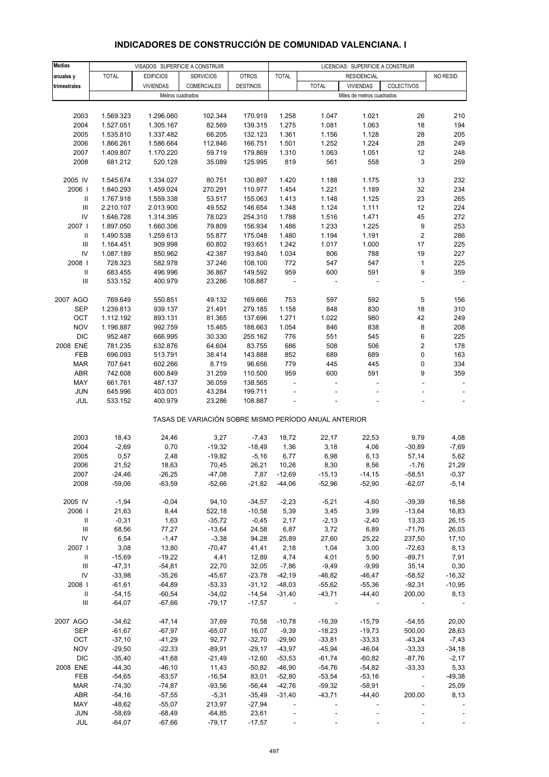## **INDICADORES DE CONSTRUCCIÓN DE COMUNIDAD VALENCIANA. I**

| <b>Medias</b>                      |              | VISADOS: SUPERFICIE A CONSTRUIR |                                                       |                 |                          |              | LICENCIAS: SUPERFICIE A CONSTRUIR |                          |           |
|------------------------------------|--------------|---------------------------------|-------------------------------------------------------|-----------------|--------------------------|--------------|-----------------------------------|--------------------------|-----------|
| anuales y                          | <b>TOTAL</b> | <b>EDIFICIOS</b>                | <b>SERVICIOS</b>                                      | <b>OTROS</b>    | <b>TOTAL</b>             |              | <b>RESIDENCIAL</b>                |                          | NO RESID. |
| trimestrales                       |              | <b>VIVIENDAS</b>                | COMERCIALES                                           | <b>DESTINOS</b> |                          | <b>TOTAL</b> | <b>VIVIENDAS</b>                  | COLECTIVOS               |           |
|                                    |              |                                 |                                                       |                 |                          |              |                                   |                          |           |
|                                    |              | Metros cuadrados                |                                                       |                 |                          |              | Miles de metros cuadrados         |                          |           |
|                                    |              |                                 |                                                       |                 |                          |              |                                   |                          |           |
| 2003                               | 1.569.323    | 1.296.060                       | 102.344                                               | 170.919         | 1.258                    | 1.047        | 1.021                             | 26                       | 210       |
| 2004                               | 1.527.051    | 1.305.167                       | 82.569                                                | 139.315         | 1.275                    | 1.081        | 1.063                             | 18                       | 194       |
| 2005                               | 1.535.810    | 1.337.482                       | 66.205                                                | 132.123         | 1.361                    | 1.156        | 1.128                             | 28                       | 205       |
| 2006                               | 1.866.261    | 1.586.664                       | 112.846                                               | 166.751         | 1.501                    | 1.252        | 1.224                             | 28                       | 249       |
| 2007                               | 1.409.807    | 1.170.220                       | 59.719                                                | 179.869         | 1.310                    | 1.063        | 1.051                             | 12                       | 248       |
| 2008                               | 681.212      | 520.128                         | 35.089                                                | 125.995         | 819                      | 561          | 558                               | 3                        | 259       |
|                                    |              |                                 |                                                       |                 |                          |              |                                   |                          |           |
| 2005 IV                            | 1.545.674    | 1.334.027                       | 80.751                                                | 130.897         | 1.420                    | 1.188        | 1.175                             | 13                       | 232       |
| 2006                               | 1.840.293    | 1.459.024                       | 270.291                                               | 110.977         | 1.454                    | 1.221        | 1.189                             | 32                       | 234       |
|                                    |              |                                 |                                                       |                 |                          |              |                                   |                          | 265       |
| Ш                                  | 1.767.918    | 1.559.338                       | 53.517                                                | 155.063         | 1.413                    | 1.148        | 1.125                             | 23                       |           |
| Ш                                  | 2.210.107    | 2.013.900                       | 49.552                                                | 146.654         | 1.348                    | 1.124        | 1.111                             | 12                       | 224       |
| IV                                 | 1.646.728    | 1.314.395                       | 78.023                                                | 254.310         | 1.788                    | 1.516        | 1.471                             | 45                       | 272       |
| 2007                               | 1.897.050    | 1.660.306                       | 79.809                                                | 156.934         | 1.486                    | 1.233        | 1.225                             | 9                        | 253       |
| Ш                                  | 1.490.538    | 1.259.613                       | 55.877                                                | 175.048         | 1.480                    | 1.194        | 1.191                             | $\overline{\mathbf{c}}$  | 286       |
| $\ensuremath{\mathsf{III}}\xspace$ | 1.164.451    | 909.998                         | 60.802                                                | 193.651         | 1.242                    | 1.017        | 1.000                             | 17                       | 225       |
| IV                                 | 1.087.189    | 850.962                         | 42.387                                                | 193.840         | 1.034                    | 806          | 788                               | 19                       | 227       |
| 2008                               | 728.323      | 582.978                         | 37.246                                                | 108.100         | 772                      | 547          | 547                               | $\mathbf{1}$             | 225       |
| Ш                                  | 683.455      | 496.996                         | 36.867                                                | 149.592         | 959                      | 600          | 591                               | 9                        | 359       |
| Ш                                  | 533.152      | 400.979                         | 23.286                                                | 108.887         |                          |              |                                   | $\overline{\phantom{a}}$ |           |
|                                    |              |                                 |                                                       |                 |                          |              |                                   |                          |           |
| 2007 AGO                           | 769.649      | 550.851                         | 49.132                                                | 169.666         | 753                      | 597          | 592                               | 5                        | 156       |
| <b>SEP</b>                         | 1.239.813    | 939.137                         | 21.491                                                | 279.185         | 1.158                    | 848          | 830                               | 18                       | 310       |
|                                    |              |                                 |                                                       |                 |                          |              |                                   |                          |           |
| OCT                                | 1.112.192    | 893.131                         | 81.365                                                | 137.696         | 1.271                    | 1.022        | 980                               | 42                       | 249       |
| <b>NOV</b>                         | 1.196.887    | 992.759                         | 15.465                                                | 188.663         | 1.054                    | 846          | 838                               | 8                        | 208       |
| <b>DIC</b>                         | 952.487      | 666.995                         | 30.330                                                | 255.162         | 776                      | 551          | 545                               | 6                        | 225       |
| 2008 ENE                           | 781.235      | 632.876                         | 64.604                                                | 83.755          | 686                      | 508          | 506                               | $\overline{\mathbf{c}}$  | 178       |
| FEB                                | 696.093      | 513.791                         | 38.414                                                | 143.888         | 852                      | 689          | 689                               | 0                        | 163       |
| <b>MAR</b>                         | 707.641      | 602.266                         | 8.719                                                 | 96.656          | 779                      | 445          | 445                               | $\pmb{0}$                | 334       |
| <b>ABR</b>                         | 742.608      | 600.849                         | 31.259                                                | 110.500         | 959                      | 600          | 591                               | 9                        | 359       |
| MAY                                | 661.761      | 487.137                         | 36.059                                                | 138.565         |                          | ÷,           |                                   | ÷,                       |           |
| <b>JUN</b>                         | 645.996      | 403.001                         | 43.284                                                | 199.711         |                          |              |                                   | ÷,                       |           |
| JUL                                | 533.152      | 400.979                         | 23.286                                                | 108.887         |                          |              |                                   |                          |           |
|                                    |              |                                 |                                                       |                 |                          |              |                                   |                          |           |
|                                    |              |                                 | TASAS DE VARIACIÓN SOBRE MISMO PERÍODO ANUAL ANTERIOR |                 |                          |              |                                   |                          |           |
|                                    |              |                                 |                                                       |                 |                          |              |                                   |                          |           |
| 2003                               | 18,43        | 24,46                           | 3,27                                                  | $-7,43$         | 18,72                    | 22,17        | 22,53                             | 9,79                     | 4,08      |
| 2004                               | $-2,69$      | 0,70                            | $-19,32$                                              | $-18,49$        | 1,36                     | 3,18         | 4,06                              | $-30,89$                 | $-7,69$   |
| 2005                               | 0,57         | 2,48                            | $-19,82$                                              | $-5,16$         | 6,77                     | 6,98         | 6, 13                             | 57,14                    | 5,62      |
| 2006                               | 21,52        | 18,63                           | 70,45                                                 | 26,21           | 10,26                    | 8,30         | 8,56                              | $-1,76$                  | 21,29     |
| 2007                               | $-24,46$     | $-26,25$                        | $-47,08$                                              |                 | 7,87 -12,69              | $-15,13$     | $-14,15$                          | $-58,51$                 | $-0,37$   |
| 2008                               | $-59,06$     | $-63,59$                        | $-52,66$                                              | -21,82          | -44,06                   | $-52,96$     | $-52,90$                          | $-62,07$                 | $-5,14$   |
|                                    |              |                                 |                                                       |                 |                          |              |                                   |                          |           |
| 2005 IV                            | $-1,94$      | $-0,04$                         | 94,10                                                 | $-34,57$        | $-2,23$                  | $-5,21$      | $-4,60$                           | $-39,39$                 | 16,58     |
| 2006                               | 21,63        | 8,44                            | 522,18                                                | $-10,58$        | 5,39                     | 3,45         | 3,99                              | $-13,64$                 | 16,83     |
|                                    |              |                                 |                                                       |                 |                          |              |                                   |                          |           |
| Ш                                  | $-0,31$      | 1,63                            | $-35,72$                                              | $-0,45$         | 2,17                     | $-2,13$      | $-2,40$                           | 13,33                    | 26,15     |
| $\ensuremath{\mathsf{III}}\xspace$ | 68,56        | 77,27                           | $-13,64$                                              | 24,58           | 6,87                     | 3,72         | 6,89                              | $-71,76$                 | 26,03     |
| IV                                 | 6,54         | $-1,47$                         | $-3,38$                                               | 94,28           | 25,89                    | 27,60        | 25,22                             | 237,50                   | 17,10     |
| 2007                               | 3,08         | 13,80                           | $-70,47$                                              | 41,41           | 2,18                     | 1,04         | 3,00                              | $-72,63$                 | 8,13      |
| Ш                                  | $-15,69$     | $-19,22$                        | 4,41                                                  | 12,89           | 4,74                     | 4,01         | 5,90                              | $-89,71$                 | 7,91      |
| Ш                                  | $-47,31$     | $-54,81$                        | 22,70                                                 | 32,05           | $-7,86$                  | $-9,49$      | $-9,99$                           | 35,14                    | 0,30      |
| IV                                 | $-33,98$     | $-35,26$                        | $-45,67$                                              | $-23,78$        | $-42,19$                 | $-46,82$     | $-46,47$                          | $-58,52$                 | $-16,32$  |
| 2008                               | $-61,61$     | $-64,89$                        | $-53,33$                                              | $-31,12$        | $-48,03$                 | $-55,62$     | $-55,36$                          | $-92,31$                 | $-10,95$  |
| $\, \parallel$                     | $-54,15$     | $-60,54$                        | $-34,02$                                              | -14,54          | $-31,40$                 | $-43,71$     | $-44,40$                          | 200,00                   | 8,13      |
| Ш                                  | $-64,07$     | $-67,66$                        | $-79,17$                                              | $-17,57$        |                          |              |                                   |                          |           |
|                                    |              |                                 |                                                       |                 |                          |              |                                   |                          |           |
| 2007 AGO                           | $-34,62$     | $-47,14$                        | 37,69                                                 | 70,58           | $-10,78$                 | $-16,39$     | $-15,79$                          | $-54,55$                 | 20,00     |
| <b>SEP</b>                         | $-61,67$     | $-67,97$                        | $-65,07$                                              | 16,07           | $-9,39$                  | $-18,23$     | $-19,73$                          | 500,00                   | 28,63     |
| OCT                                |              |                                 | 92,77                                                 | $-32,70$        |                          | $-33,81$     |                                   | $-43,24$                 |           |
|                                    | $-37,10$     | $-41,29$                        |                                                       |                 | $-29,90$                 |              | $-33,33$                          |                          | $-7,43$   |
| <b>NOV</b>                         | $-29,50$     | $-22,33$                        | $-89,91$                                              | $-29,17$        | $-43,97$                 | $-45,94$     | $-46,04$                          | $-33,33$                 | $-34,18$  |
| <b>DIC</b>                         | $-35,40$     | $-41,68$                        | $-21,49$                                              | $-12,60$        | $-53,53$                 | $-61,74$     | $-60,82$                          | $-87,76$                 | $-2,17$   |
| 2008 ENE                           | $-44,30$     | $-46, 10$                       | 11,43                                                 | $-50,82$        | $-46,90$                 | $-54,76$     | $-54,82$                          | $-33,33$                 | 5,33      |
| FEB                                | $-54,65$     | $-63,57$                        | $-16,54$                                              | 83,01           | $-52,80$                 | $-53,54$     | $-53,16$                          | $\blacksquare$           | $-49,38$  |
| <b>MAR</b>                         | $-74,30$     | $-74,87$                        | $-93,56$                                              | $-56,44$        | $-42,76$                 | $-59,32$     | $-58,91$                          | $\blacksquare$           | 25,09     |
| ABR                                | $-54,16$     | $-57,55$                        | $-5,31$                                               | $-35,49$        | $-31,40$                 | $-43,71$     | $-44,40$                          | 200,00                   | 8,13      |
| MAY                                | $-48,62$     | $-55,07$                        | 213,97                                                | $-27,94$        | $\overline{\phantom{a}}$ |              |                                   |                          |           |
| JUN                                | $-58,69$     | $-68,49$                        | $-64,85$                                              | 23,61           |                          |              |                                   |                          |           |
| JUL                                | $-64,07$     | $-67,66$                        | $-79,17$                                              | $-17,57$        |                          |              |                                   |                          |           |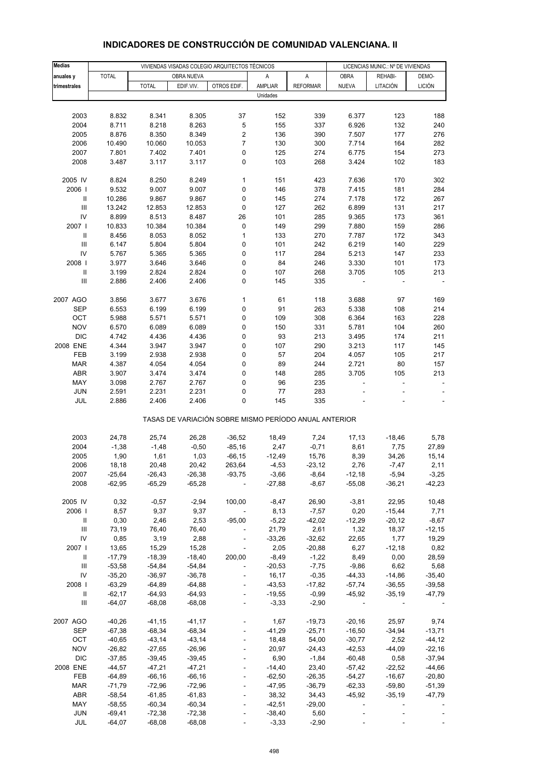| <b>Medias</b>                      |                      |                      |                      | VIVIENDAS VISADAS COLEGIO ARQUITECTOS TÉCNICOS        |                   |                     | LICENCIAS MUNIC.: Nº DE VIVIENDAS |                          |                          |
|------------------------------------|----------------------|----------------------|----------------------|-------------------------------------------------------|-------------------|---------------------|-----------------------------------|--------------------------|--------------------------|
| anuales y                          | <b>TOTAL</b>         |                      | OBRA NUEVA           |                                                       | Α                 | Α                   | <b>OBRA</b>                       | REHABI-                  | DEMO-                    |
| trimestrales                       |                      | <b>TOTAL</b>         | EDIF.VIV.            | OTROS EDIF.                                           | <b>AMPLIAR</b>    | <b>REFORMAR</b>     | <b>NUEVA</b>                      | LITACIÓN                 | <b>LICIÓN</b>            |
|                                    |                      |                      |                      |                                                       | Unidades          |                     |                                   |                          |                          |
|                                    |                      |                      |                      |                                                       |                   |                     |                                   |                          |                          |
| 2003                               | 8.832                | 8.341                | 8.305                | 37                                                    | 152               | 339                 | 6.377                             | 123                      | 188                      |
| 2004                               | 8.711                | 8.218                | 8.263                | 5                                                     | 155               | 337                 | 6.926                             | 132                      | 240                      |
| 2005                               | 8.876                | 8.350                | 8.349                | $\overline{\mathbf{c}}$                               | 136               | 390                 | 7.507                             | 177                      | 276                      |
| 2006                               | 10.490               | 10.060               | 10.053               | 7                                                     | 130               | 300                 | 7.714                             | 164                      | 282                      |
| 2007                               | 7.801                | 7.402                | 7.401                | 0                                                     | 125               | 274                 | 6.775                             | 154                      | 273                      |
| 2008                               | 3.487                | 3.117                | 3.117                | 0                                                     | 103               | 268                 | 3.424                             | 102                      | 183                      |
| 2005 IV                            |                      |                      |                      | $\mathbf{1}$                                          |                   |                     |                                   |                          | 302                      |
| 2006                               | 8.824<br>9.532       | 8.250<br>9.007       | 8.249<br>9.007       | 0                                                     | 151<br>146        | 423<br>378          | 7.636<br>7.415                    | 170<br>181               | 284                      |
| Ш                                  | 10.286               | 9.867                | 9.867                | 0                                                     | 145               | 274                 | 7.178                             | 172                      | 267                      |
| $\ensuremath{\mathsf{III}}\xspace$ | 13.242               | 12.853               | 12.853               | 0                                                     | 127               | 262                 | 6.899                             | 131                      | 217                      |
| IV                                 | 8.899                | 8.513                | 8.487                | 26                                                    | 101               | 285                 | 9.365                             | 173                      | 361                      |
| 2007 l                             | 10.833               | 10.384               | 10.384               | 0                                                     | 149               | 299                 | 7.880                             | 159                      | 286                      |
| $\ensuremath{\mathsf{II}}$         | 8.456                | 8.053                | 8.052                | 1                                                     | 133               | 270                 | 7.787                             | 172                      | 343                      |
| $\ensuremath{\mathsf{III}}\xspace$ | 6.147                | 5.804                | 5.804                | 0                                                     | 101               | 242                 | 6.219                             | 140                      | 229                      |
| IV                                 | 5.767                | 5.365                | 5.365                | 0                                                     | 117               | 284                 | 5.213                             | 147                      | 233                      |
| 2008                               | 3.977                | 3.646                | 3.646                | 0                                                     | 84                | 246                 | 3.330                             | 101                      | 173                      |
| $\sf II$                           | 3.199                | 2.824                | 2.824                | 0                                                     | 107               | 268                 | 3.705                             | 105                      | 213                      |
| $\ensuremath{\mathsf{III}}\xspace$ | 2.886                | 2.406                | 2.406                | 0                                                     | 145               | 335                 |                                   |                          |                          |
|                                    |                      |                      |                      |                                                       |                   |                     |                                   |                          |                          |
| 2007 AGO                           | 3.856                | 3.677                | 3.676                | $\mathbf{1}$                                          | 61                | 118                 | 3.688                             | 97                       | 169                      |
| <b>SEP</b>                         | 6.553                | 6.199                | 6.199                | 0                                                     | 91                | 263                 | 5.338                             | 108                      | 214                      |
| OCT<br><b>NOV</b>                  | 5.988<br>6.570       | 5.571<br>6.089       | 5.571<br>6.089       | 0<br>0                                                | 109<br>150        | 308<br>331          | 6.364<br>5.781                    | 163<br>104               | 228<br>260               |
| <b>DIC</b>                         | 4.742                | 4.436                | 4.436                | 0                                                     | 93                | 213                 | 3.495                             | 174                      | 211                      |
| 2008 ENE                           | 4.344                | 3.947                | 3.947                | 0                                                     | 107               | 290                 | 3.213                             | 117                      | 145                      |
| FEB                                | 3.199                | 2.938                | 2.938                | 0                                                     | 57                | 204                 | 4.057                             | 105                      | 217                      |
| <b>MAR</b>                         | 4.387                | 4.054                | 4.054                | 0                                                     | 89                | 244                 | 2.721                             | 80                       | 157                      |
| <b>ABR</b>                         | 3.907                | 3.474                | 3.474                | 0                                                     | 148               | 285                 | 3.705                             | 105                      | 213                      |
| MAY                                | 3.098                | 2.767                | 2.767                | 0                                                     | 96                | 235                 | L,                                | $\overline{\phantom{0}}$ | $\overline{\phantom{a}}$ |
| <b>JUN</b>                         | 2.591                | 2.231                | 2.231                | 0                                                     | 77                | 283                 |                                   |                          |                          |
| JUL                                | 2.886                | 2.406                | 2.406                | 0                                                     | 145               | 335                 |                                   |                          |                          |
|                                    |                      |                      |                      | TASAS DE VARIACIÓN SOBRE MISMO PERÍODO ANUAL ANTERIOR |                   |                     |                                   |                          |                          |
| 2003                               | 24,78                | 25,74                | 26,28                | $-36,52$                                              | 18,49             | 7,24                | 17,13                             | $-18,46$                 | 5,78                     |
| 2004                               | $-1,38$              | $-1,48$              | $-0,50$              | $-85,16$                                              | 2,47              | $-0,71$             | 8,61                              | 7,75                     | 27,89                    |
| 2005                               | 1,90                 | 1,61                 | 1,03                 | $-66, 15$                                             | $-12,49$          | 15,76               | 8,39                              | 34,26                    | 15,14                    |
| 2006                               | 18,18                | 20,48                | 20,42                | 263,64                                                | $-4,53$           | $-23,12$            | 2,76                              | $-7,47$                  | 2,11                     |
| 2007                               | -25,64               | -26,43               | $-26,38$             | -93,75                                                | $-3,66$           | -8,64               | $-12,18$                          | $-5,94$                  | $-3,25$                  |
| 2008                               | $-62,95$             | $-65,29$             | $-65,28$             |                                                       | $-27,88$          | $-8,67$             | $-55,08$                          | $-36,21$                 | $-42,23$                 |
|                                    |                      |                      |                      |                                                       |                   |                     |                                   |                          |                          |
| 2005 IV                            | 0,32                 | $-0,57$              | $-2,94$              | 100,00                                                | $-8,47$           | 26,90               | $-3,81$                           | 22,95                    | 10,48                    |
| 2006                               | 8,57                 | 9,37                 | 9,37                 |                                                       | 8,13              | $-7,57$             | 0,20                              | $-15,44$                 | 7,71                     |
| Ш                                  | 0,30                 | 2,46                 | 2,53                 | $-95,00$                                              | $-5,22$           | $-42,02$            | $-12,29$                          | $-20,12$                 | $-8,67$                  |
| $\ensuremath{\mathsf{III}}\xspace$ | 73,19                | 76,40                | 76,40                |                                                       | 21,79             | 2,61                | 1,32                              | 18,37                    | $-12,15$                 |
| IV<br>2007 l                       | 0,85                 | 3,19<br>15,29        | 2,88                 |                                                       | $-33,26$          | $-32,62$            | 22,65<br>6,27                     | 1,77                     | 19,29                    |
| Ш                                  | 13,65<br>$-17,79$    | $-18,39$             | 15,28<br>$-18,40$    | 200,00                                                | 2,05<br>$-8,49$   | $-20,88$<br>$-1,22$ | 8,49                              | $-12,18$<br>0,00         | 0,82<br>28,59            |
| $\ensuremath{\mathsf{III}}\xspace$ | $-53,58$             | $-54,84$             | $-54,84$             |                                                       | $-20,53$          | $-7,75$             | $-9,86$                           | 6,62                     | 5,68                     |
| IV                                 | $-35,20$             | $-36,97$             | $-36,78$             |                                                       | 16,17             | $-0,35$             | $-44,33$                          | $-14,86$                 | $-35,40$                 |
| 2008                               | $-63,29$             | $-64,89$             | $-64,88$             |                                                       | $-43,53$          | $-17,82$            | $-57,74$                          | $-36,55$                 | $-39,58$                 |
| Ш                                  | $-62,17$             | $-64,93$             | $-64,93$             |                                                       | $-19,55$          | $-0,99$             | $-45,92$                          | $-35,19$                 | $-47,79$                 |
| Ш                                  | $-64,07$             | $-68,08$             | $-68,08$             |                                                       | $-3,33$           | $-2,90$             |                                   |                          |                          |
|                                    |                      |                      |                      |                                                       |                   |                     |                                   |                          |                          |
| 2007 AGO                           | $-40,26$             | $-41,15$             | $-41,17$             |                                                       | 1,67              | $-19,73$            | $-20,16$                          | 25,97                    | 9,74                     |
| <b>SEP</b>                         | $-67,38$             | $-68,34$             | $-68,34$             |                                                       | $-41,29$          | $-25,71$            | $-16,50$                          | $-34,94$                 | $-13,71$                 |
| OCT                                | $-40,65$             | $-43,14$             | $-43,14$             |                                                       | 18,48             | 54,00               | $-30,77$                          | 2,52                     | $-44, 12$                |
| <b>NOV</b>                         | $-26,82$             | $-27,65$             | $-26,96$             |                                                       | 20,97             | $-24,43$            | $-42,53$                          | $-44,09$                 | $-22,16$                 |
| <b>DIC</b>                         | $-37,85$             | $-39,45$             | $-39,45$             |                                                       | 6,90              | $-1,84$             | $-60,48$                          | 0,58                     | $-37,94$                 |
| 2008 ENE                           | $-44,57$             | $-47,21$             | $-47,21$             |                                                       | $-14,40$          | 23,40               | $-57,42$                          | $-22,52$                 | $-44,66$                 |
| FEB                                | $-64,89$             | $-66, 16$            | $-66, 16$            | $\overline{a}$                                        | $-62,50$          | $-26,35$            | $-54,27$                          | $-16,67$                 | $-20,80$                 |
| <b>MAR</b>                         | $-71,79$             | $-72,96$             | $-72,96$             |                                                       | $-47,95$          | $-36,79$            | $-62,33$                          | $-59,80$                 | $-51,39$                 |
| ABR<br>MAY                         | $-58,54$<br>$-58,55$ | $-61,85$<br>$-60,34$ | $-61,83$<br>$-60,34$ | $\overline{a}$                                        | 38,32<br>$-42,51$ | 34,43<br>$-29,00$   | $-45,92$<br>÷,                    | $-35,19$                 | $-47,79$                 |
| <b>JUN</b>                         | $-69,41$             | $-72,38$             | $-72,38$             |                                                       | $-38,40$          | 5,60                |                                   |                          |                          |
| JUL                                | $-64,07$             | $-68,08$             | $-68,08$             |                                                       | $-3,33$           | $-2,90$             |                                   |                          |                          |
|                                    |                      |                      |                      |                                                       |                   |                     |                                   |                          |                          |

#### **INDICADORES DE CONSTRUCCIÓN DE COMUNIDAD VALENCIANA. II**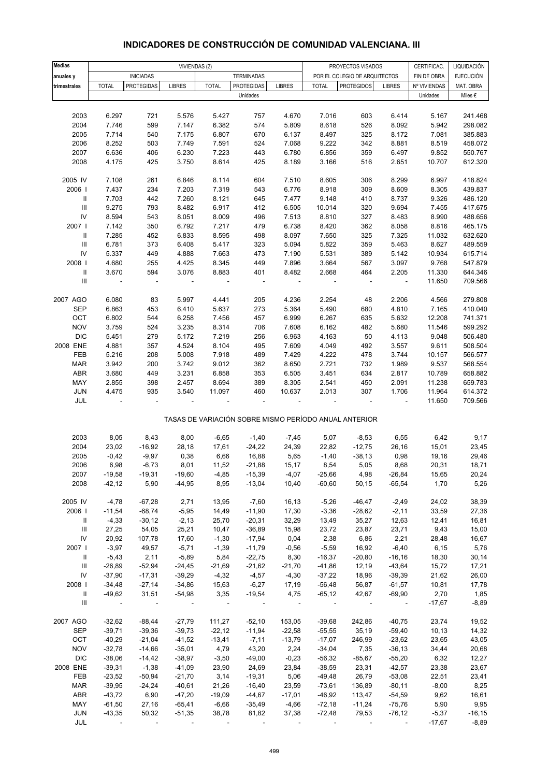| INDICADORES DE CONSTRUCCION DE COMUNIDAD VALENCIANA. III |  |
|----------------------------------------------------------|--|
|                                                          |  |

| <b>Medias</b>                      | VIVIENDAS (2)  |                          |                |                |                   | PROYECTOS VISADOS |                          |                                                       | CERTIFICAC.          | LIQUIDACIÓN     |                    |
|------------------------------------|----------------|--------------------------|----------------|----------------|-------------------|-------------------|--------------------------|-------------------------------------------------------|----------------------|-----------------|--------------------|
| anuales y                          |                | <b>INICIADAS</b>         |                |                | <b>TERMINADAS</b> |                   |                          | POR EL COLEGIO DE ARQUITECTOS                         |                      | FIN DE OBRA     | <b>EJECUCIÓN</b>   |
| trimestrales                       | <b>TOTAL</b>   | <b>PROTEGIDAS</b>        | <b>LIBRES</b>  | <b>TOTAL</b>   | <b>PROTEGIDAS</b> | <b>LIBRES</b>     | <b>TOTAL</b>             | <b>PROTEGIDOS</b>                                     | <b>LIBRES</b>        | Nº VIVIENDAS    | MAT. OBRA          |
|                                    |                |                          |                |                | Unidades          |                   |                          |                                                       |                      | Unidades        | Miles €            |
|                                    |                |                          |                |                |                   |                   |                          |                                                       |                      |                 |                    |
| 2003                               | 6.297          | 721                      | 5.576          | 5.427          | 757               | 4.670             | 7.016                    | 603                                                   | 6.414                | 5.167           | 241.468            |
| 2004                               | 7.746          | 599                      | 7.147          | 6.382          | 574               | 5.809             | 8.618                    | 526                                                   | 8.092                | 5.942           | 298.082            |
| 2005                               | 7.714          | 540                      | 7.175          | 6.807          | 670               | 6.137             | 8.497                    | 325                                                   | 8.172                | 7.081           | 385.883            |
| 2006                               | 8.252          | 503                      | 7.749          | 7.591          | 524               | 7.068             | 9.222                    | 342                                                   | 8.881                | 8.519           | 458.072            |
| 2007                               | 6.636          | 406                      | 6.230          | 7.223          | 443               | 6.780             | 6.856                    | 359                                                   | 6.497                | 9.852           | 550.767            |
| 2008                               | 4.175          | 425                      | 3.750          | 8.614          | 425               | 8.189             | 3.166                    | 516                                                   | 2.651                | 10.707          | 612.320            |
|                                    |                |                          |                |                |                   |                   |                          |                                                       |                      |                 |                    |
| 2005 IV                            | 7.108          | 261                      | 6.846          | 8.114          | 604               | 7.510             | 8.605                    | 306                                                   | 8.299                | 6.997           | 418.824            |
| 2006                               | 7.437          | 234                      | 7.203          | 7.319          | 543               | 6.776             | 8.918                    | 309                                                   | 8.609                | 8.305           | 439.837            |
| Ш                                  | 7.703          | 442                      | 7.260          | 8.121          | 645               | 7.477             | 9.148                    | 410                                                   | 8.737                | 9.326           | 486.120            |
| $\ensuremath{\mathsf{III}}\xspace$ | 9.275          | 793                      | 8.482          | 6.917          | 412               | 6.505             | 10.014                   | 320                                                   | 9.694                | 7.455           | 417.675            |
| ${\sf IV}$                         | 8.594          | 543                      | 8.051          | 8.009          | 496               | 7.513             | 8.810                    | 327                                                   | 8.483                | 8.990           | 488.656            |
| 2007                               | 7.142          | 350                      | 6.792          | 7.217          | 479               | 6.738             | 8.420                    | 362                                                   | 8.058                | 8.816           | 465.175            |
| $\mathbf{II}$<br>$\mathbf{III}$    | 7.285<br>6.781 | 452<br>373               | 6.833<br>6.408 | 8.595<br>5.417 | 498<br>323        | 8.097<br>5.094    | 7.650<br>5.822           | 325<br>359                                            | 7.325<br>5.463       | 11.032<br>8.627 | 632.620<br>489.559 |
| IV                                 | 5.337          | 449                      | 4.888          | 7.663          | 473               | 7.190             | 5.531                    | 389                                                   | 5.142                | 10.934          | 615.714            |
| 2008                               | 4.680          | 255                      | 4.425          | 8.345          | 449               | 7.896             | 3.664                    | 567                                                   | 3.097                | 9.768           | 547.879            |
| Ш                                  | 3.670          | 594                      | 3.076          | 8.883          | 401               | 8.482             | 2.668                    | 464                                                   | 2.205                | 11.330          | 644.346            |
| $\ensuremath{\mathsf{III}}\xspace$ | ÷,             | $\overline{\phantom{a}}$ | $\overline{a}$ |                | ÷,                | ÷,                |                          | $\overline{\phantom{a}}$                              | $\Box$               | 11.650          | 709.566            |
|                                    |                |                          |                |                |                   |                   |                          |                                                       |                      |                 |                    |
| 2007 AGO                           | 6.080          | 83                       | 5.997          | 4.441          | 205               | 4.236             | 2.254                    | 48                                                    | 2.206                | 4.566           | 279.808            |
| <b>SEP</b>                         | 6.863          | 453                      | 6.410          | 5.637          | 273               | 5.364             | 5.490                    | 680                                                   | 4.810                | 7.165           | 410.040            |
| OCT                                | 6.802          | 544                      | 6.258          | 7.456          | 457               | 6.999             | 6.267                    | 635                                                   | 5.632                | 12.208          | 741.371            |
| <b>NOV</b>                         | 3.759          | 524                      | 3.235          | 8.314          | 706               | 7.608             | 6.162                    | 482                                                   | 5.680                | 11.546          | 599.292            |
| <b>DIC</b>                         | 5.451          | 279                      | 5.172          | 7.219          | 256               | 6.963             | 4.163                    | 50                                                    | 4.113                | 9.048           | 506.480            |
| 2008 ENE                           | 4.881          | 357                      | 4.524          | 8.104          | 495               | 7.609             | 4.049                    | 492                                                   | 3.557                | 9.611           | 508.504            |
| FEB                                | 5.216          | 208                      | 5.008          | 7.918          | 489               | 7.429             | 4.222                    | 478                                                   | 3.744                | 10.157          | 566.577            |
| <b>MAR</b>                         | 3.942          | 200                      | 3.742          | 9.012          | 362               | 8.650             | 2.721                    | 732                                                   | 1.989                | 9.537           | 568.554            |
| <b>ABR</b>                         | 3.680          | 449                      | 3.231          | 6.858          | 353               | 6.505             | 3.451                    | 634                                                   | 2.817                | 10.789          | 658.882            |
| MAY                                | 2.855          | 398                      | 2.457          | 8.694          | 389               | 8.305             | 2.541                    | 450                                                   | 2.091                | 11.238          | 659.783            |
| JUN                                | 4.475          | 935                      | 3.540          | 11.097         | 460               | 10.637            | 2.013                    | 307                                                   | 1.706                | 11.964          | 614.372            |
| JUL                                |                |                          |                |                |                   |                   |                          |                                                       |                      | 11.650          | 709.566            |
|                                    |                |                          |                |                |                   |                   |                          |                                                       |                      |                 |                    |
|                                    |                |                          |                |                |                   |                   |                          | TASAS DE VARIACIÓN SOBRE MISMO PERÍODO ANUAL ANTERIOR |                      |                 |                    |
| 2003                               | 8,05           | 8,43                     | 8,00           | $-6,65$        | $-1,40$           | $-7,45$           | 5,07                     | $-8,53$                                               | 6,55                 | 6,42            | 9,17               |
| 2004                               | 23,02          | $-16,92$                 | 28,18          | 17,61          | $-24,22$          | 24,39             | 22,82                    | $-12,75$                                              | 26,16                | 15,01           | 23,45              |
| 2005                               | $-0,42$        | $-9,97$                  | 0,38           | 6,66           | 16,88             | 5,65              | $-1,40$                  | $-38,13$                                              | 0,98                 | 19,16           | 29,46              |
| 2006                               | 6,98           | $-6,73$                  | 8,01           | 11,52          | $-21,88$          | 15,17             | 8,54                     | 5,05                                                  | 8,68                 | 20,31           | 18,71              |
| 2007                               | $-19,58$       | $-19,31$                 | $-19,60$       | $-4,85$        | $-15,39$          | $-4,07$           | $-25,66$                 | 4,98                                                  | $-26,84$             | 15,65           | 20,24              |
| 2008                               | $-42, 12$      | 5,90                     | $-44,95$       | 8,95           | $-13,04$          | 10,40             | $-60,60$                 | 50,15                                                 | $-65,54$             | 1,70            | 5,26               |
|                                    |                |                          |                |                |                   |                   |                          |                                                       |                      |                 |                    |
| 2005 IV                            | $-4,78$        | $-67,28$                 | 2,71           | 13,95          | $-7,60$           | 16,13             | $-5,26$                  | $-46,47$                                              | $-2,49$              | 24,02           | 38,39              |
| 2006                               | $-11,54$       | $-68,74$                 | $-5,95$        | 14,49          | $-11,90$          | 17,30             | $-3,36$                  | $-28,62$                                              | $-2,11$              | 33,59           | 27,36              |
| $\parallel$                        | $-4,33$        | $-30,12$                 | $-2, 13$       | 25,70          | $-20,31$          | 32,29             | 13,49                    | 35,27                                                 | 12,63                | 12,41           | 16,81              |
| Ш                                  | 27,25          | 54,05                    | 25,21          | 10,47          | $-36,89$          | 15,98             | 23,72                    | 23,87                                                 | 23,71                | 9,43            | 15,00              |
| IV                                 | 20,92          | 107,78                   | 17,60          | $-1,30$        | $-17,94$          | 0,04              | 2,38                     | 6,86                                                  | 2,21                 | 28,48           | 16,67              |
| 2007                               | $-3,97$        | 49,57                    | $-5,71$        | $-1,39$        | $-11,79$          | $-0,56$           | $-5,59$                  | 16,92                                                 | $-6,40$              | 6, 15           | 5,76               |
| Ш                                  | $-5,43$        | 2,11                     | $-5,89$        | 5,84           | $-22,75$          | 8,30              | $-16,37$                 | $-20,80$                                              | $-16,16$             | 18,30           | 30,14              |
| $\ensuremath{\mathsf{III}}\xspace$ | $-26,89$       | $-52,94$                 | $-24,45$       | $-21,69$       | $-21,62$          | $-21,70$          | $-41,86$                 | 12,19                                                 | $-43,64$             | 15,72           | 17,21              |
| IV                                 | $-37,90$       | $-17,31$                 | $-39,29$       | $-4,32$        | $-4,57$           | $-4,30$           | $-37,22$                 | 18,96                                                 | $-39,39$             | 21,62           | 26,00              |
| 2008                               | $-34,48$       | $-27,14$                 | $-34,86$       | 15,63          | $-6,27$           | 17,19             | $-56,48$                 | 56,87                                                 | $-61,57$             | 10,81           | 17,78              |
| Ш                                  | $-49,62$       | 31,51                    | $-54,98$       | 3,35           | $-19,54$          | 4,75              | $-65, 12$                | 42,67                                                 | $-69,90$             | 2,70            | 1,85               |
| Ш                                  | $\sim$ $-$     | $\sim$ $-$               | $\sim$         | $\sim$ $-$     |                   | $\sim$ $-$        | $\overline{\phantom{a}}$ | $\overline{\phantom{a}}$                              | $\sim 100$ m $^{-1}$ | $-17,67$        | $-8,89$            |
| 2007 AGO                           | $-32,62$       | $-88,44$                 | $-27,79$       | 111,27         | $-52,10$          | 153,05            | $-39,68$                 | 242,86                                                | $-40,75$             | 23,74           | 19,52              |
| SEP                                | $-39,71$       | $-39,36$                 | $-39,73$       | $-22,12$       | $-11,94$          | $-22,58$          | $-55,55$                 | 35,19                                                 | $-59,40$             | 10, 13          | 14,32              |
| OCT                                | $-40,29$       | $-21,04$                 | $-41,52$       | $-13,41$       | $-7,11$           | $-13,79$          | $-17,07$                 | 246,99                                                | $-23,62$             | 23,65           | 43,05              |
| <b>NOV</b>                         | $-32,78$       | $-14,66$                 | $-35,01$       | 4,79           | 43,20             | 2,24              | $-34,04$                 | 7,35                                                  | $-36,13$             | 34,44           | 20,68              |
| <b>DIC</b>                         | $-38,06$       | $-14,42$                 | $-38,97$       | $-3,50$        | $-49,00$          | $-0,23$           | $-56,32$                 | $-85,67$                                              | $-55,20$             | 6,32            | 12,27              |
| 2008 ENE                           | $-39,31$       | $-1,38$                  | $-41,09$       | 23,90          | 24,69             | 23,84             | $-38,59$                 | 23,31                                                 | $-42,57$             | 23,38           | 23,67              |
| FEB                                | $-23,52$       | $-50,94$                 | $-21,70$       | 3,14           | $-19,31$          | 5,06              | $-49,48$                 | 26,79                                                 | $-53,08$             | 22,51           | 23,41              |
| <b>MAR</b>                         | $-39,95$       | $-24,24$                 | $-40,61$       | 21,26          | $-16,40$          | 23,59             | $-73,61$                 | 136,89                                                | $-80,11$             | $-8,00$         | 8,25               |
| ABR                                | $-43,72$       | 6,90                     | $-47,20$       | $-19,09$       | $-44,67$          | $-17,01$          | $-46,92$                 | 113,47                                                | $-54,59$             | 9,62            | 16,61              |
| MAY                                | $-61,50$       | 27,16                    | $-65,41$       | $-6,66$        | $-35,49$          | $-4,66$           | $-72,18$                 | $-11,24$                                              | $-75,76$             | 5,90            | 9,95               |
| <b>JUN</b>                         | $-43,35$       | 50,32                    | $-51,35$       | 38,78          | 81,82             | 37,38             | $-72,48$                 | 79,53                                                 | $-76, 12$            | $-5,37$         | $-16, 15$          |
| JUL                                |                |                          |                |                |                   |                   |                          |                                                       |                      | $-17,67$        | $-8,89$            |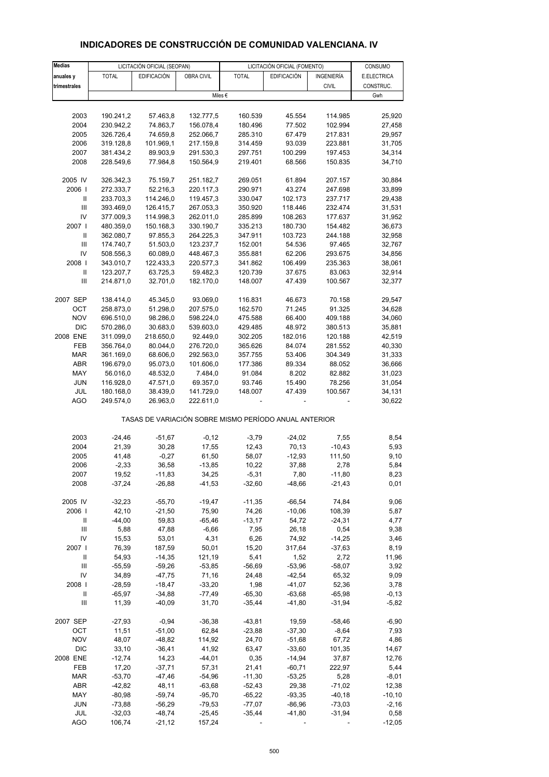| <b>Medias</b>                      | LICITACIÓN OFICIAL (SEOPAN) |                       |                        | LICITACIÓN OFICIAL (FOMENTO)                          |                    | CONSUMO            |                  |
|------------------------------------|-----------------------------|-----------------------|------------------------|-------------------------------------------------------|--------------------|--------------------|------------------|
| anuales y                          | <b>TOTAL</b>                | <b>EDIFICACIÓN</b>    | OBRA CIVIL             | <b>TOTAL</b>                                          | <b>EDIFICACIÓN</b> | INGENIERÍA         | E.ELECTRICA      |
| trimestrales                       |                             |                       |                        |                                                       |                    | <b>CIVIL</b>       | CONSTRUC.        |
|                                    |                             |                       |                        | Miles $\epsilon$                                      |                    |                    | Gwh              |
|                                    |                             |                       |                        |                                                       |                    |                    |                  |
| 2003                               | 190.241,2                   | 57.463,8              | 132.777,5              | 160.539                                               | 45.554             | 114.985            | 25,920           |
| 2004                               | 230.942,2                   | 74.863,7              | 156.078,4              | 180.496                                               | 77.502             | 102.994            | 27,458           |
| 2005                               | 326.726,4                   | 74.659,8              | 252.066,7              | 285.310                                               | 67.479             | 217.831            | 29,957           |
| 2006                               | 319.128,8                   | 101.969,1             | 217.159,8              | 314.459                                               | 93.039             | 223.881            | 31,705           |
| 2007                               | 381.434,2                   | 89.903,9              | 291.530,3              | 297.751                                               | 100.299            | 197.453            | 34,314           |
| 2008                               | 228.549,6                   | 77.984,8              | 150.564,9              | 219.401                                               | 68.566             | 150.835            | 34,710           |
| 2005 IV                            | 326.342,3                   | 75.159,7              | 251.182,7              | 269.051                                               | 61.894             | 207.157            | 30,884           |
| 2006                               | 272.333,7                   | 52.216,3              | 220.117,3              | 290.971                                               | 43.274             | 247.698            | 33,899           |
| Ш                                  | 233.703,3                   | 114.246,0             | 119.457,3              | 330.047                                               | 102.173            | 237.717            | 29,438           |
| $\ensuremath{\mathsf{III}}\xspace$ | 393.469,0                   | 126.415,7             | 267.053,3              | 350.920                                               | 118.446            | 232.474            | 31,531           |
| IV                                 | 377.009,3                   | 114.998,3             | 262.011,0              | 285.899                                               | 108.263            | 177.637            | 31,952           |
| 2007 l                             | 480.359,0                   | 150.168,3             | 330.190,7              | 335.213                                               | 180.730            | 154.482            | 36,673           |
| $\mathbf{II}$                      | 362.080,7                   | 97.855,3              | 264.225,3              | 347.911                                               | 103.723            | 244.188            | 32,958           |
| Ш                                  | 174.740,7                   | 51.503,0              | 123.237,7              | 152.001                                               | 54.536             | 97.465             | 32,767           |
| IV<br>2008                         | 508.556,3                   | 60.089,0<br>122.433,3 | 448.467,3              | 355.881                                               | 62.206<br>106.499  | 293.675            | 34,856           |
| $\, \parallel$                     | 343.010,7                   | 63.725,3              | 220.577,3              | 341.862                                               |                    | 235.363            | 38,061           |
| Ш                                  | 123.207,7<br>214.871,0      | 32.701,0              | 59.482,3<br>182.170,0  | 120.739<br>148.007                                    | 37.675<br>47.439   | 83.063<br>100.567  | 32,914<br>32,377 |
|                                    |                             |                       |                        |                                                       |                    |                    |                  |
| 2007 SEP                           | 138.414,0                   | 45.345,0              | 93.069,0               | 116.831                                               | 46.673             | 70.158<br>91.325   | 29,547           |
| OCT                                | 258.873,0                   | 51.298,0              | 207.575,0              | 162.570                                               | 71.245             |                    | 34,628           |
| <b>NOV</b><br><b>DIC</b>           | 696.510,0<br>570.286,0      | 98.286,0<br>30.683,0  | 598.224,0<br>539.603,0 | 475.588<br>429.485                                    | 66.400<br>48.972   | 409.188<br>380.513 | 34,060<br>35,881 |
| 2008 ENE                           | 311.099,0                   | 218.650,0             | 92.449,0               | 302.205                                               | 182.016            | 120.188            | 42,519           |
| FEB                                | 356.764,0                   | 80.044,0              | 276.720,0              | 365.626                                               | 84.074             | 281.552            | 40,330           |
| <b>MAR</b>                         | 361.169,0                   | 68.606,0              | 292.563,0              | 357.755                                               | 53.406             | 304.349            | 31,333           |
| ABR                                | 196.679,0                   | 95.073,0              | 101.606,0              | 177.386                                               | 89.334             | 88.052             | 36,666           |
| MAY                                | 56.016,0                    | 48.532,0              | 7.484,0                | 91.084                                                | 8.202              | 82.882             | 31,023           |
| <b>JUN</b>                         | 116.928,0                   | 47.571,0              | 69.357,0               | 93.746                                                | 15.490             | 78.256             | 31,054           |
| JUL                                | 180.168,0                   | 38.439,0              | 141.729,0              | 148.007                                               | 47.439             | 100.567            | 34,131           |
| <b>AGO</b>                         | 249.574,0                   | 26.963,0              | 222.611,0              |                                                       |                    |                    | 30,622           |
|                                    |                             |                       |                        | TASAS DE VARIACIÓN SOBRE MISMO PERÍODO ANUAL ANTERIOR |                    |                    |                  |
|                                    |                             |                       |                        |                                                       |                    |                    |                  |
| 2003                               | $-24,46$                    | $-51,67$              | $-0,12$                | $-3,79$                                               | $-24,02$<br>70,13  | 7,55               | 8,54             |
| 2004<br>2005                       | 21,39<br>41,48              | 30,28<br>$-0,27$      | 17,55<br>61,50         | 12,43                                                 | $-12,93$           | $-10,43$<br>111,50 | 5,93<br>9,10     |
| 2006                               | $-2,33$                     | 36,58                 | $-13,85$               | 58,07<br>10,22                                        | 37,88              | 2,78               | 5,84             |
| 2007                               | 19,52                       | -11,83                | 34,25                  | $-5,31$                                               | 7,80               | -11,80             | 8,23             |
| 2008                               | $-37,24$                    | $-26,88$              | $-41,53$               | $-32,60$                                              | $-48,66$           | $-21,43$           | 0,01             |
|                                    |                             |                       |                        |                                                       |                    |                    |                  |
| 2005 IV<br>2006                    | $-32,23$                    | $-55,70$              | $-19,47$               | $-11,35$                                              | $-66,54$           | 74,84              | 9,06             |
| Ш                                  | 42,10<br>$-44,00$           | $-21,50$<br>59,83     | 75,90<br>$-65,46$      | 74,26<br>$-13,17$                                     | $-10,06$<br>54,72  | 108,39<br>$-24,31$ | 5,87<br>4,77     |
| $\ensuremath{\mathsf{III}}\xspace$ | 5,88                        | 47,88                 | $-6,66$                | 7,95                                                  | 26,18              | 0,54               | 9,38             |
| IV                                 | 15,53                       | 53,01                 | 4,31                   | 6,26                                                  | 74,92              | $-14,25$           | 3,46             |
| 2007 l                             | 76,39                       | 187,59                | 50,01                  | 15,20                                                 | 317,64             | $-37,63$           | 8,19             |
| Ш                                  | 54,93                       | $-14,35$              | 121,19                 | 5,41                                                  | 1,52               | 2,72               | 11,96            |
| Ш                                  | $-55,59$                    | $-59,26$              | $-53,85$               | $-56,69$                                              | $-53,96$           | $-58,07$           | 3,92             |
| IV                                 | 34,89                       | $-47,75$              | 71,16                  | 24,48                                                 | $-42,54$           | 65,32              | 9,09             |
| 2008                               | $-28,59$                    | $-18,47$              | $-33,20$               | 1,98                                                  | $-41,07$           | 52,36              | 3,78             |
| Ш                                  | $-65,97$                    | $-34,88$              | $-77,49$               | $-65,30$                                              | $-63,68$           | $-65,98$           | $-0,13$          |
| Ш                                  | 11,39                       | $-40,09$              | 31,70                  | $-35,44$                                              | $-41,80$           | $-31,94$           | $-5,82$          |
| 2007 SEP                           | $-27,93$                    | $-0,94$               | $-36,38$               | $-43,81$                                              | 19,59              | $-58,46$           | $-6,90$          |
| OCT                                | 11,51                       | $-51,00$              | 62,84                  | $-23,88$                                              | $-37,30$           | $-8,64$            | 7,93             |
| <b>NOV</b>                         | 48,07                       | $-48,82$              | 114,92                 | 24,70                                                 | $-51,68$           | 67,72              | 4,86             |
| <b>DIC</b>                         | 33,10                       | $-36,41$              | 41,92                  | 63,47                                                 | $-33,60$           | 101,35             | 14,67            |
| 2008 ENE                           | $-12,74$                    | 14,23                 | $-44,01$               | 0,35                                                  | $-14,94$           | 37,87              | 12,76            |
| FEB                                | 17,20                       | $-37,71$              | 57,31                  | 21,41                                                 | $-60,71$           | 222,97             | 5,44             |
| <b>MAR</b>                         | $-53,70$                    | $-47,46$              | $-54,96$               | $-11,30$                                              | $-53,25$           | 5,28               | $-8,01$          |
| ABR                                | $-42,82$                    | 48,11                 | $-63,68$               | $-52,43$                                              | 29,38              | $-71,02$           | 12,38            |
| MAY                                | $-80,98$                    | $-59,74$              | $-95,70$               | $-65,22$                                              | $-93,35$           | $-40,18$           | $-10, 10$        |
| <b>JUN</b>                         | $-73,88$                    | $-56,29$              | $-79,53$               | $-77,07$                                              | $-86,96$           | $-73,03$           | $-2,16$          |

# **INDICADORES DE CONSTRUCCIÓN DE COMUNIDAD VALENCIANA. IV**

 JUL -32,03 -48,74 -25,45 -35,44 -41,80 -31,94 0,58 AGO 106,74 -21,12 157,24 - - - - - - - - 12,05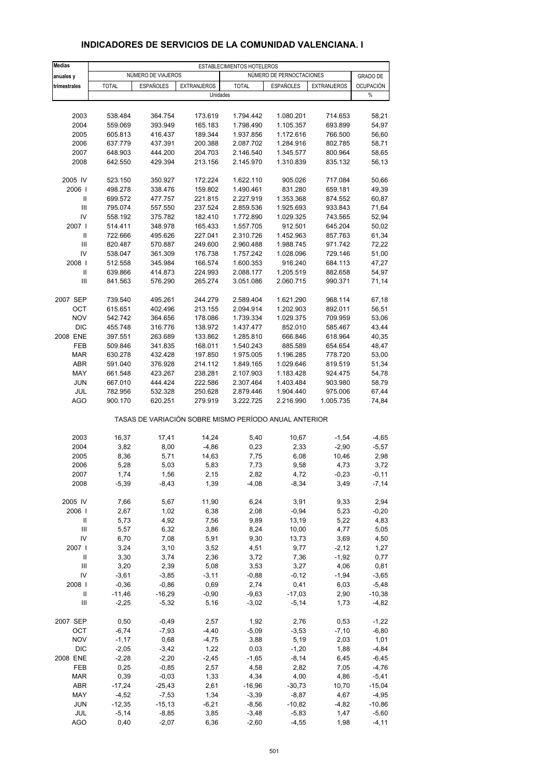| <b>Medias</b>                      | ESTABLECIMIENTOS HOTELEROS |                      |                    |                                                       |                          |                    |                     |  |  |
|------------------------------------|----------------------------|----------------------|--------------------|-------------------------------------------------------|--------------------------|--------------------|---------------------|--|--|
| anuales y                          |                            | NÚMERO DE VIAJEROS   |                    |                                                       | NÚMERO DE PERNOCTACIONES |                    | <b>GRADO DE</b>     |  |  |
| trimestrales                       | <b>TOTAL</b>               | <b>ESPAÑOLES</b>     | <b>EXTRANJEROS</b> | <b>TOTAL</b>                                          | <b>ESPAÑOLES</b>         | <b>EXTRANJEROS</b> | <b>OCUPACIÓN</b>    |  |  |
|                                    |                            |                      | Unidades           |                                                       |                          |                    | $\%$                |  |  |
|                                    |                            |                      |                    |                                                       |                          |                    |                     |  |  |
| 2003                               | 538.484                    | 364.754              | 173.619            | 1.794.442                                             | 1.080.201                | 714.653            | 58,21               |  |  |
| 2004                               | 559.069                    | 393.949              | 165.183            | 1.798.490                                             | 1.105.357                | 693.899            | 54,97               |  |  |
| 2005                               | 605.813                    | 416.437              | 189.344            | 1.937.856                                             | 1.172.616                | 766.500            | 56,60               |  |  |
| 2006                               | 637.779                    | 437.391              | 200.388            | 2.087.702                                             | 1.284.916                | 802.785            | 58,71               |  |  |
| 2007                               | 648.903                    | 444.200              | 204.703            | 2.146.540                                             | 1.345.577                | 800.964            | 58,65               |  |  |
| 2008                               | 642.550                    | 429.394              | 213.156            | 2.145.970                                             | 1.310.839                | 835.132            | 56,13               |  |  |
| 2005 IV                            | 523.150                    | 350.927              | 172.224            | 1.622.110                                             | 905.026                  | 717.084            | 50,66               |  |  |
| 2006                               | 498.278                    | 338.476              | 159.802            | 1.490.461                                             | 831.280                  | 659.181            | 49,39               |  |  |
| Ш                                  | 699.572                    | 477.757              | 221.815            | 2.227.919                                             | 1.353.368                | 874.552            | 60,87               |  |  |
| $\mathsf{III}$                     | 795.074                    | 557.550              | 237.524            | 2.859.536                                             | 1.925.693                | 933.843            | 71,64               |  |  |
| IV                                 | 558.192                    | 375.782              | 182.410            | 1.772.890                                             | 1.029.325                | 743.565            | 52,94               |  |  |
| 2007 l                             | 514.411                    | 348.978              | 165.433            | 1.557.705                                             | 912.501                  | 645.204            | 50,02               |  |  |
| Ш<br>Ш                             | 722.666<br>820.487         | 495.626<br>570.887   | 227.041<br>249.600 | 2.310.726<br>2.960.488                                | 1.452.963<br>1.988.745   | 857.763<br>971.742 | 61,34<br>72,22      |  |  |
| IV                                 | 538.047                    | 361.309              | 176.738            | 1.757.242                                             | 1.028.096                | 729.146            | 51,00               |  |  |
| 2008                               | 512.558                    | 345.984              | 166.574            | 1.600.353                                             | 916.240                  | 684.113            | 47,27               |  |  |
| $\mathbf{II}$                      | 639.866                    | 414.873              | 224.993            | 2.088.177                                             | 1.205.519                | 882.658            | 54,97               |  |  |
| Ш                                  | 841.563                    | 576.290              | 265.274            | 3.051.086                                             | 2.060.715                | 990.371            | 71,14               |  |  |
| 2007 SEP                           | 739.540                    | 495.261              | 244.279            | 2.589.404                                             | 1.621.290                | 968.114            | 67,18               |  |  |
| OCT                                | 615.651                    | 402.496              | 213.155            | 2.094.914                                             | 1.202.903                | 892.011            | 56,51               |  |  |
| <b>NOV</b>                         | 542.742                    | 364.656              | 178.086            | 1.739.334                                             | 1.029.375                | 709.959            | 53,06               |  |  |
| <b>DIC</b>                         | 455.748                    | 316.776              | 138.972            | 1.437.477                                             | 852.010                  | 585.467            | 43,44               |  |  |
| 2008 ENE                           | 397.551                    | 263.689              | 133.862            | 1.285.810                                             | 666.846                  | 618.964            | 40,35               |  |  |
| FEB                                | 509.846                    | 341.835              | 168.011            | 1.540.243                                             | 885.589                  | 654.654            | 48,47               |  |  |
| <b>MAR</b>                         | 630.278                    | 432.428              | 197.850            | 1.975.005                                             | 1.196.285                | 778.720            | 53,00               |  |  |
| <b>ABR</b>                         | 591.040                    | 376.928              | 214.112            | 1.849.165                                             | 1.029.646                | 819.519            | 51,34               |  |  |
| MAY                                | 661.548                    | 423.267              | 238.281            | 2.107.903                                             | 1.183.428                | 924.475            | 54,78               |  |  |
| <b>JUN</b>                         | 667.010                    | 444.424              | 222.586            | 2.307.464                                             | 1.403.484                | 903.980            | 58,79               |  |  |
| JUL                                | 782.956                    | 532.328              | 250.628            | 2.879.446                                             | 1.904.440                | 975.006            | 67,44               |  |  |
| AGO                                | 900.170                    | 620.251              | 279.919            | 3.222.725                                             | 2.216.990                | 1.005.735          | 74,84               |  |  |
|                                    |                            |                      |                    | TASAS DE VARIACIÓN SOBRE MISMO PERÍODO ANUAL ANTERIOR |                          |                    |                     |  |  |
| 2003                               | 16,37                      | 17,41                | 14,24              | 5,40                                                  | 10,67                    | $-1,54$            | $-4,65$             |  |  |
| 2004                               | 3,82                       | 8,00                 | $-4,86$            | 0,23                                                  | 2,33                     | $-2,90$            | $-5,57$             |  |  |
| 2005                               | 8,36                       | 5,71                 | 14,63              | 7,75                                                  | 6,08                     | 10,46              | 2,98                |  |  |
| 2006                               | 5,28                       | 5,03                 | 5,83               | 7,73                                                  | 9,58                     | 4,73               | 3,72                |  |  |
| 2007                               | 1,74                       | 1,56                 | 2,15               | 2,82                                                  | 4,72                     | -0,23              | $-0,11$             |  |  |
| 2008                               | $-5,39$                    | $-8,43$              | 1,39               | $-4,08$                                               | $-8,34$                  | 3,49               | $-7,14$             |  |  |
| 2005 IV                            | 7,66                       | 5,67                 | 11,90              | 6,24                                                  | 3,91                     | 9,33               | 2,94                |  |  |
| 2006                               | 2,67                       | 1,02                 | 6,38               | 2,08                                                  | $-0,94$                  | 5,23               | $-0,20$             |  |  |
| Ш                                  | 5,73                       | 4,92                 | 7,56               | 9,89                                                  | 13,19                    | 5,22               | 4,83                |  |  |
| $\ensuremath{\mathsf{III}}\xspace$ | 5,57                       | 6,32                 | 3,86               | 8,24                                                  | 10,00                    | 4,77               | 5,05                |  |  |
| IV                                 | 6,70                       | 7,08                 | 5,91               | 9,30                                                  | 13,73                    | 3,69               | 4,50                |  |  |
| 2007  <br>Ш                        | 3,24<br>3,30               | 3,10<br>3,74         | 3,52<br>2,36       | 4,51<br>3,72                                          | 9,77                     | $-2,12$<br>$-1,92$ | 1,27<br>0,77        |  |  |
| $\mathbf{III}$                     | 3,20                       | 2,39                 | 5,08               | 3,53                                                  | 7,36<br>3,27             | 4,06               | 0,81                |  |  |
| IV                                 | $-3,61$                    | $-3,85$              | $-3,11$            | $-0,88$                                               | $-0,12$                  | $-1,94$            | $-3,65$             |  |  |
| 2008                               | $-0,36$                    | $-0,86$              | 0,69               | 2,74                                                  | 0,41                     | 6,03               | $-5,48$             |  |  |
| Ш                                  | $-11,46$                   | $-16,29$             | $-0,90$            | $-9,63$                                               | $-17,03$                 | 2,90               | $-10,38$            |  |  |
| Ш                                  | $-2,25$                    | $-5,32$              | 5,16               | $-3,02$                                               | $-5,14$                  | 1,73               | $-4,82$             |  |  |
| 2007 SEP                           | 0,50                       | $-0,49$              | 2,57               | 1,92                                                  | 2,76                     | 0,53               | $-1,22$             |  |  |
| OCT                                | $-6,74$                    | $-7,93$              | $-4,40$            | $-5,09$                                               | $-3,53$                  | $-7,10$            | $-6,80$             |  |  |
| <b>NOV</b>                         | $-1,17$                    | 0,68                 | $-4,75$            | 3,88                                                  | 5,19                     | 2,03               | 1,01                |  |  |
| <b>DIC</b>                         | $-2,05$                    | $-3,42$              | 1,22               | 0,03                                                  | $-1,20$                  | 1,88               | $-4,84$             |  |  |
| 2008 ENE                           | $-2,28$                    | $-2,20$              | $-2,45$            | $-1,65$                                               | $-8,14$                  | 6,45               | $-6,45$             |  |  |
| FEB                                | 0,25                       | $-0,85$              | 2,57               | 4,58                                                  | 2,82                     | 7,05               | $-4,76$             |  |  |
| <b>MAR</b>                         | 0,39                       | $-0,03$              | 1,33               | 4,34                                                  | 4,00                     | 4,86               | $-5,41$             |  |  |
| ABR                                | $-17,24$                   | $-25,43$             | 2,61               | $-16,96$                                              | $-30,73$                 | 10,70              | $-15,04$            |  |  |
| MAY<br>JUN                         | $-4,52$<br>$-12,35$        | $-7,53$<br>$-15, 13$ | 1,34<br>$-6,21$    | $-3,39$<br>$-8,56$                                    | $-8,87$<br>$-10,82$      | 4,67<br>$-4,82$    | $-4,95$<br>$-10,86$ |  |  |
| JUL                                | $-5,14$                    | $-8,85$              | 3,85               | $-3,48$                                               | $-5,83$                  | 1,47               | $-5,60$             |  |  |
|                                    |                            |                      |                    |                                                       |                          |                    |                     |  |  |

#### **INDICADORES DE SERVICIOS DE LA COMUNIDAD VALENCIANA. I**

AGO 0,40 -2,07 6,36 -2,60 -4,55 1,98 -4,11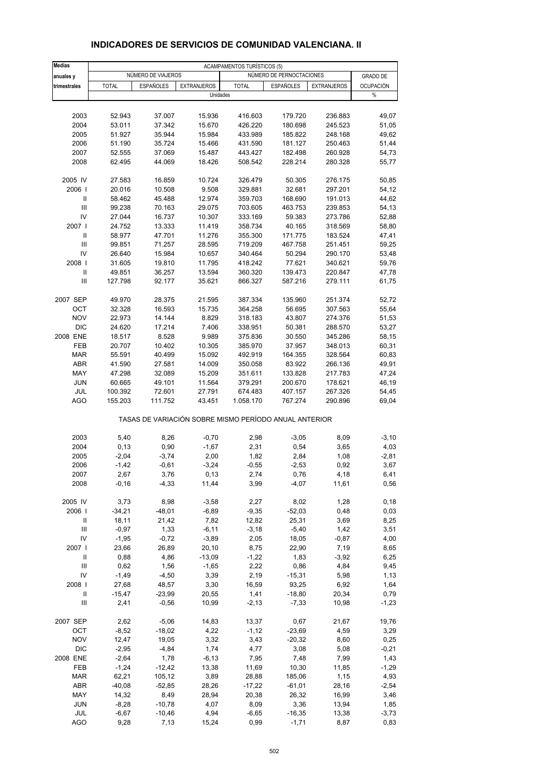| <b>Medias</b>                      | <b>ACAMPAMENTOS TURÍSTICOS (5)</b> |                    |                    |                                                       |                          |                    |                  |  |
|------------------------------------|------------------------------------|--------------------|--------------------|-------------------------------------------------------|--------------------------|--------------------|------------------|--|
| anuales y                          |                                    | NÚMERO DE VIAJEROS |                    |                                                       | NÚMERO DE PERNOCTACIONES |                    | <b>GRADO DE</b>  |  |
| trimestrales                       | <b>TOTAL</b>                       | <b>ESPAÑOLES</b>   | <b>EXTRANJEROS</b> | <b>TOTAL</b>                                          | <b>ESPAÑOLES</b>         | <b>EXTRANJEROS</b> | <b>OCUPACIÓN</b> |  |
|                                    |                                    |                    |                    | Unidades                                              |                          |                    | $\%$             |  |
|                                    |                                    |                    |                    |                                                       |                          |                    |                  |  |
| 2003                               | 52.943                             | 37.007             | 15.936             | 416.603                                               | 179.720                  | 236.883            | 49,07            |  |
| 2004                               | 53.011                             | 37.342             | 15.670             | 426.220                                               | 180.698                  | 245.523            | 51,05            |  |
| 2005                               | 51.927                             | 35.944             | 15.984             | 433.989                                               | 185.822                  | 248.168            | 49,62            |  |
| 2006                               | 51.190                             | 35.724             | 15.466             | 431.590                                               | 181.127                  | 250.463            | 51,44            |  |
| 2007                               | 52.555                             | 37.069             | 15.487             | 443.427                                               | 182.498                  | 260.928            | 54,73            |  |
| 2008                               | 62.495                             | 44.069             | 18.426             | 508.542                                               | 228.214                  | 280.328            | 55,77            |  |
| 2005 IV                            | 27.583                             | 16.859             | 10.724             | 326.479                                               | 50.305                   | 276.175            | 50,85            |  |
| 2006                               | 20.016                             | 10.508             | 9.508              | 329.881                                               | 32.681                   | 297.201            | 54,12            |  |
| Ш                                  | 58.462                             | 45.488             | 12.974             | 359.703                                               | 168.690                  | 191.013            | 44,62            |  |
| Ш                                  | 99.238                             | 70.163             | 29.075             | 703.605                                               | 463.753                  | 239.853            | 54,13            |  |
| IV                                 | 27.044                             | 16.737             | 10.307             | 333.169                                               | 59.383                   | 273.786            | 52,88            |  |
| 2007 l                             | 24.752                             | 13.333             | 11.419             | 358.734                                               | 40.165                   | 318.569            | 58,80            |  |
| Ш<br>Ш                             | 58.977<br>99.851                   | 47.701<br>71.257   | 11.276<br>28.595   | 355.300<br>719.209                                    | 171.775<br>467.758       | 183.524<br>251.451 | 47,41<br>59,25   |  |
| IV                                 | 26.640                             | 15.984             | 10.657             | 340.464                                               | 50.294                   | 290.170            | 53,48            |  |
| 2008                               | 31.605                             | 19.810             | 11.795             | 418.242                                               | 77.621                   | 340.621            | 59,76            |  |
| $\mathbf{II}$                      | 49.851                             | 36.257             | 13.594             | 360.320                                               | 139.473                  | 220.847            | 47,78            |  |
| III                                | 127.798                            | 92.177             | 35.621             | 866.327                                               | 587.216                  | 279.111            | 61,75            |  |
| 2007 SEP                           | 49.970                             |                    |                    |                                                       |                          |                    |                  |  |
| ОСТ                                | 32.328                             | 28.375<br>16.593   | 21.595<br>15.735   | 387.334<br>364.258                                    | 135.960<br>56.695        | 251.374<br>307.563 | 52,72<br>55,64   |  |
| <b>NOV</b>                         | 22.973                             | 14.144             | 8.829              | 318.183                                               | 43.807                   | 274.376            | 51,53            |  |
| <b>DIC</b>                         | 24.620                             | 17.214             | 7.406              | 338.951                                               | 50.381                   | 288.570            | 53,27            |  |
| 2008 ENE                           | 18.517                             | 8.528              | 9.989              | 375.836                                               | 30.550                   | 345.286            | 58,15            |  |
| FEB                                | 20.707                             | 10.402             | 10.305             | 385.970                                               | 37.957                   | 348.013            | 60,31            |  |
| <b>MAR</b>                         | 55.591                             | 40.499             | 15.092             | 492.919                                               | 164.355                  | 328.564            | 60,83            |  |
| <b>ABR</b>                         | 41.590                             | 27.581             | 14.009             | 350.058                                               | 83.922                   | 266.136            | 49,91            |  |
| MAY                                | 47.298                             | 32.089             | 15.209             | 351.611                                               | 133.828                  | 217.783            | 47,24            |  |
| <b>JUN</b>                         | 60.665                             | 49.101             | 11.564             | 379.291                                               | 200.670                  | 178.621            | 46,19            |  |
| JUL                                | 100.392                            | 72.601             | 27.791             | 674.483                                               | 407.157                  | 267.326            | 54,45            |  |
| <b>AGO</b>                         | 155.203                            | 111.752            | 43.451             | 1.058.170                                             | 767.274                  | 290.896            | 69,04            |  |
|                                    |                                    |                    |                    | TASAS DE VARIACIÓN SOBRE MISMO PERÍODO ANUAL ANTERIOR |                          |                    |                  |  |
| 2003                               | 5,40                               | 8,26               | $-0,70$            | 2,98                                                  | $-3,05$                  | 8,09               | $-3,10$          |  |
| 2004                               | 0, 13                              | 0,90               | $-1,67$            | 2,31                                                  | 0,54                     | 3,65               | 4,03             |  |
| 2005                               | $-2,04$                            | $-3,74$            | 2,00               | 1,82                                                  | 2,84                     | 1,08               | $-2,81$          |  |
| 2006                               | $-1,42$                            | $-0,61$            | $-3,24$            | $-0,55$                                               | $-2,53$                  | 0,92               | 3,67             |  |
| 2007                               | 2,67                               | 3,76               | 0,13               | 2,74                                                  | 0,76                     | 4,18               | 6,41             |  |
| 2008                               | $-0, 16$                           | $-4,33$            | 11,44              | 3,99                                                  | $-4,07$                  | 11,61              | 0,56             |  |
| 2005 IV                            | 3,73                               | 8,98               | $-3,58$            | 2,27                                                  | 8,02                     | 1,28               | 0,18             |  |
| 2006                               | $-34,21$                           | $-48,01$           | $-6,89$            | $-9,35$                                               | $-52,03$                 | 0,48               | 0,03             |  |
| Ш                                  | 18,11                              | 21,42              | 7,82               | 12,82                                                 | 25,31                    | 3,69               | 8,25             |  |
| Ш<br>IV                            | $-0,97$                            | 1,33               | $-6, 11$           | $-3,18$                                               | $-5,40$                  | 1,42               | 3,51             |  |
| 2007                               | $-1,95$<br>23,66                   | $-0,72$<br>26,89   | $-3,89$<br>20,10   | 2,05<br>8,75                                          | 18,05<br>22,90           | $-0,87$<br>7,19    | 4,00             |  |
| Ш                                  | 0,88                               | 4,86               | $-13,09$           | $-1,22$                                               | 1,83                     | $-3,92$            | 8,65<br>6,25     |  |
| Ш                                  | 0,62                               | 1,56               | $-1,65$            | 2,22                                                  | 0,86                     | 4,84               | 9,45             |  |
| IV                                 | $-1,49$                            | $-4,50$            | 3,39               | 2,19                                                  | $-15,31$                 | 5,98               | 1,13             |  |
| 2008                               | 27,68                              | 48,57              | 3,30               | 16,59                                                 | 93,25                    | 6,92               | 1,64             |  |
| Ш                                  | $-15,47$                           | $-23,99$           | 20,55              | 1,41                                                  | $-18,80$                 | 20,34              | 0,79             |  |
| $\ensuremath{\mathsf{III}}\xspace$ | 2,41                               | $-0,56$            | 10,99              | $-2,13$                                               | $-7,33$                  | 10,98              | $-1,23$          |  |
| 2007 SEP                           | 2,62                               | $-5,06$            | 14,83              | 13,37                                                 | 0,67                     | 21,67              | 19,76            |  |
| OCT                                | $-8,52$                            | $-18,02$           | 4,22               | $-1, 12$                                              | $-23,69$                 | 4,59               | 3,29             |  |
| <b>NOV</b>                         | 12,47                              | 19,05              | 3,32               | 3,43                                                  | $-20,32$                 | 8,60               | 0,25             |  |
| <b>DIC</b>                         | $-2,95$                            | $-4,84$            | 1,74               | 4,77                                                  | 3,08                     | 5,08               | $-0,21$          |  |
| 2008 ENE                           | $-2,64$                            | 1,78               | $-6, 13$           | 7,95                                                  | 7,48                     | 7,99               | 1,43             |  |
| FEB                                | $-1,24$                            | $-12,42$           | 13,38              | 11,69                                                 | 10,30                    | 11,85              | -1,29            |  |
| <b>MAR</b>                         | 62,21                              | 105,12             | 3,89               | 28,88                                                 | 185,06                   | 1,15               | 4,93             |  |
| ABR                                | $-40,08$                           | $-52,85$           | 28,26              | $-17,22$                                              | $-61,01$                 | 28,16              | $-2,54$          |  |
| MAY                                | 14,32                              | 8,49               | 28,94              | 20,38                                                 | 26,32                    | 16,99              | 3,46             |  |
| JUN                                | $-8,28$                            | $-10,78$           | 4,07               | 8,09                                                  | 3,36                     | 13,94              | 1,85             |  |
| JUL                                | $-6,67$                            | $-10,46$           | 4,94               | $-6,65$                                               | $-16,35$                 | 13,38              | $-3,73$          |  |
| <b>AGO</b>                         | 9,28                               | 7,13               | 15,24              | 0,99                                                  | $-1,71$                  | 8,87               | 0,83             |  |

#### **INDICADORES DE SERVICIOS DE COMUNIDAD VALENCIANA. II**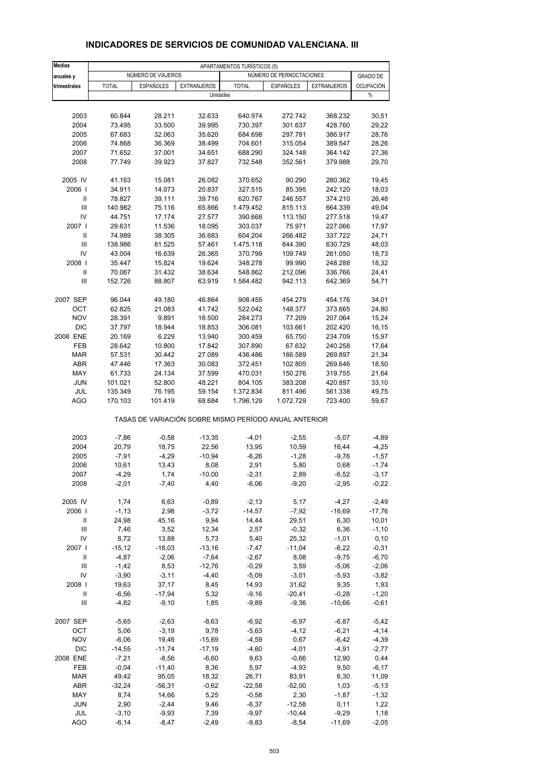| <b>Medias</b>  | APARTAMENTOS TURÍSTICOS (5) |                    |                                |              |                                                       |                    |                 |  |  |
|----------------|-----------------------------|--------------------|--------------------------------|--------------|-------------------------------------------------------|--------------------|-----------------|--|--|
| anuales y      |                             | NÚMERO DE VIAJEROS |                                |              | NÚMERO DE PERNOCTACIONES                              |                    | <b>GRADO DE</b> |  |  |
| trimestrales   | <b>TOTAL</b>                | <b>ESPAÑOLES</b>   | <b>EXTRANJEROS</b><br>Unidades | <b>TOTAL</b> | <b>ESPAÑOLES</b>                                      | <b>EXTRANJEROS</b> | OCUPACIÓN<br>%  |  |  |
|                |                             |                    |                                |              |                                                       |                    |                 |  |  |
| 2003           | 60.844                      | 28.211             | 32.633                         | 640.974      | 272.742                                               | 368.232            | 30,51           |  |  |
| 2004           | 73.495                      | 33.500             | 39.995                         | 730.397      | 301.637                                               | 428.760            | 29,22           |  |  |
| 2005           | 67.683                      | 32.063             | 35.620                         | 684.698      | 297.781                                               | 386.917            | 28,76           |  |  |
| 2006           | 74.868                      | 36.369             | 38.499                         | 704.601      | 315.054                                               | 389.547            | 28,26           |  |  |
| 2007           | 71.652                      | 37.001             | 34.651                         | 688.290      | 324.148                                               | 364.142            | 27,36           |  |  |
| 2008           | 77.749                      | 39.923             | 37.827                         | 732.548      | 352.561                                               | 379.988            | 29,70           |  |  |
| 2005 IV        | 41.163                      | 15.081             | 26.082                         | 370.652      | 90.290                                                | 280.362            | 19,45           |  |  |
| 2006           | 34.911                      | 14.073             | 20.837                         | 327.515      | 85.395                                                | 242.120            | 18,03           |  |  |
| Ш              | 78.827                      | 39.111             | 39.716                         | 620.767      | 246.557                                               | 374.210            | 26,48           |  |  |
| Ш              | 140.982                     | 75.116             | 65.866                         | 1.479.452    | 815.113                                               | 664.339            | 49,04           |  |  |
| IV             | 44.751                      | 17.174             | 27.577                         | 390.668      | 113.150                                               | 277.518            | 19,47           |  |  |
| 2007 l         | 29.631                      | 11.536             | 18.095                         | 303.037      | 75.971                                                | 227.066            | 17,97           |  |  |
| Ш              | 74.989                      | 38.305             | 36.683                         | 604.204      | 266.482                                               | 337.722            | 24,71           |  |  |
| Ш              | 138.986                     | 81.525             | 57.461                         | 1.475.118    | 844.390                                               | 630.729            | 48,03           |  |  |
| IV             | 43.004                      | 16.639             | 26.365                         | 370.799      | 109.749                                               | 261.050            | 18,73           |  |  |
| 2008           | 35.447                      | 15.824             | 19.624                         | 348.278      | 99.990                                                | 248.288            | 18,32           |  |  |
| Ш              | 70.067                      | 31.432             | 38.634                         | 548.862      | 212.096                                               | 336.766            | 24,41           |  |  |
| Ш              | 152.726                     | 88.807             | 63.919                         | 1.584.482    | 942.113                                               | 642.369            | 54,71           |  |  |
| 2007 SEP       | 96.044                      | 49.180             | 46.864                         | 908.455      | 454.279                                               | 454.176            | 34,01           |  |  |
| OCT            | 62.825                      | 21.083             | 41.742                         | 522.042      | 148.377                                               | 373.665            | 24,80           |  |  |
| <b>NOV</b>     | 28.391                      | 9.891              | 18.500                         | 284.273      | 77.209                                                | 207.064            | 15,24           |  |  |
| <b>DIC</b>     | 37.797                      | 18.944             | 18.853                         | 306.081      | 103.661                                               | 202.420            | 16,15           |  |  |
| 2008 ENE       | 20.169                      | 6.229              | 13.940                         | 300.459      | 65.750                                                | 234.709            | 15,97           |  |  |
| FEB            | 28.642                      | 10.800             | 17.842                         | 307.890      | 67.632                                                | 240.258            | 17,64           |  |  |
| <b>MAR</b>     | 57.531                      | 30.442             | 27.089                         | 436.486      | 166.589                                               | 269.897            | 21,34           |  |  |
| <b>ABR</b>     | 47.446                      | 17.363             | 30.083                         | 372.451      | 102.805                                               | 269.646            | 18,50           |  |  |
| MAY            | 61.733                      | 24.134             | 37.599                         | 470.031      | 150.276                                               | 319.755            | 21,64           |  |  |
| <b>JUN</b>     | 101.021                     | 52.800             | 48.221                         | 804.105      | 383.208                                               | 420.897            | 33,10           |  |  |
| JUL            | 135.349                     | 76.195             | 59.154                         | 1.372.834    | 811.496                                               | 561.338            | 49,75           |  |  |
| <b>AGO</b>     | 170.103                     | 101.419            | 68.684                         | 1.796.129    | 1.072.729                                             | 723.400            | 59,67           |  |  |
|                |                             |                    |                                |              | TASAS DE VARIACIÓN SOBRE MISMO PERÍODO ANUAL ANTERIOR |                    |                 |  |  |
| 2003           | $-7,86$                     | $-0,58$            | $-13,35$                       | $-4,01$      | $-2,55$                                               | $-5,07$            | $-4,89$         |  |  |
| 2004           | 20,79                       | 18,75              | 22,56                          | 13,95        | 10,59                                                 | 16,44              | $-4,25$         |  |  |
| 2005           | $-7,91$                     | $-4,29$            | $-10,94$                       | $-6,26$      | $-1,28$                                               | $-9,76$            | $-1,57$         |  |  |
| 2006           | 10,61                       | 13,43              | 8,08                           | 2,91         | 5,80                                                  | 0,68               | $-1,74$         |  |  |
| 2007           | $-4,29$                     | 1,74               | $-10,00$                       | $-2,31$      | 2,89                                                  | $-6,52$            | $-3,17$         |  |  |
| 2008           | $-2,01$                     | $-7,40$            | 4,40                           | $-6,06$      | $-9,20$                                               | $-2,95$            | $-0,22$         |  |  |
| 2005 IV        | 1,74                        | 6,63               | $-0,89$                        | $-2, 13$     | 5,17                                                  | $-4,27$            | $-2,49$         |  |  |
| 2006           | $-1, 13$                    | 2,98               | $-3,72$                        | $-14,57$     | $-7,92$                                               | $-16,69$           | $-17,76$        |  |  |
| Ш              | 24,98                       | 45,16              | 9,94                           | 14,44        | 29,51                                                 | 6,30               | 10,01           |  |  |
| Ш              | 7,46                        | 3,52               | 12,34                          | 2,57         | $-0,32$                                               | 6,36               | $-1,10$         |  |  |
| IV             | 8,72                        | 13,88              | 5,73                           | 5,40         | 25,32                                                 | $-1,01$            | 0, 10           |  |  |
| 2007 l         | $-15, 12$                   | $-18,03$           | $-13,16$                       | $-7,47$      | $-11,04$                                              | $-6,22$            | $-0,31$         |  |  |
| Ш              | $-4,87$                     | $-2,06$            | $-7,64$                        | $-2,67$      | 8,08                                                  | $-9,75$            | $-6,70$         |  |  |
| $\mathbf{III}$ | $-1,42$                     | 8,53               | $-12,76$                       | $-0,29$      | 3,59                                                  | $-5,06$            | $-2,06$         |  |  |
| IV             | $-3,90$                     | $-3,11$            | $-4,40$                        | $-5,09$      | $-3,01$                                               | $-5,93$            | $-3,82$         |  |  |
| 2008           | 19,63                       | 37,17              | 8,45                           | 14,93        | 31,62                                                 | 9,35               | 1,93            |  |  |
| Ш              | $-6,56$                     | $-17,94$           | 5,32                           | $-9,16$      | $-20,41$                                              | $-0,28$            | $-1,20$         |  |  |
| $\mathsf{III}$ | $-4,82$                     | $-9,10$            | 1,85                           | $-9,89$      | $-9,36$                                               | $-10,66$           | $-0,61$         |  |  |
| 2007 SEP       | $-5,65$                     | $-2,63$            | $-8,63$                        | $-6,92$      | $-6,97$                                               | $-6,87$            | $-5,42$         |  |  |
| OCT            | 5,06                        | $-3,19$            | 9,78                           | $-5,63$      | $-4, 12$                                              | $-6,21$            | $-4, 14$        |  |  |
| <b>NOV</b>     | $-6,06$                     | 19,46              | $-15,69$                       | $-4,59$      | 0,67                                                  | $-6,42$            | $-4,39$         |  |  |
| <b>DIC</b>     | $-14,55$                    | $-11,74$           | $-17,19$                       | $-4,60$      | $-4,01$                                               | $-4,91$            | $-2,77$         |  |  |
| 2008 ENE       | $-7,21$                     | $-8,56$            | $-6,60$                        | 9,63         | $-0,66$                                               | 12,90              | 0,44            |  |  |
| FEB            | $-0,04$                     | $-11,40$           | 8,36                           | 5,97         | $-4,93$                                               | 9,50               | $-6,17$         |  |  |
| <b>MAR</b>     | 49,42                       | 95,05              | 18,32                          | 26,71        | 83,91                                                 | 6,30               | 11,09           |  |  |
| ABR            | $-32,24$                    | $-56,31$           | $-0,62$                        | $-22,58$     | $-52,00$                                              | 1,03               | $-5,13$         |  |  |
| MAY            | 8,74                        | 14,66              | 5,25                           | $-0,58$      | 2,30                                                  | $-1,87$            | $-1,32$         |  |  |
| <b>JUN</b>     | 2,90                        | $-2,44$            | 9,46                           | $-6,37$      | $-12,58$                                              | 0,11               | 1,22            |  |  |
| JUL            | $-3,10$                     | $-9,93$            | 7,39                           | $-9,97$      | $-10,44$                                              | $-9,29$            | 1,18            |  |  |
| <b>AGO</b>     | $-6, 14$                    | $-8,47$            | $-2,49$                        | $-9,83$      | $-8,54$                                               | $-11,69$           | $-2,05$         |  |  |
|                |                             |                    |                                |              |                                                       |                    |                 |  |  |

#### **INDICADORES DE SERVICIOS DE COMUNIDAD VALENCIANA. III**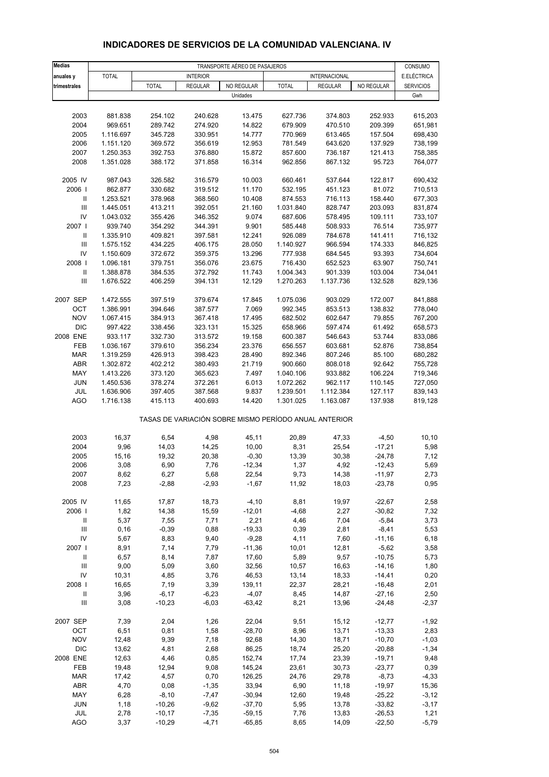| <b>Medias</b>                      | TRANSPORTE AÉREO DE PASAJEROS |               |                 |                                                       |                 |                |                     |                        |  |  |
|------------------------------------|-------------------------------|---------------|-----------------|-------------------------------------------------------|-----------------|----------------|---------------------|------------------------|--|--|
| anuales y                          | <b>TOTAL</b>                  |               | <b>INTERIOR</b> |                                                       |                 | INTERNACIONAL  |                     | CONSUMO<br>E.ELÉCTRICA |  |  |
| trimestrales                       |                               | <b>TOTAL</b>  | <b>REGULAR</b>  | NO REGULAR                                            | <b>TOTAL</b>    | <b>REGULAR</b> | NO REGULAR          | <b>SERVICIOS</b>       |  |  |
|                                    |                               |               |                 | Unidades                                              |                 |                |                     | Gwh                    |  |  |
|                                    |                               |               |                 |                                                       |                 |                |                     |                        |  |  |
| 2003                               | 881.838                       | 254.102       | 240.628         | 13.475                                                | 627.736         | 374.803        | 252.933             | 615,203                |  |  |
| 2004                               | 969.651                       | 289.742       | 274.920         | 14.822                                                | 679.909         | 470.510        | 209.399             | 651,981                |  |  |
| 2005                               | 1.116.697                     | 345.728       | 330.951         | 14.777                                                | 770.969         | 613.465        | 157.504             | 698,430                |  |  |
| 2006                               | 1.151.120                     | 369.572       | 356.619         | 12.953                                                | 781.549         | 643.620        | 137.929             | 738,199                |  |  |
| 2007                               | 1.250.353                     | 392.753       | 376.880         | 15.872                                                | 857.600         | 736.187        | 121.413             | 758,385                |  |  |
| 2008                               | 1.351.028                     | 388.172       | 371.858         | 16.314                                                | 962.856         | 867.132        | 95.723              | 764,077                |  |  |
| 2005 IV                            | 987.043                       | 326.582       | 316.579         | 10.003                                                | 660.461         | 537.644        | 122.817             | 690,432                |  |  |
| 2006                               | 862.877                       | 330.682       | 319.512         | 11.170                                                | 532.195         | 451.123        | 81.072              | 710,513                |  |  |
| Ш                                  | 1.253.521                     | 378.968       | 368.560         | 10.408                                                | 874.553         | 716.113        | 158.440             | 677,303                |  |  |
| Ш                                  | 1.445.051                     | 413.211       | 392.051         | 21.160                                                | 1.031.840       | 828.747        | 203.093             | 831,874                |  |  |
| IV                                 | 1.043.032                     | 355.426       | 346.352         | 9.074                                                 | 687.606         | 578.495        | 109.111             | 733,107                |  |  |
| 2007 l                             | 939.740                       | 354.292       | 344.391         | 9.901                                                 | 585.448         | 508.933        | 76.514              | 735,977                |  |  |
| Ш                                  | 1.335.910                     | 409.821       | 397.581         | 12.241                                                | 926.089         | 784.678        | 141.411             | 716,132                |  |  |
| III                                | 1.575.152                     | 434.225       | 406.175         | 28.050                                                | 1.140.927       | 966.594        | 174.333             | 846,825                |  |  |
| IV                                 | 1.150.609                     | 372.672       | 359.375         | 13.296                                                | 777.938         | 684.545        | 93.393              | 734,604                |  |  |
| 2008                               | 1.096.181                     | 379.751       | 356.076         | 23.675                                                | 716.430         | 652.523        | 63.907              | 750,741                |  |  |
| $\mathbf{II}$                      | 1.388.878                     | 384.535       | 372.792         | 11.743                                                | 1.004.343       | 901.339        | 103.004             | 734,041                |  |  |
| $\ensuremath{\mathsf{III}}\xspace$ | 1.676.522                     | 406.259       | 394.131         | 12.129                                                | 1.270.263       | 1.137.736      | 132.528             | 829,136                |  |  |
| 2007 SEP                           | 1.472.555                     | 397.519       | 379.674         | 17.845                                                | 1.075.036       | 903.029        | 172.007             | 841,888                |  |  |
| OCT                                | 1.386.991                     | 394.646       | 387.577         | 7.069                                                 | 992.345         | 853.513        | 138.832             | 778,040                |  |  |
| <b>NOV</b>                         | 1.067.415                     | 384.913       | 367.418         | 17.495                                                | 682.502         | 602.647        | 79.855              | 767,200                |  |  |
| <b>DIC</b>                         | 997.422                       | 338.456       | 323.131         | 15.325                                                | 658.966         | 597.474        | 61.492              | 658,573                |  |  |
| 2008 ENE                           | 933.117                       | 332.730       | 313.572         | 19.158                                                | 600.387         | 546.643        | 53.744              | 833,086                |  |  |
| FEB                                | 1.036.167                     | 379.610       | 356.234         | 23.376                                                | 656.557         | 603.681        | 52.876              | 738,854                |  |  |
| <b>MAR</b>                         | 1.319.259                     | 426.913       | 398.423         | 28.490                                                | 892.346         | 807.246        | 85.100              | 680,282                |  |  |
| ABR                                | 1.302.872                     | 402.212       | 380.493         | 21.719                                                | 900.660         | 808.018        | 92.642              | 755,728                |  |  |
| MAY                                | 1.413.226                     | 373.120       | 365.623         | 7.497                                                 | 1.040.106       | 933.882        | 106.224             | 719,346                |  |  |
| <b>JUN</b>                         | 1.450.536                     | 378.274       | 372.261         | 6.013                                                 | 1.072.262       | 962.117        | 110.145             | 727,050                |  |  |
| JUL                                | 1.636.906                     | 397.405       | 387.568         | 9.837                                                 | 1.239.501       | 1.112.384      | 127.117             | 839,143                |  |  |
| AGO                                | 1.716.138                     | 415.113       | 400.693         | 14.420                                                | 1.301.025       | 1.163.087      | 137.938             | 819,128                |  |  |
|                                    |                               |               |                 | TASAS DE VARIACIÓN SOBRE MISMO PERÍODO ANUAL ANTERIOR |                 |                |                     |                        |  |  |
| 2003                               | 16,37                         | 6,54          | 4,98            | 45,11                                                 | 20,89           | 47,33          | $-4,50$             | 10, 10                 |  |  |
| 2004                               | 9,96                          | 14,03         | 14,25           | 10,00                                                 | 8,31            | 25,54          | $-17,21$            | 5,98                   |  |  |
| 2005                               | 15,16                         | 19,32         | 20,38           | $-0,30$                                               | 13,39           | 30,38          | $-24,78$            | 7,12                   |  |  |
| 2006                               | 3,08                          | 6,90          | 7,76            | $-12,34$                                              | 1,37            | 4,92           | $-12,43$            | 5,69                   |  |  |
| 2007                               | 8,62                          | 6,27          | 5,68            | 22,54                                                 | 9,73            | 14,38          | $-11,97$            | 2,73                   |  |  |
| 2008                               | 7,23                          | $-2,88$       | $-2,93$         | $-1,67$                                               | 11,92           | 18,03          | $-23,78$            | 0,95                   |  |  |
|                                    |                               |               |                 |                                                       |                 |                |                     |                        |  |  |
| 2005 IV                            | 11,65                         | 17,87         | 18,73           | $-4, 10$                                              | 8,81            | 19,97          | $-22,67$            | 2,58                   |  |  |
| 2006  <br>$\mathbf{II}$            | 1,82<br>5,37                  | 14,38<br>7,55 | 15,59<br>7,71   | $-12,01$<br>2,21                                      | $-4,68$<br>4,46 | 2,27<br>7,04   | $-30,82$<br>$-5,84$ | 7,32<br>3,73           |  |  |
| Ш                                  | 0, 16                         | $-0,39$       | 0,88            | $-19,33$                                              | 0,39            | 2,81           | $-8,41$             | 5,53                   |  |  |
| IV                                 | 5,67                          | 8,83          | 9,40            | $-9,28$                                               | 4,11            | 7,60           | $-11,16$            | 6, 18                  |  |  |
| 2007 l                             | 8,91                          | 7,14          | 7,79            | $-11,36$                                              | 10,01           | 12,81          | $-5,62$             | 3,58                   |  |  |
| Ш                                  | 6,57                          | 8,14          | 7,87            | 17,60                                                 | 5,89            | 9,57           | $-10,75$            | 5,73                   |  |  |
| $\ensuremath{\mathsf{III}}\xspace$ | 9,00                          | 5,09          | 3,60            | 32,56                                                 | 10,57           | 16,63          | $-14,16$            | 1,80                   |  |  |
| IV                                 | 10,31                         | 4,85          | 3,76            | 46,53                                                 | 13,14           | 18,33          | $-14,41$            | 0,20                   |  |  |
| 2008                               | 16,65                         | 7,19          | 3,39            | 139,11                                                | 22,37           | 28,21          | $-16,48$            | 2,01                   |  |  |
| $\mathbf{II}$                      | 3,96                          | $-6,17$       | $-6,23$         | $-4,07$                                               | 8,45            | 14,87          | $-27,16$            | 2,50                   |  |  |
| $\ensuremath{\mathsf{III}}\xspace$ | 3,08                          | $-10,23$      | $-6,03$         | $-63,42$                                              | 8,21            | 13,96          | $-24,48$            | $-2,37$                |  |  |
| 2007 SEP                           | 7,39                          | 2,04          |                 | 22,04                                                 | 9,51            | 15, 12         | $-12,77$            | $-1,92$                |  |  |
| OCT                                | 6,51                          | 0,81          | 1,26<br>1,58    | $-28,70$                                              | 8,96            | 13,71          | $-13,33$            | 2,83                   |  |  |
| <b>NOV</b>                         | 12,48                         | 9,39          | 7,18            | 92,68                                                 | 14,30           | 18,71          | $-10,70$            | $-1,03$                |  |  |
| <b>DIC</b>                         | 13,62                         | 4,81          | 2,68            | 86,25                                                 | 18,74           | 25,20          | $-20,88$            | $-1,34$                |  |  |
| 2008 ENE                           | 12,63                         | 4,46          | 0,85            | 152,74                                                | 17,74           | 23,39          | $-19,71$            | 9,48                   |  |  |
| FEB                                | 19,48                         | 12,94         | 9,08            | 145,24                                                | 23,61           | 30,73          | $-23,77$            | 0,39                   |  |  |
| <b>MAR</b>                         | 17,42                         | 4,57          | 0,70            | 126,25                                                | 24,76           | 29,78          | $-8,73$             | $-4,33$                |  |  |
| ABR                                | 4,70                          | 0,08          | $-1,35$         | 33,94                                                 | 6,90            | 11,18          | $-19,97$            | 15,36                  |  |  |
| MAY                                | 6,28                          | $-8,10$       | $-7,47$         | $-30,94$                                              | 12,60           | 19,48          | $-25,22$            | $-3,12$                |  |  |
| <b>JUN</b>                         | 1,18                          | $-10,26$      | $-9,62$         | $-37,70$                                              | 5,95            | 13,78          | $-33,82$            | $-3,17$                |  |  |

#### **INDICADORES DE SERVICIOS DE LA COMUNIDAD VALENCIANA. IV**

 JUL 2,78 -10,17 -7,35 -59,15 7,76 13,83 -26,53 1,21 AGO 3,37 -10,29 -4,71 -65,85 8,65 14,09 -22,50 -5,79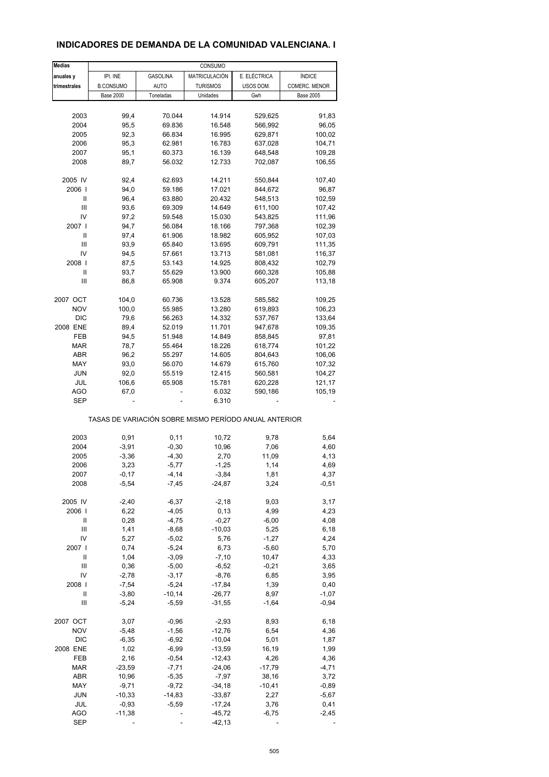# **INDICADORES DE DEMANDA DE LA COMUNIDAD VALENCIANA. I**

| <b>Medias</b> |                  |                 | CONSUMO                                               |              |                  |
|---------------|------------------|-----------------|-------------------------------------------------------|--------------|------------------|
| anuales y     | IPI. INE         | <b>GASOLINA</b> | MATRICULACIÓN                                         | E. ELÉCTRICA | <b>ÍNDICE</b>    |
| trimestrales  | <b>B.CONSUMO</b> | <b>AUTO</b>     | <b>TURISMOS</b>                                       | USOS DOM.    | COMERC. MENOR    |
|               | <b>Base 2000</b> | Toneladas       | Unidades                                              | Gwh          | <b>Base 2005</b> |
|               |                  |                 |                                                       |              |                  |
| 2003          | 99,4             | 70.044          | 14.914                                                | 529,625      | 91,83            |
| 2004          | 95,5             | 69.836          | 16.548                                                | 566,992      | 96,05            |
| 2005          | 92,3             | 66.834          | 16.995                                                | 629,871      | 100,02           |
| 2006          | 95,3             | 62.981          | 16.783                                                | 637,028      | 104,71           |
| 2007          | 95,1             | 60.373          | 16.139                                                | 648,548      | 109,28           |
| 2008          | 89,7             | 56.032          | 12.733                                                | 702,087      | 106,55           |
|               |                  |                 |                                                       |              |                  |
| 2005 IV       | 92,4             | 62.693          | 14.211                                                | 550,844      | 107,40           |
| 2006          | 94,0             | 59.186          | 17.021                                                | 844,672      | 96,87            |
| Ш             | 96,4             | 63.880          | 20.432                                                | 548,513      | 102,59           |
| Ш             | 93,6             | 69.309          | 14.649                                                | 611,100      | 107,42           |
| IV            | 97,2             | 59.548          | 15.030                                                | 543,825      | 111,96           |
| 2007          | 94,7             | 56.084          | 18.166                                                | 797,368      | 102,39           |
| Ш             | 97,4             | 61.906          | 18.982                                                | 605,952      | 107,03           |
| Ш             | 93,9             | 65.840          | 13.695                                                | 609,791      | 111,35           |
| IV            | 94,5             | 57.661          | 13.713                                                | 581,081      | 116,37           |
| 2008          | 87,5             | 53.143          | 14.925                                                | 808,432      |                  |
| Ш             |                  |                 |                                                       | 660,328      | 102,79           |
|               | 93,7             | 55.629          | 13.900                                                |              | 105,88           |
| Ш             | 86,8             | 65.908          | 9.374                                                 | 605,207      | 113,18           |
| 2007 OCT      | 104,0            | 60.736          | 13.528                                                | 585,582      | 109,25           |
| <b>NOV</b>    | 100,0            | 55.985          | 13.280                                                | 619,893      | 106,23           |
| <b>DIC</b>    | 79,6             | 56.263          | 14.332                                                | 537,767      | 133,64           |
| 2008 ENE      | 89,4             | 52.019          | 11.701                                                | 947,678      | 109,35           |
|               |                  |                 |                                                       |              |                  |
| FEB           | 94,5             | 51.948          | 14.849                                                | 858,845      | 97,81            |
| <b>MAR</b>    | 78,7             | 55.464          | 18.226                                                | 618,774      | 101,22           |
| ABR           | 96,2             | 55.297          | 14.605                                                | 804,643      | 106,06           |
| MAY           | 93,0             | 56.070          | 14.679                                                | 615,760      | 107,32           |
| <b>JUN</b>    | 92,0             | 55.519          | 12.415                                                | 560,581      | 104,27           |
| JUL           | 106,6            | 65.908          | 15.781                                                | 620,228      | 121,17           |
| AGO           | 67,0             |                 | 6.032                                                 | 590,186      | 105,19           |
| <b>SEP</b>    |                  |                 | 6.310                                                 |              |                  |
|               |                  |                 | TASAS DE VARIACIÓN SOBRE MISMO PERÍODO ANUAL ANTERIOR |              |                  |
|               |                  |                 |                                                       |              |                  |
| 2003          | 0,91             | 0,11            | 10,72                                                 | 9,78         | 5,64             |
| 2004          | $-3,91$          | $-0,30$         | 10,96                                                 | 7,06         | 4,60             |
| 2005          | $-3,36$          | $-4,30$         | 2,70                                                  | 11,09        | 4,13             |
| 2006          | 3,23             | $-5,77$         | $-1,25$                                               | 1,14         | 4,69             |
| 2007          | $-0,17$          | $-4, 14$        | $-3,84$                                               | 1,81         | 4,37             |
| 2008          | $-5,54$          | $-7,45$         | $-24,87$                                              | 3,24         | $-0,51$          |
| 2005 IV       | $-2,40$          | $-6,37$         | $-2,18$                                               | 9,03         | 3,17             |
| 2006          | 6,22             | $-4,05$         | 0, 13                                                 | 4,99         | 4,23             |
| Ш             | 0,28             | $-4,75$         | $-0,27$                                               |              |                  |
|               |                  |                 |                                                       | $-6,00$      | 4,08             |
| Ш             | 1,41             | $-8,68$         | $-10,03$                                              | 5,25         | 6,18             |
| IV            | 5,27             | $-5,02$         | 5,76                                                  | $-1,27$      | 4,24             |
| 2007 l        | 0,74             | $-5,24$         | 6,73                                                  | $-5,60$      | 5,70             |
| Ш             | 1,04             | $-3,09$         | $-7,10$                                               | 10,47        | 4,33             |
| Ш             | 0,36             | $-5,00$         | $-6,52$                                               | $-0,21$      | 3,65             |
| IV            | $-2,78$          | $-3,17$         | $-8,76$                                               | 6,85         | 3,95             |
| 2008          | $-7,54$          | $-5,24$         | $-17,84$                                              | 1,39         | 0,40             |
| Ш             | $-3,80$          | $-10,14$        | $-26,77$                                              | 8,97         | $-1,07$          |
| Ш             | $-5,24$          | $-5,59$         | $-31,55$                                              | $-1,64$      | $-0,94$          |
|               |                  |                 |                                                       |              |                  |
| 2007 OCT      | 3,07             | $-0,96$         | $-2,93$                                               | 8,93         | 6,18             |
| <b>NOV</b>    | $-5,48$          | $-1,56$         | $-12,76$                                              | 6,54         | 4,36             |
| <b>DIC</b>    | $-6,35$          | $-6,92$         | $-10,04$                                              | 5,01         | 1,87             |
| 2008 ENE      | 1,02             | $-6,99$         | $-13,59$                                              | 16,19        | 1,99             |
| FEB           | 2,16             | $-0,54$         | $-12,43$                                              | 4,26         | 4,36             |
| MAR           | $-23,59$         | $-7,71$         | $-24,06$                                              | $-17,79$     | $-4,71$          |
| ABR           | 10,96            | $-5,35$         | $-7,97$                                               | 38,16        | 3,72             |
| MAY           | $-9,71$          | $-9,72$         | $-34,18$                                              | $-10,41$     | $-0,89$          |
| <b>JUN</b>    | $-10,33$         | $-14,83$        | $-33,87$                                              | 2,27         | $-5,67$          |
| JUL           | $-0,93$          | $-5,59$         | $-17,24$                                              | 3,76         | 0,41             |
| <b>AGO</b>    | $-11,38$         |                 | $-45,72$                                              | $-6,75$      | $-2,45$          |
| <b>SEP</b>    |                  |                 | $-42, 13$                                             |              |                  |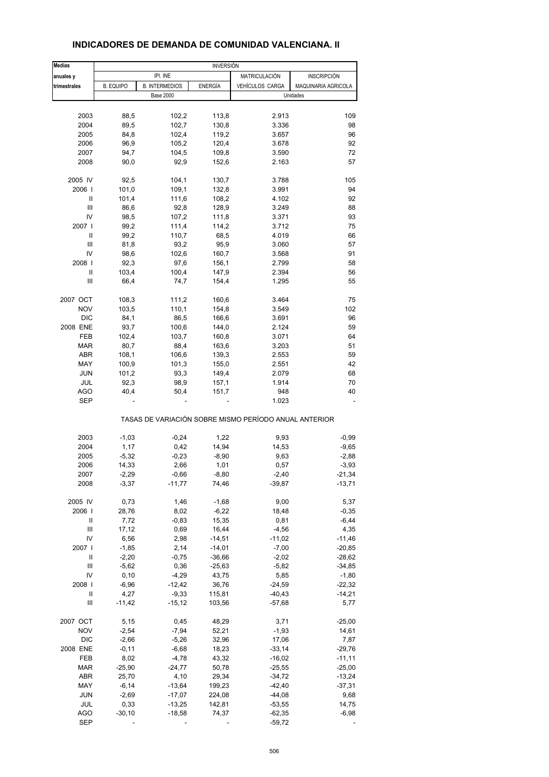| <b>Medias</b> | <b>INVERSIÓN</b> |                       |                |                                                       |                     |  |
|---------------|------------------|-----------------------|----------------|-------------------------------------------------------|---------------------|--|
| anuales y     |                  | IPI. INE              |                | MATRICULACIÓN                                         | INSCRIPCIÓN         |  |
| trimestrales  | <b>B. EQUIPO</b> | <b>B. INTERMEDIOS</b> | <b>ENERGÍA</b> | VEHÍCULOS CARGA                                       | MAQUINARIA AGRICOLA |  |
|               |                  | <b>Base 2000</b>      |                |                                                       | Unidades            |  |
|               |                  |                       |                |                                                       |                     |  |
| 2003          | 88,5             | 102,2                 | 113,8          | 2.913                                                 | 109                 |  |
| 2004          | 89,5             | 102,7                 | 130,8          | 3.336                                                 | 98                  |  |
| 2005          | 84,8             | 102,4                 | 119,2          | 3.657                                                 | 96                  |  |
| 2006          | 96,9             | 105,2                 | 120,4          | 3.678                                                 | 92                  |  |
| 2007          | 94,7             | 104,5                 | 109,8          | 3.590                                                 | 72                  |  |
| 2008          | 90,0             | 92,9                  | 152,6          | 2.163                                                 | 57                  |  |
|               |                  |                       |                |                                                       |                     |  |
| 2005 IV       | 92,5             | 104,1                 | 130,7          | 3.788                                                 | 105                 |  |
| 2006          | 101,0            | 109,1                 | 132,8          | 3.991                                                 | 94                  |  |
| Ш             | 101,4            | 111,6                 | 108,2          | 4.102                                                 | 92                  |  |
| Ш             | 86,6             | 92,8                  | 128,9          | 3.249                                                 | 88                  |  |
| IV            | 98,5             | 107,2                 | 111,8          | 3.371                                                 | 93                  |  |
| 2007          | 99,2             | 111,4                 | 114,2          | 3.712                                                 | 75                  |  |
| Ш             | 99,2             | 110,7                 | 68,5           | 4.019                                                 | 66                  |  |
| Ш             | 81,8             | 93,2                  | 95,9           | 3.060                                                 | 57                  |  |
| IV            | 98,6             | 102,6                 | 160,7          | 3.568                                                 | 91                  |  |
| 2008          | 92,3             | 97,6                  | 156,1          | 2.799                                                 | 58                  |  |
| Ш             | 103,4            | 100,4                 | 147,9          | 2.394                                                 | 56                  |  |
| Ш             | 66,4             | 74,7                  | 154,4          | 1.295                                                 | 55                  |  |
|               |                  |                       |                |                                                       |                     |  |
| 2007 OCT      | 108,3            | 111,2                 | 160,6          | 3.464                                                 | 75                  |  |
| <b>NOV</b>    | 103,5            | 110,1                 | 154,8          | 3.549                                                 | 102                 |  |
| <b>DIC</b>    | 84,1             | 86,5                  | 166,6          | 3.691                                                 | 96                  |  |
| 2008 ENE      | 93,7             | 100,6                 | 144,0          | 2.124                                                 | 59                  |  |
| FEB           | 102,4            | 103,7                 | 160,8          | 3.071                                                 | 64                  |  |
| <b>MAR</b>    | 80,7             | 88,4                  | 163,6          | 3.203                                                 | 51                  |  |
| <b>ABR</b>    | 108,1            | 106,6                 | 139,3          | 2.553                                                 | 59                  |  |
| MAY           |                  |                       |                |                                                       |                     |  |
|               | 100,9            | 101,3                 | 155,0          | 2.551                                                 | 42                  |  |
| <b>JUN</b>    | 101,2            | 93,3                  | 149,4          | 2.079                                                 | 68                  |  |
| JUL           | 92,3             | 98,9                  | 157,1          | 1.914                                                 | 70                  |  |
| <b>AGO</b>    | 40,4             | 50,4                  | 151,7          | 948                                                   | 40                  |  |
| <b>SEP</b>    |                  |                       |                | 1.023                                                 |                     |  |
|               |                  |                       |                | TASAS DE VARIACIÓN SOBRE MISMO PERÍODO ANUAL ANTERIOR |                     |  |
| 2003          | $-1,03$          | $-0,24$               | 1,22           | 9,93                                                  | $-0,99$             |  |
| 2004          | 1,17             | 0,42                  | 14,94          | 14,53                                                 | -9,65               |  |
| 2005          | $-5,32$          | $-0,23$               | $-8,90$        | 9,63                                                  | $-2,88$             |  |
|               |                  |                       |                |                                                       |                     |  |
| 2006          | 14,33            | 2,66                  | 1,01           | 0,57                                                  | $-3,93$             |  |
| 2007          | $-2,29$          | $-0,66$               | $-8,80$        | $-2,40$                                               | $-21,34$            |  |
| 2008          | $-3,37$          | $-11,77$              | 74,46          | $-39,87$                                              | $-13,71$            |  |
| 2005 IV       | 0,73             | 1,46                  | $-1,68$        | 9,00                                                  | 5,37                |  |
| 2006          | 28,76            | 8,02                  | $-6,22$        | 18,48                                                 | $-0,35$             |  |
| Ш             | 7,72             | $-0,83$               | 15,35          | 0,81                                                  | $-6,44$             |  |
| Ш             | 17,12            | 0,69                  | 16,44          | $-4,56$                                               | 4,35                |  |
| IV            | 6,56             | 2,98                  | $-14,51$       | $-11,02$                                              | $-11,46$            |  |
|               |                  |                       |                |                                                       |                     |  |
| 2007 l        | $-1,85$          | 2,14                  | $-14,01$       | $-7,00$                                               | $-20,85$            |  |
| Ш             | $-2,20$          | $-0,75$               | $-36,66$       | $-2,02$                                               | $-28,62$            |  |
| Ш             | $-5,62$          | 0,36                  | $-25,63$       | $-5,82$                                               | $-34,85$            |  |
| IV            | 0, 10            | $-4,29$               | 43,75          | 5,85                                                  | $-1,80$             |  |
| 2008          | $-6,96$          | $-12,42$              | 36,76          | $-24,59$                                              | $-22,32$            |  |
| Ш             | 4,27             | $-9,33$               | 115,81         | $-40,43$                                              | $-14,21$            |  |
| Ш             | $-11,42$         | $-15, 12$             | 103,56         | $-57,68$                                              | 5,77                |  |
| 2007 OCT      | 5,15             | 0,45                  | 48,29          | 3,71                                                  | $-25,00$            |  |
|               |                  |                       |                |                                                       |                     |  |
| <b>NOV</b>    | $-2,54$          | $-7,94$               | 52,21          | $-1,93$                                               | 14,61               |  |
| <b>DIC</b>    | $-2,66$          | $-5,26$               | 32,96          | 17,06                                                 | 7,87                |  |
| 2008 ENE      | $-0,11$          | $-6,68$               | 18,23          | $-33,14$                                              | $-29,76$            |  |
| FEB           | 8,02             | $-4,78$               | 43,32          | $-16,02$                                              | $-11,11$            |  |
| <b>MAR</b>    | $-25,90$         | $-24,77$              | 50,78          | $-25,55$                                              | $-25,00$            |  |
| <b>ABR</b>    | 25,70            | 4,10                  | 29,34          | $-34,72$                                              | $-13,24$            |  |
| MAY           | $-6,14$          | $-13,64$              | 199,23         | $-42,40$                                              | $-37,31$            |  |
| <b>JUN</b>    | $-2,69$          | $-17,07$              | 224,08         | $-44,08$                                              | 9,68                |  |
| JUL           |                  | $-13,25$              |                |                                                       | 14,75               |  |
|               | 0,33             |                       | 142,81         | $-53,55$                                              |                     |  |
| AGO           | $-30,10$         | $-18,58$              | 74,37          | $-62,35$                                              | $-6,98$             |  |

#### **INDICADORES DE DEMANDA DE COMUNIDAD VALENCIANA. II**

SEP - - - -59,72 -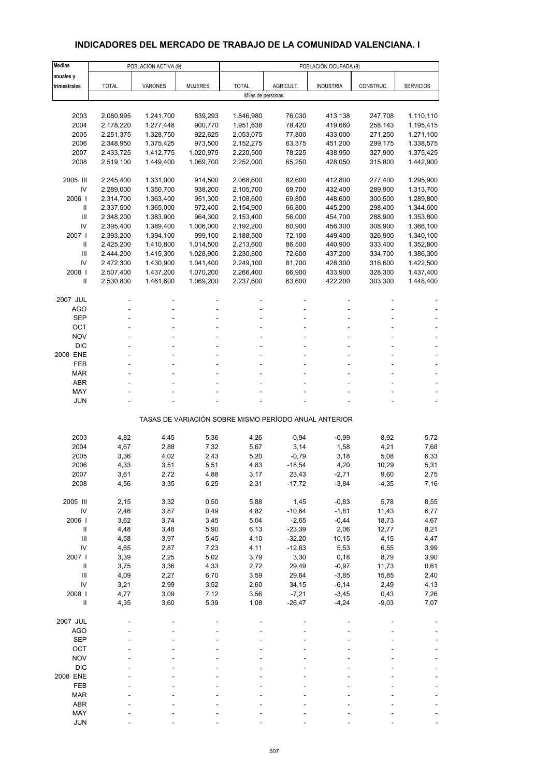# **INDICADORES DEL MERCADO DE TRABAJO DE LA COMUNIDAD VALENCIANA. I**

| Medias                     |              | POBLACIÓN ACTIVA (9) |                |                                                       |           | POBLACIÓN OCUPADA (9) |           |                  |
|----------------------------|--------------|----------------------|----------------|-------------------------------------------------------|-----------|-----------------------|-----------|------------------|
| anuales y                  |              |                      |                |                                                       |           |                       |           |                  |
| trimestrales               | <b>TOTAL</b> | VARONES              | <b>MUJERES</b> | <b>TOTAL</b>                                          | AGRICULT. | <b>INDUSTRIA</b>      | CONSTRUC. | <b>SERVICIOS</b> |
|                            |              |                      |                | Miles de personas                                     |           |                       |           |                  |
|                            |              |                      |                |                                                       |           |                       |           |                  |
| 2003                       | 2.080,995    | 1.241,700            | 839,293        | 1.846,980                                             | 76,030    | 413,138               | 247,708   | 1.110,110        |
| 2004                       | 2.178,220    | 1.277,448            | 900,770        | 1.951,638                                             | 78,420    | 419,660               | 258,143   | 1.195,415        |
| 2005                       | 2.251,375    | 1.328,750            | 922,625        | 2.053,075                                             | 77,800    | 433,000               | 271,250   | 1.271,100        |
| 2006                       | 2.348,950    | 1.375,425            | 973,500        | 2.152,275                                             | 63,375    | 451,200               | 299,175   | 1.338,575        |
| 2007                       | 2.433,725    | 1.412,775            | 1.020,975      | 2.220,500                                             | 78,225    | 438,950               | 327,900   | 1.375,425        |
| 2008                       | 2.519,100    | 1.449,400            | 1.069,700      | 2.252,000                                             | 65,250    | 428,050               | 315,800   | 1.442,900        |
| 2005 III                   | 2.245,400    | 1.331,000            | 914,500        | 2.068,600                                             | 82,600    | 412,800               | 277,400   | 1.295,900        |
| IV                         | 2.289,000    | 1.350,700            | 938,200        | 2.105,700                                             | 69,700    | 432,400               | 289,900   | 1.313,700        |
| 2006                       | 2.314,700    | 1.363,400            | 951,300        | 2.108,600                                             | 69,800    | 448,600               | 300,500   | 1.289,800        |
| Ш                          | 2.337,500    | 1.365,000            | 972,400        | 2.154,900                                             | 66,800    | 445,200               | 298,400   | 1.344,600        |
| Ш                          | 2.348,200    | 1.383,900            | 964,300        | 2.153,400                                             | 56,000    | 454,700               | 288,900   | 1.353,800        |
| IV                         | 2.395,400    | 1.389,400            | 1.006,000      | 2.192,200                                             | 60,900    | 456,300               | 308,900   | 1.366,100        |
| 2007 l                     | 2.393,200    | 1.394,100            | 999,100        | 2.188,500                                             | 72,100    | 449,400               | 326,900   | 1.340,100        |
| $\mathbf{II}$              | 2.425,200    | 1.410,800            | 1.014,500      | 2.213,600                                             | 86,500    | 440,900               | 333,400   | 1.352,800        |
| Ш                          | 2.444,200    | 1.415,300            | 1.028,900      | 2.230,800                                             | 72,600    | 437,200               | 334,700   | 1.386,300        |
| IV                         | 2.472,300    | 1.430,900            | 1.041,400      | 2.249,100                                             | 81,700    | 428,300               | 316,600   | 1.422,500        |
| 2008                       | 2.507,400    | 1.437,200            | 1.070,200      | 2.266,400                                             | 66,900    | 433,900               | 328,300   | 1.437,400        |
| $\mathbf{I}$               | 2.530,800    | 1.461,600            | 1.069,200      | 2.237,600                                             | 63,600    | 422,200               | 303,300   | 1.448,400        |
| 2007 JUL                   |              |                      |                |                                                       |           |                       |           |                  |
| <b>AGO</b>                 |              |                      |                |                                                       |           |                       |           |                  |
| <b>SEP</b>                 |              |                      |                |                                                       |           |                       |           |                  |
| OCT                        |              |                      |                |                                                       |           |                       |           |                  |
| <b>NOV</b>                 |              |                      |                |                                                       |           |                       |           |                  |
| <b>DIC</b>                 |              |                      |                |                                                       |           |                       |           |                  |
| 2008 ENE                   |              |                      |                |                                                       |           |                       |           |                  |
| FEB                        |              |                      |                |                                                       |           |                       |           |                  |
| <b>MAR</b>                 |              |                      |                |                                                       |           |                       |           |                  |
| <b>ABR</b>                 |              |                      |                |                                                       |           |                       |           |                  |
| MAY                        |              |                      |                |                                                       |           |                       |           |                  |
| JUN                        |              |                      |                |                                                       |           |                       |           |                  |
|                            |              |                      |                | TASAS DE VARIACIÓN SOBRE MISMO PERÍODO ANUAL ANTERIOR |           |                       |           |                  |
|                            |              |                      |                |                                                       |           |                       |           |                  |
| 2003                       | 4,82         | 4,45                 | 5,36           | 4,26                                                  | $-0,94$   | $-0,99$               | 8,92      | 5,72             |
| 2004                       | 4,67         | 2,88                 | 7,32           | 5,67                                                  | 3,14      | 1,58                  | 4,21      | 7,68             |
| 2005                       | 3,36         | 4,02                 | 2,43           | 5,20                                                  | $-0,79$   | 3,18                  | 5,08      | 6,33             |
| 2006                       | 4,33         | 3,51                 | 5,51           | 4,83                                                  | $-18,54$  | 4,20                  | 10,29     | 5,31             |
| 2007                       | 3,61         | 2,72                 | 4,88           | 3,17                                                  | 23,43     | -2,71                 | 9,60      | 2,75             |
| 2008                       | 4,56         | 3,35                 | 6,25           | 2,31                                                  | $-17,72$  | $-3,84$               | $-4,35$   | 7,16             |
| 2005 III                   | 2,15         | 3,32                 | 0,50           | 5,88                                                  | 1,45      | $-0,83$               | 5,78      | 8,55             |
| IV                         | 2,46         | 3,87                 | 0,49           | 4,82                                                  | $-10,64$  | $-1,81$               | 11,43     | 6,77             |
| 2006                       | 3,62         | 3,74                 | 3,45           | 5,04                                                  | $-2,65$   | $-0,44$               | 18,73     | 4,67             |
| $\, \parallel$             | 4,48         | 3,48                 | 5,90           | 6,13                                                  | $-23,39$  | 2,06                  | 12,77     | 8,21             |
| Ш                          | 4,58         | 3,97                 | 5,45           | 4,10                                                  | $-32,20$  | 10,15                 | 4,15      | 4,47             |
| IV                         | 4,65         | 2,87                 | 7,23           | 4,11                                                  | $-12,63$  | 5,53                  | 6,55      | 3,99             |
| 2007 l                     | 3,39         | 2,25                 | 5,02           | 3,79                                                  | 3,30      | 0, 18                 | 8,79      | 3,90             |
| $\mathbf{II}$              | 3,75         | 3,36                 | 4,33           | 2,72                                                  | 29,49     | $-0,97$               | 11,73     | 0,61             |
| III                        | 4,09         | 2,27                 | 6,70           | 3,59                                                  | 29,64     | $-3,85$               | 15,85     | 2,40             |
| IV                         | 3,21         | 2,99                 | 3,52           | 2,60                                                  | 34,15     | $-6, 14$              | 2,49      | 4,13             |
| 2008                       | 4,77         | 3,09                 | 7,12           | 3,56                                                  | $-7,21$   | $-3,45$               | 0,43      | 7,26             |
| $\ensuremath{\mathsf{II}}$ | 4,35         | 3,60                 | 5,39           | 1,08                                                  | $-26,47$  | $-4,24$               | $-9,03$   | 7,07             |
| 2007 JUL                   |              |                      |                |                                                       |           |                       |           |                  |
| <b>AGO</b>                 |              |                      |                |                                                       |           |                       |           |                  |
| <b>SEP</b>                 |              |                      |                |                                                       |           |                       |           |                  |
| OCT                        |              |                      |                |                                                       |           |                       |           |                  |
| <b>NOV</b>                 |              |                      |                |                                                       |           |                       |           |                  |
| <b>DIC</b>                 |              |                      |                |                                                       |           |                       |           |                  |
| 2008 ENE                   |              |                      |                |                                                       |           |                       |           |                  |
| FEB                        |              |                      |                |                                                       |           |                       |           |                  |
| <b>MAR</b>                 |              |                      |                |                                                       |           |                       |           |                  |
| ABR                        |              |                      |                |                                                       |           |                       |           |                  |
| MAY                        |              |                      |                |                                                       |           |                       |           |                  |
| <b>JUN</b>                 |              |                      |                |                                                       |           |                       |           |                  |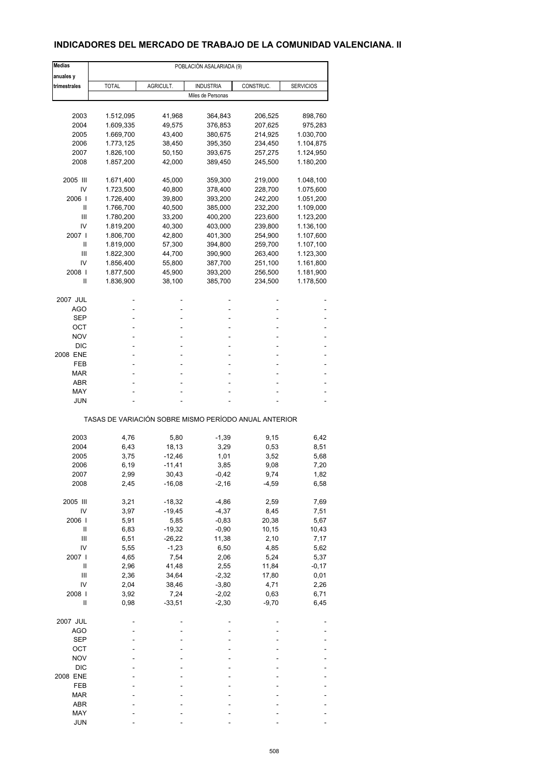## **INDICADORES DEL MERCADO DE TRABAJO DE LA COMUNIDAD VALENCIANA. II**

| <b>Medias</b> |              |           | POBLACIÓN ASALARIADA (9)                              |           |                  |
|---------------|--------------|-----------|-------------------------------------------------------|-----------|------------------|
| anuales y     |              |           |                                                       |           |                  |
| trimestrales  | <b>TOTAL</b> | AGRICULT. | <b>INDUSTRIA</b>                                      | CONSTRUC. | <b>SERVICIOS</b> |
|               |              |           | Miles de Personas                                     |           |                  |
|               |              |           |                                                       |           |                  |
| 2003          | 1.512,095    | 41,968    | 364,843                                               | 206,525   | 898,760          |
| 2004          | 1.609,335    | 49,575    | 376,853                                               | 207,625   | 975,283          |
| 2005          | 1.669,700    | 43,400    | 380,675                                               | 214,925   | 1.030,700        |
| 2006          | 1.773,125    | 38,450    | 395,350                                               | 234,450   | 1.104,875        |
| 2007          | 1.826,100    | 50,150    | 393,675                                               | 257,275   | 1.124,950        |
| 2008          | 1.857,200    | 42,000    | 389,450                                               | 245,500   | 1.180,200        |
| 2005 III      | 1.671,400    | 45,000    | 359,300                                               | 219,000   | 1.048,100        |
| IV            | 1.723,500    | 40,800    | 378,400                                               | 228,700   | 1.075,600        |
| 2006 l        | 1.726,400    | 39,800    | 393,200                                               | 242,200   | 1.051,200        |
| Ш             | 1.766,700    | 40,500    | 385,000                                               | 232,200   | 1.109,000        |
| Ш             | 1.780,200    | 33,200    | 400,200                                               | 223,600   | 1.123,200        |
| IV            | 1.819,200    | 40,300    | 403,000                                               | 239,800   | 1.136,100        |
| 2007 l        | 1.806,700    | 42,800    | 401,300                                               | 254,900   | 1.107,600        |
| Ш             | 1.819,000    | 57,300    | 394,800                                               | 259,700   | 1.107,100        |
| Ш             | 1.822,300    | 44,700    |                                                       | 263,400   | 1.123,300        |
| IV            | 1.856,400    | 55,800    | 390,900<br>387,700                                    | 251,100   | 1.161,800        |
| 2008          |              | 45,900    |                                                       |           |                  |
| $\mathbf{I}$  | 1.877,500    |           | 393,200                                               | 256,500   | 1.181,900        |
|               | 1.836,900    | 38,100    | 385,700                                               | 234,500   | 1.178,500        |
| 2007 JUL      |              |           |                                                       |           |                  |
| AGO           |              |           |                                                       |           |                  |
| SEP           |              |           | ÷,                                                    |           |                  |
| OCT           |              |           |                                                       |           |                  |
| <b>NOV</b>    |              |           |                                                       |           |                  |
| <b>DIC</b>    |              |           |                                                       |           |                  |
| 2008 ENE      |              |           |                                                       |           |                  |
| FEB           |              |           |                                                       |           |                  |
| MAR           |              |           |                                                       |           |                  |
| ABR           |              |           |                                                       |           |                  |
| MAY           |              |           |                                                       |           |                  |
| JUN           |              |           |                                                       |           |                  |
|               |              |           |                                                       |           |                  |
|               |              |           | TASAS DE VARIACIÓN SOBRE MISMO PERÍODO ANUAL ANTERIOR |           |                  |
| 2003          | 4,76         | 5,80      | $-1,39$                                               | 9,15      | 6,42             |
| 2004          | 6,43         | 18,13     | 3,29                                                  | 0,53      | 8,51             |
| 2005          | 3,75         | $-12,46$  | 1,01                                                  | 3,52      | 5,68             |
| 2006          | 6,19         | $-11,41$  | 3,85                                                  | 9,08      | 7,20             |
| 2007          | 2,99         | 30,43     | $-0,42$                                               | 9,74      | 1,82             |
| 2008          | 2,45         | $-16,08$  | $-2,16$                                               | $-4,59$   | 6,58             |
| 2005 III      | 3,21         | $-18,32$  | $-4,86$                                               | 2,59      | 7,69             |
| IV            | 3,97         | $-19,45$  | $-4,37$                                               | 8,45      | 7,51             |
| 2006          | 5,91         | 5,85      | $-0,83$                                               | 20,38     | 5,67             |
| Ш             | 6,83         | $-19,32$  | $-0,90$                                               | 10,15     | 10,43            |
| Ш             | 6,51         | $-26,22$  | 11,38                                                 | 2,10      |                  |
|               |              |           |                                                       |           | 7,17             |
| IV            | 5,55         | $-1,23$   | 6,50                                                  | 4,85      | 5,62             |
| 2007 l        | 4,65         | 7,54      | 2,06                                                  | 5,24      | 5,37             |
| Ш             | 2,96         | 41,48     | 2,55                                                  | 11,84     | $-0,17$          |
| Ш             | 2,36         | 34,64     | $-2,32$                                               | 17,80     | 0,01             |
| IV            | 2,04         | 38,46     | $-3,80$                                               | 4,71      | 2,26             |
| 2008          | 3,92         | 7,24      | $-2,02$                                               | 0,63      | 6,71             |
| $\sf II$      | 0,98         | $-33,51$  | $-2,30$                                               | $-9,70$   | 6,45             |
| 2007 JUL      |              |           |                                                       |           |                  |
| <b>AGO</b>    |              |           |                                                       |           |                  |
| <b>SEP</b>    |              |           |                                                       |           |                  |
| OCT           |              |           |                                                       |           |                  |
| <b>NOV</b>    |              |           |                                                       |           |                  |
| <b>DIC</b>    |              |           |                                                       |           |                  |
| 2008 ENE      |              |           |                                                       |           |                  |
|               |              |           |                                                       |           |                  |
| FEB           |              |           |                                                       |           |                  |
| <b>MAR</b>    |              |           |                                                       |           |                  |
| ABR           |              |           |                                                       |           |                  |
| MAY           |              |           |                                                       |           |                  |
| <b>JUN</b>    |              |           |                                                       |           |                  |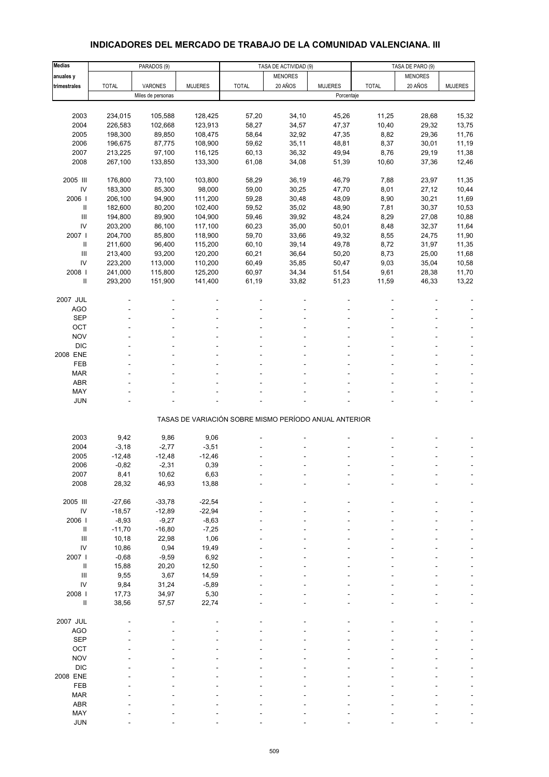# **INDICADORES DEL MERCADO DE TRABAJO DE LA COMUNIDAD VALENCIANA. III**

| Medias                     |              | PARADOS (9)       |                | TASA DE ACTIVIDAD (9)                                 |                | TASA DE PARO (9) |              |                |                |
|----------------------------|--------------|-------------------|----------------|-------------------------------------------------------|----------------|------------------|--------------|----------------|----------------|
| anuales y                  |              |                   |                |                                                       | <b>MENORES</b> |                  |              | <b>MENORES</b> |                |
| trimestrales               | <b>TOTAL</b> | VARONES           | <b>MUJERES</b> | <b>TOTAL</b>                                          | 20 AÑOS        | <b>MUJERES</b>   | <b>TOTAL</b> | 20 AÑOS        | <b>MUJERES</b> |
|                            |              | Miles de personas |                |                                                       |                | Porcentaje       |              |                |                |
|                            |              |                   |                |                                                       |                |                  |              |                |                |
| 2003                       | 234,015      | 105,588           | 128,425        | 57,20                                                 | 34,10          | 45,26            | 11,25        | 28,68          | 15,32          |
| 2004                       | 226,583      | 102,668           | 123,913        | 58,27                                                 | 34,57          | 47,37            | 10,40        | 29,32          | 13,75          |
| 2005                       | 198,300      | 89,850            | 108,475        | 58,64                                                 | 32,92          | 47,35            | 8,82         | 29,36          | 11,76          |
| 2006                       | 196,675      | 87,775            | 108,900        | 59,62                                                 | 35,11          | 48,81            | 8,37         | 30,01          | 11,19          |
| 2007                       | 213,225      | 97,100            | 116,125        | 60,13                                                 | 36,32          | 49,94            | 8,76         | 29,19          | 11,38          |
| 2008                       | 267,100      | 133,850           | 133,300        | 61,08                                                 | 34,08          | 51,39            | 10,60        | 37,36          | 12,46          |
|                            |              |                   |                |                                                       |                |                  |              |                |                |
| 2005 III                   | 176,800      | 73,100            | 103,800        | 58,29                                                 | 36,19          | 46,79            | 7,88         | 23,97          | 11,35          |
| IV                         | 183,300      | 85,300            | 98,000         | 59,00                                                 | 30,25          | 47,70            | 8,01         | 27,12          | 10,44          |
| 2006                       | 206,100      | 94,900            | 111,200        | 59,28                                                 | 30,48          | 48,09            | 8,90         | 30,21          | 11,69          |
| Ш                          | 182,600      | 80,200            | 102,400        | 59,52                                                 | 35,02          | 48,90            | 7,81         | 30,37          | 10,53          |
| $\mathbf{III}$             | 194,800      | 89,900            | 104,900        | 59,46                                                 | 39,92          | 48,24            | 8,29         | 27,08          | 10,88          |
| IV                         | 203,200      | 86,100            | 117,100        | 60,23                                                 | 35,00          | 50,01            | 8,48         | 32,37          | 11,64          |
| 2007 l                     | 204,700      | 85,800            | 118,900        | 59,70                                                 | 33,66          | 49,32            | 8,55         | 24,75          | 11,90          |
| $\sf II$                   | 211,600      | 96,400            | 115,200        | 60,10                                                 | 39,14          | 49,78            | 8,72         | 31,97          | 11,35          |
| Ш                          | 213,400      | 93,200            | 120,200        | 60,21                                                 | 36,64          | 50,20            | 8,73         | 25,00          | 11,68          |
| IV                         | 223,200      | 113,000           | 110,200        | 60,49                                                 | 35,85          | 50,47            | 9,03         | 35,04          | 10,58          |
| 2008                       | 241,000      | 115,800           | 125,200        | 60,97                                                 | 34,34          | 51,54            | 9,61         | 28,38          | 11,70          |
| Ш                          | 293,200      | 151,900           | 141,400        | 61,19                                                 | 33,82          | 51,23            | 11,59        | 46,33          | 13,22          |
|                            |              |                   |                |                                                       |                |                  |              |                |                |
| 2007 JUL                   |              |                   |                |                                                       |                |                  |              |                |                |
| <b>AGO</b>                 |              |                   |                |                                                       |                |                  |              |                |                |
| <b>SEP</b>                 |              |                   |                |                                                       |                |                  |              |                |                |
| OCT                        |              |                   |                |                                                       |                |                  |              |                |                |
| <b>NOV</b>                 |              |                   |                |                                                       |                |                  |              |                |                |
| <b>DIC</b>                 |              |                   |                |                                                       |                |                  |              |                |                |
| 2008 ENE                   |              |                   |                |                                                       |                |                  |              |                |                |
| <b>FEB</b>                 |              |                   |                |                                                       |                |                  |              |                |                |
| <b>MAR</b>                 |              |                   |                |                                                       |                |                  |              |                |                |
| <b>ABR</b>                 |              |                   |                |                                                       |                |                  |              |                |                |
| MAY                        |              |                   |                |                                                       |                |                  |              |                |                |
| <b>JUN</b>                 |              |                   |                |                                                       |                |                  |              |                |                |
|                            |              |                   |                | TASAS DE VARIACIÓN SOBRE MISMO PERÍODO ANUAL ANTERIOR |                |                  |              |                |                |
|                            |              |                   |                |                                                       |                |                  |              |                |                |
| 2003                       | 9,42         | 9,86              | 9,06           |                                                       |                |                  |              |                |                |
| 2004                       | $-3,18$      | $-2,77$           | $-3,51$        |                                                       |                |                  |              |                |                |
| 2005                       | $-12,48$     | $-12,48$          | $-12,46$       |                                                       |                |                  |              |                |                |
| 2006                       | $-0,82$      | $-2,31$           | 0,39           |                                                       |                |                  |              |                |                |
| 2007                       | 8,41         | 10,62             | 6,63           |                                                       |                |                  |              |                |                |
| 2008                       | 28,32        | 46,93             | 13,88          |                                                       |                |                  |              |                |                |
|                            |              |                   |                |                                                       |                |                  |              |                |                |
| 2005 III                   | $-27,66$     | $-33,78$          | $-22,54$       |                                                       |                |                  |              |                |                |
| IV                         | $-18,57$     | $-12,89$          | $-22,94$       |                                                       |                |                  |              |                |                |
| 2006                       | $-8,93$      | $-9,27$           | $-8,63$        |                                                       |                |                  |              |                |                |
| Ш                          | $-11,70$     | $-16,80$          | $-7,25$        |                                                       |                |                  |              |                |                |
| $\mathbf{III}$             | 10,18        | 22,98             | 1,06           |                                                       |                |                  |              |                |                |
| IV                         | 10,86        | 0,94              | 19,49          |                                                       |                |                  |              |                |                |
| 2007 l                     | $-0,68$      | $-9,59$           | 6,92           |                                                       |                |                  |              |                |                |
| Ш                          | 15,88        | 20,20             | 12,50          |                                                       |                |                  |              |                |                |
| $\mathbf{III}$             | 9,55         | 3,67              | 14,59          |                                                       |                |                  |              |                |                |
| IV                         | 9,84         | 31,24             | $-5,89$        |                                                       |                |                  |              |                |                |
| 2008                       | 17,73        | 34,97             | 5,30           |                                                       |                |                  |              |                |                |
| $\ensuremath{\mathsf{II}}$ | 38,56        | 57,57             | 22,74          |                                                       |                |                  |              |                |                |
|                            |              |                   |                |                                                       |                |                  |              |                |                |
| 2007 JUL                   |              |                   |                |                                                       |                |                  |              |                |                |
| <b>AGO</b>                 |              |                   |                |                                                       |                |                  |              |                |                |
| <b>SEP</b>                 |              |                   |                |                                                       |                |                  |              |                |                |
| OCT                        |              |                   |                |                                                       |                |                  |              |                |                |
| <b>NOV</b>                 |              |                   |                |                                                       |                |                  |              |                |                |
| <b>DIC</b>                 |              |                   |                |                                                       |                |                  |              |                |                |
| 2008 ENE                   |              |                   |                |                                                       |                |                  |              |                |                |
| FEB                        |              |                   |                |                                                       |                |                  |              |                |                |
| <b>MAR</b>                 |              |                   |                |                                                       |                |                  |              |                |                |
| ABR                        |              |                   |                |                                                       |                |                  |              |                |                |
| MAY                        |              |                   |                |                                                       |                |                  |              |                |                |
| <b>JUN</b>                 |              |                   |                |                                                       |                |                  |              |                |                |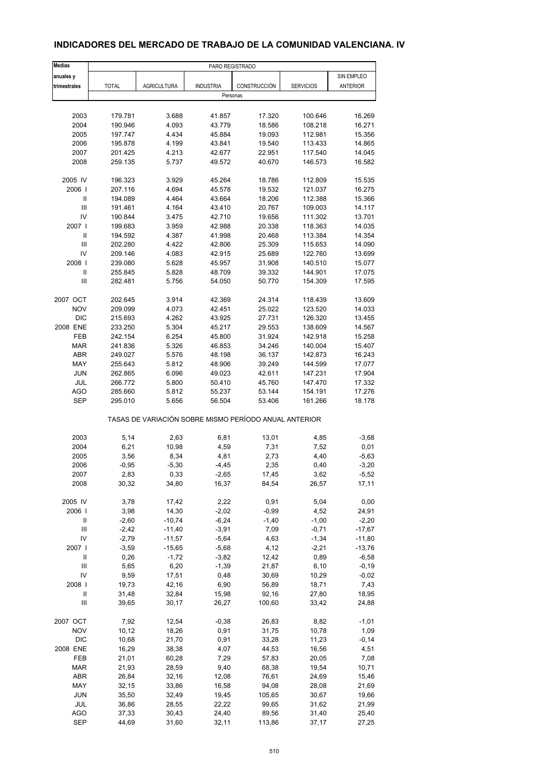### **INDICADORES DEL MERCADO DE TRABAJO DE LA COMUNIDAD VALENCIANA. IV**

| <b>Medias</b>                      | PARO REGISTRADO    |                    |                                                       |                  |                  |                    |
|------------------------------------|--------------------|--------------------|-------------------------------------------------------|------------------|------------------|--------------------|
| anuales y                          |                    |                    |                                                       |                  |                  | SIN EMPLEO         |
| trimestrales                       | <b>TOTAL</b>       | <b>AGRICULTURA</b> | <b>INDUSTRIA</b>                                      | CONSTRUCCIÓN     | <b>SERVICIOS</b> | <b>ANTERIOR</b>    |
|                                    |                    |                    | Personas                                              |                  |                  |                    |
|                                    |                    |                    |                                                       |                  |                  |                    |
| 2003                               | 179.781            | 3.688              | 41.857                                                | 17.320           | 100.646          | 16.269             |
| 2004                               | 190.946            | 4.093              | 43.779                                                | 18.586           | 108.218          | 16.271             |
| 2005                               | 197.747            | 4.434              | 45.884                                                | 19.093           | 112.981          | 15.356             |
| 2006                               | 195.878            | 4.199              | 43.841                                                | 19.540           | 113.433          | 14.865             |
| 2007                               | 201.425            | 4.213              | 42.677                                                | 22.951           | 117.540          | 14.045             |
| 2008                               | 259.135            | 5.737              | 49.572                                                | 40.670           | 146.573          | 16.582             |
| 2005 IV                            | 196.323            | 3.929              | 45.264                                                | 18.786           | 112.809          | 15.535             |
| 2006                               | 207.116            | 4.694              | 45.578                                                | 19.532           | 121.037          | 16.275             |
| Ш                                  | 194.089            | 4.464              | 43.664                                                | 18.206           | 112.388          | 15.366             |
| $\mathsf{III}$                     | 191.461            | 4.164              | 43.410                                                | 20.767           | 109.003          | 14.117             |
| IV                                 | 190.844            | 3.475              | 42.710                                                | 19.656           | 111.302          | 13.701             |
| 2007 l                             | 199.683            | 3.959              | 42.988                                                | 20.338           | 118.363          | 14.035             |
| $\ensuremath{\mathsf{II}}$         | 194.592            | 4.387              | 41.998                                                | 20.468           | 113.384          | 14.354             |
| III                                | 202.280            | 4.422              | 42.806                                                | 25.309           | 115.653          | 14.090             |
| IV                                 | 209.146            | 4.083              | 42.915                                                | 25.689           | 122.760          | 13.699             |
| 2008                               | 239.080            | 5.628              | 45.957                                                | 31.908           | 140.510          | 15.077             |
| $\mathbf{II}$                      | 255.845            | 5.828              | 48.709                                                | 39.332           | 144.901          | 17.075             |
| Ш                                  | 282.481            | 5.756              | 54.050                                                | 50.770           | 154.309          | 17.595             |
| 2007 OCT                           |                    |                    |                                                       |                  | 118.439          |                    |
| <b>NOV</b>                         | 202.645<br>209.099 | 3.914<br>4.073     | 42.369<br>42.451                                      | 24.314<br>25.022 | 123.520          | 13.609<br>14.033   |
| <b>DIC</b>                         | 215.693            | 4.262              | 43.925                                                | 27.731           | 126.320          | 13.455             |
| 2008 ENE                           | 233.250            | 5.304              | 45.217                                                | 29.553           | 138.609          | 14.567             |
| <b>FEB</b>                         | 242.154            | 6.254              | 45.800                                                | 31.924           | 142.918          | 15.258             |
| <b>MAR</b>                         | 241.836            | 5.326              | 46.853                                                | 34.246           | 140.004          | 15.407             |
| ABR                                | 249.027            | 5.576              | 48.198                                                | 36.137           | 142.873          | 16.243             |
| MAY                                | 255.643            | 5.812              | 48.906                                                | 39.249           | 144.599          | 17.077             |
| <b>JUN</b>                         | 262.865            | 6.096              | 49.023                                                | 42.611           | 147.231          | 17.904             |
| <b>JUL</b>                         | 266.772            | 5.800              | 50.410                                                | 45.760           | 147.470          | 17.332             |
| <b>AGO</b>                         | 285.660            | 5.812              | 55.237                                                | 53.144           | 154.191          | 17.276             |
| <b>SEP</b>                         | 295.010            | 5.656              | 56.504                                                | 53.406           | 161.266          | 18.178             |
|                                    |                    |                    | TASAS DE VARIACIÓN SOBRE MISMO PERÍODO ANUAL ANTERIOR |                  |                  |                    |
| 2003                               | 5,14               | 2,63               | 6,81                                                  | 13,01            | 4,85             | $-3,68$            |
| 2004                               | 6,21               | 10,98              | 4,59                                                  | 7,31             | 7,52             | 0,01               |
| 2005                               | 3,56               | 8,34               | 4,81                                                  | 2,73             | 4,40             | $-5,63$            |
| 2006                               | $-0,95$            | $-5,30$            | $-4,45$                                               | 2,35             | 0,40             | $-3,20$            |
| 2007                               | 2,83               | 0,33               | -2,65                                                 | 17,45            | 3,62             | $-5,52$            |
| 2008                               | 30,32              | 34,80              | 16,37                                                 | 84,54            | 26,57            | 17,11              |
|                                    |                    |                    |                                                       |                  |                  |                    |
| 2005 IV                            | 3,78               | 17,42              | 2,22                                                  | 0,91             | 5,04             | 0,00               |
| 2006                               | 3,98               | 14,30              | $-2,02$                                               | $-0,99$          | 4,52             | 24,91              |
| $\, \parallel$                     | $-2,60$            | $-10,74$           | $-6,24$                                               | $-1,40$          | $-1,00$          | $-2,20$            |
| Ш                                  | $-2,42$            | $-11,40$           | $-3,91$                                               | 7,09             | $-0,71$          | $-17,67$           |
| IV                                 | $-2,79$            | $-11,57$           | $-5,64$                                               | 4,63             | $-1,34$          | $-11,80$           |
| 2007 l                             | $-3,59$            | $-15,65$           | $-5,68$                                               | 4,12             | $-2,21$          | $-13,76$           |
| Ш<br>Ш                             | 0,26<br>5,65       | $-1,72$<br>6,20    | $-3,82$<br>$-1,39$                                    | 12,42<br>21,87   | 0,89<br>6, 10    | $-6,58$<br>$-0,19$ |
| IV                                 | 9,59               | 17,51              | 0,48                                                  | 30,69            | 10,29            | $-0,02$            |
| 2008                               | 19,73              | 42,16              | 6,90                                                  | 56,89            | 18,71            | 7,43               |
| Ш                                  | 31,48              | 32,84              | 15,98                                                 | 92,16            | 27,80            | 18,95              |
| $\ensuremath{\mathsf{III}}\xspace$ | 39,65              | 30,17              | 26,27                                                 | 100,60           | 33,42            | 24,88              |
|                                    |                    |                    |                                                       |                  |                  |                    |
| 2007 OCT                           | 7,92               | 12,54              | $-0,38$                                               | 26,83            | 8,82             | $-1,01$            |
| <b>NOV</b>                         | 10, 12             | 18,26              | 0,91                                                  | 31,75            | 10,78            | 1,09               |
| <b>DIC</b>                         | 10,68              | 21,70              | 0,91                                                  | 33,28            | 11,23            | $-0,14$            |
| 2008 ENE                           | 16,29              | 38,38              | 4,07                                                  | 44,53            | 16,56            | 4,51               |
| FEB                                | 21,01              | 60,28              | 7,29                                                  | 57,83            | 20,05            | 7,08               |
| <b>MAR</b>                         | 21,93              | 28,59              | 9,40                                                  | 68,38            | 19,54            | 10,71              |
| ABR                                | 26,84              | 32,16              | 12,08                                                 | 76,61            | 24,69            | 15,46              |
| MAY                                | 32,15              | 33,86              | 16,58                                                 | 94,08            | 28,08            | 21,69              |
| JUN                                | 35,50              | 32,49              | 19,45                                                 | 105,65           | 30,67            | 19,66              |
| JUL                                | 36,86              | 28,55              | 22,22                                                 | 99,65            | 31,62            | 21,99              |
| AGO                                | 37,33              | 30,43              | 24,40                                                 | 89,56            | 31,40            | 25,40              |
| <b>SEP</b>                         | 44,69              | 31,60              | 32,11                                                 | 113,86           | 37,17            | 27,25              |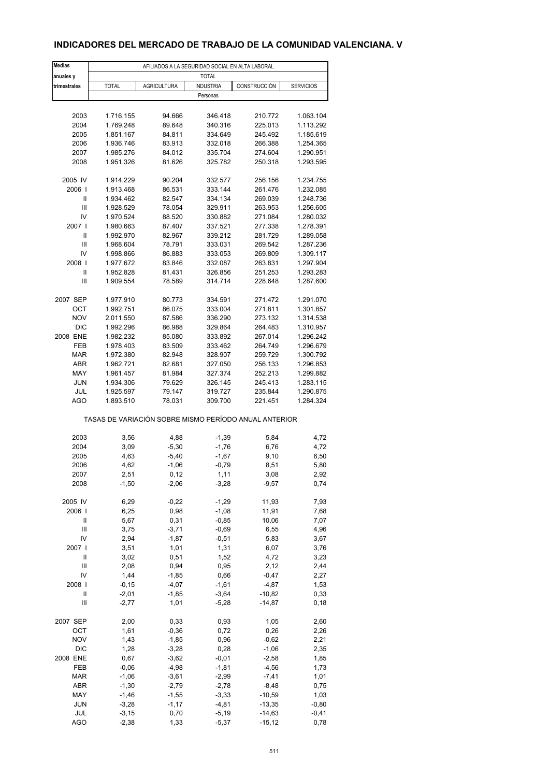### **INDICADORES DEL MERCADO DE TRABAJO DE LA COMUNIDAD VALENCIANA. V**

| <b>Medias</b>       | AFILIADOS A LA SEGURIDAD SOCIAL EN ALTA LABORAL       |                    |                    |                      |                        |  |  |
|---------------------|-------------------------------------------------------|--------------------|--------------------|----------------------|------------------------|--|--|
| anuales y           |                                                       |                    | <b>TOTAL</b>       |                      |                        |  |  |
| trimestrales        | <b>TOTAL</b>                                          | <b>AGRICULTURA</b> | <b>INDUSTRIA</b>   | CONSTRUCCIÓN         | <b>SERVICIOS</b>       |  |  |
|                     |                                                       |                    | Personas           |                      |                        |  |  |
|                     |                                                       |                    |                    |                      |                        |  |  |
| 2003                | 1.716.155                                             | 94.666             | 346.418            | 210.772              | 1.063.104              |  |  |
| 2004                | 1.769.248                                             | 89.648             | 340.316            | 225.013              | 1.113.292              |  |  |
| 2005                | 1.851.167                                             | 84.811             | 334.649            | 245.492              | 1.185.619              |  |  |
| 2006                | 1.936.746                                             | 83.913             | 332.018            | 266.388              | 1.254.365<br>1.290.951 |  |  |
| 2007<br>2008        | 1.985.276<br>1.951.326                                | 84.012             | 335.704            | 274.604<br>250.318   |                        |  |  |
|                     |                                                       | 81.626             | 325.782            |                      | 1.293.595              |  |  |
| 2005 IV             | 1.914.229                                             | 90.204             | 332.577            | 256.156              | 1.234.755              |  |  |
| 2006                | 1.913.468                                             | 86.531             | 333.144            | 261.476              | 1.232.085              |  |  |
| Ш                   | 1.934.462                                             | 82.547             | 334.134            | 269.039              | 1.248.736              |  |  |
| $\mathsf{III}$      | 1.928.529                                             | 78.054             | 329.911            | 263.953              | 1.256.605              |  |  |
| IV                  | 1.970.524                                             | 88.520             | 330.882            | 271.084              | 1.280.032              |  |  |
| 2007 l              | 1.980.663                                             | 87.407             | 337.521            | 277.338              | 1.278.391              |  |  |
| Ш                   | 1.992.970                                             | 82.967             | 339.212            | 281.729              | 1.289.058              |  |  |
| Ш                   | 1.968.604                                             | 78.791             | 333.031            | 269.542              | 1.287.236              |  |  |
| IV                  | 1.998.866                                             | 86.883             | 333.053            | 269.809              | 1.309.117              |  |  |
| 2008                | 1.977.672                                             | 83.846             | 332.087            | 263.831              | 1.297.904              |  |  |
| Ш                   | 1.952.828                                             | 81.431             | 326.856            | 251.253              | 1.293.283              |  |  |
| Ш                   | 1.909.554                                             | 78.589             | 314.714            | 228.648              | 1.287.600              |  |  |
|                     |                                                       |                    |                    |                      |                        |  |  |
| 2007 SEP            | 1.977.910                                             | 80.773             | 334.591            | 271.472              | 1.291.070              |  |  |
| OCT                 | 1.992.751                                             | 86.075             | 333.004            | 271.811              | 1.301.857              |  |  |
| <b>NOV</b>          | 2.011.550                                             | 87.586             | 336.290            | 273.132              | 1.314.538              |  |  |
| <b>DIC</b>          | 1.992.296                                             | 86.988             | 329.864            | 264.483              | 1.310.957              |  |  |
| 2008 ENE            | 1.982.232                                             | 85.080             | 333.892            | 267.014              | 1.296.242              |  |  |
| FEB                 | 1.978.403                                             | 83.509             | 333.462            | 264.749              | 1.296.679              |  |  |
| <b>MAR</b>          | 1.972.380                                             | 82.948             | 328.907            | 259.729              | 1.300.792              |  |  |
| ABR                 | 1.962.721                                             | 82.681             | 327.050            | 256.133              | 1.296.853              |  |  |
| MAY                 | 1.961.457                                             | 81.984             | 327.374            | 252.213              | 1.299.882              |  |  |
| <b>JUN</b>          | 1.934.306                                             | 79.629             | 326.145            | 245.413              | 1.283.115              |  |  |
| JUL                 | 1.925.597                                             | 79.147             | 319.727            | 235.844              | 1.290.875              |  |  |
| <b>AGO</b>          | 1.893.510                                             | 78.031             | 309.700            | 221.451              | 1.284.324              |  |  |
|                     | TASAS DE VARIACIÓN SOBRE MISMO PERÍODO ANUAL ANTERIOR |                    |                    |                      |                        |  |  |
| 2003                | 3,56                                                  | 4,88               | $-1,39$            | 5,84                 | 4,72                   |  |  |
| 2004                | 3,09                                                  | $-5,30$            | $-1,76$            | 6,76                 | 4,72                   |  |  |
| 2005                | 4,63                                                  | $-5,40$            | $-1,67$            | 9,10                 | 6,50                   |  |  |
| 2006                | 4,62                                                  | $-1,06$            | $-0,79$            | 8,51                 | 5,80                   |  |  |
| 2007                | 2,51                                                  | 0,12               | 1,11               | 3,08                 | 2,92                   |  |  |
| 2008                | $-1,50$                                               | $-2,06$            | $-3,28$            | $-9,57$              | 0,74                   |  |  |
|                     |                                                       |                    |                    |                      |                        |  |  |
| 2005 IV             | 6,29                                                  | $-0,22$            | $-1,29$            | 11,93                | 7,93                   |  |  |
| 2006                | 6,25                                                  | 0,98               | $-1,08$            | 11,91                | 7,68                   |  |  |
| Ш                   | 5,67                                                  | 0,31               | $-0,85$            | 10,06                | 7,07                   |  |  |
| Ш                   | 3,75                                                  | $-3,71$            | $-0,69$            | 6,55                 | 4,96                   |  |  |
| IV                  | 2,94                                                  | $-1,87$            | $-0,51$            | 5,83                 | 3,67                   |  |  |
| 2007 l              | 3,51                                                  | 1,01               | 1,31               | 6,07                 | 3,76                   |  |  |
| $\mathsf{I}$        | 3,02                                                  | 0,51               | 1,52               | 4,72                 | 3,23                   |  |  |
| Ш                   | 2,08                                                  | 0,94               | 0,95               | 2,12                 | 2,44                   |  |  |
| IV                  | 1,44                                                  | $-1,85$            | 0,66               | $-0,47$              | 2,27                   |  |  |
| 2008                | $-0, 15$                                              | $-4,07$            | $-1,61$            | $-4,87$              | 1,53                   |  |  |
| Ш<br>$\mathbf{III}$ | $-2,01$<br>$-2,77$                                    | $-1,85$<br>1,01    | $-3,64$<br>$-5,28$ | $-10,82$<br>$-14,87$ | 0,33                   |  |  |
|                     |                                                       |                    |                    |                      | 0,18                   |  |  |
| 2007 SEP            | 2,00                                                  | 0,33               | 0,93               | 1,05                 | 2,60                   |  |  |
| OCT                 | 1,61                                                  | $-0,36$            | 0,72               | 0,26                 | 2,26                   |  |  |
| <b>NOV</b>          | 1,43                                                  | $-1,85$            | 0,96               | $-0,62$              | 2,21                   |  |  |
| DIC                 | 1,28                                                  | $-3,28$            | 0,28               | $-1,06$              | 2,35                   |  |  |
| 2008 ENE            | 0,67                                                  | $-3,62$            | $-0,01$            | $-2,58$              | 1,85                   |  |  |
| FEB                 | $-0,06$                                               | $-4,98$            | $-1,81$            | $-4,56$              | 1,73                   |  |  |
| <b>MAR</b>          | $-1,06$                                               | $-3,61$            | $-2,99$            | $-7,41$              | 1,01                   |  |  |
| ABR                 | $-1,30$                                               | $-2,79$            | $-2,78$            | $-8,48$              | 0,75                   |  |  |
| MAY                 | $-1,46$                                               | $-1,55$            | $-3,33$            | $-10,59$             | 1,03                   |  |  |
| <b>JUN</b>          | $-3,28$                                               | $-1,17$            | $-4,81$            | $-13,35$             | $-0,80$                |  |  |
| JUL                 | $-3,15$                                               | 0,70               | $-5,19$            | $-14,63$             | $-0,41$                |  |  |
| <b>AGO</b>          | $-2,38$                                               | 1,33               | $-5,37$            | $-15, 12$            | 0,78                   |  |  |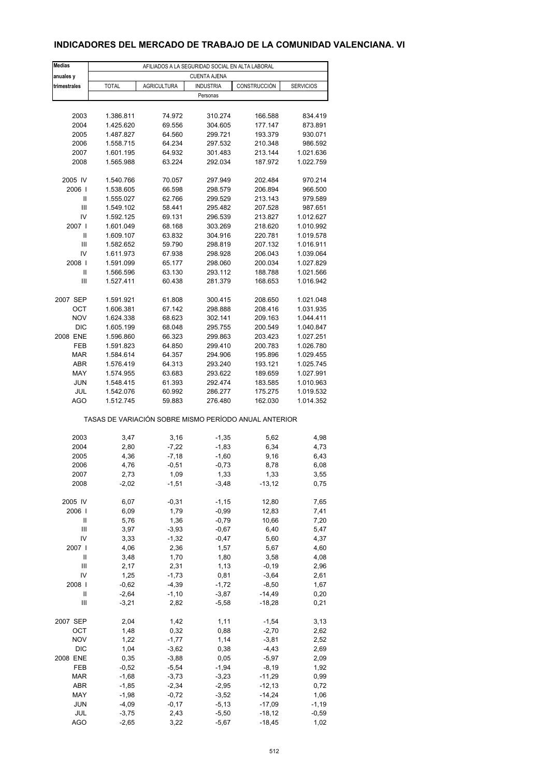### **INDICADORES DEL MERCADO DE TRABAJO DE LA COMUNIDAD VALENCIANA. VI**

| <b>Medias</b>          | AFILIADOS A LA SEGURIDAD SOCIAL EN ALTA LABORAL       |                    |                    |                    |                        |  |  |
|------------------------|-------------------------------------------------------|--------------------|--------------------|--------------------|------------------------|--|--|
| anuales y              | <b>CUENTA AJENA</b>                                   |                    |                    |                    |                        |  |  |
| trimestrales           | <b>TOTAL</b>                                          | <b>AGRICULTURA</b> | <b>INDUSTRIA</b>   | CONSTRUCCIÓN       | <b>SERVICIOS</b>       |  |  |
|                        |                                                       |                    | Personas           |                    |                        |  |  |
|                        |                                                       |                    |                    |                    |                        |  |  |
| 2003                   | 1.386.811                                             | 74.972             | 310.274            | 166.588            | 834.419                |  |  |
| 2004                   | 1.425.620                                             | 69.556             | 304.605            | 177.147            | 873.891                |  |  |
| 2005                   | 1.487.827                                             | 64.560             | 299.721            | 193.379            | 930.071                |  |  |
| 2006                   | 1.558.715                                             | 64.234             | 297.532            | 210.348            | 986.592                |  |  |
| 2007                   | 1.601.195                                             | 64.932             | 301.483            | 213.144            | 1.021.636              |  |  |
| 2008                   | 1.565.988                                             | 63.224             | 292.034            | 187.972            | 1.022.759              |  |  |
|                        |                                                       |                    |                    |                    |                        |  |  |
| 2005 IV                | 1.540.766                                             | 70.057             | 297.949            | 202.484            | 970.214                |  |  |
| 2006                   | 1.538.605                                             | 66.598             | 298.579            | 206.894            | 966.500                |  |  |
| Ш                      | 1.555.027                                             | 62.766             | 299.529            | 213.143            | 979.589                |  |  |
| Ш                      | 1.549.102                                             | 58.441             | 295.482            | 207.528            | 987.651                |  |  |
| IV                     | 1.592.125                                             | 69.131             | 296.539            | 213.827            | 1.012.627              |  |  |
| 2007 l                 | 1.601.049                                             | 68.168             | 303.269            | 218.620            | 1.010.992              |  |  |
| Ш                      | 1.609.107                                             | 63.832             | 304.916            | 220.781            | 1.019.578              |  |  |
| Ш                      | 1.582.652                                             | 59.790             | 298.819            | 207.132            | 1.016.911              |  |  |
| IV                     | 1.611.973                                             | 67.938             | 298.928            | 206.043            | 1.039.064              |  |  |
| 2008                   | 1.591.099                                             | 65.177             | 298.060            | 200.034            | 1.027.829              |  |  |
| Ш                      | 1.566.596                                             | 63.130             | 293.112            | 188.788            | 1.021.566              |  |  |
| Ш                      | 1.527.411                                             | 60.438             | 281.379            | 168.653            | 1.016.942              |  |  |
|                        |                                                       |                    |                    |                    |                        |  |  |
| 2007 SEP<br><b>OCT</b> | 1.591.921<br>1.606.381                                | 61.808<br>67.142   | 300.415<br>298.888 | 208.650            | 1.021.048              |  |  |
|                        |                                                       |                    |                    | 208.416            | 1.031.935              |  |  |
| <b>NOV</b>             | 1.624.338                                             | 68.623             | 302.141            | 209.163            | 1.044.411              |  |  |
| <b>DIC</b>             | 1.605.199                                             | 68.048             | 295.755            | 200.549            | 1.040.847              |  |  |
| 2008 ENE               | 1.596.860                                             | 66.323             | 299.863            | 203.423            | 1.027.251              |  |  |
| FEB                    | 1.591.823                                             | 64.850             | 299.410            | 200.783            | 1.026.780              |  |  |
| <b>MAR</b>             | 1.584.614                                             | 64.357             | 294.906            | 195.896            | 1.029.455              |  |  |
| ABR                    | 1.576.419                                             | 64.313             | 293.240            | 193.121            | 1.025.745              |  |  |
| MAY                    | 1.574.955                                             | 63.683             | 293.622            | 189.659            | 1.027.991              |  |  |
| <b>JUN</b>             | 1.548.415                                             | 61.393             | 292.474            | 183.585            | 1.010.963              |  |  |
| JUL<br><b>AGO</b>      | 1.542.076<br>1.512.745                                | 60.992<br>59.883   | 286.277<br>276.480 | 175.275<br>162.030 | 1.019.532<br>1.014.352 |  |  |
|                        |                                                       |                    |                    |                    |                        |  |  |
|                        | TASAS DE VARIACIÓN SOBRE MISMO PERÍODO ANUAL ANTERIOR |                    |                    |                    |                        |  |  |
| 2003                   |                                                       | 3,16               | $-1,35$            |                    | 4,98                   |  |  |
|                        | 3,47                                                  |                    |                    | 5,62<br>6,34       | 4,73                   |  |  |
| 2004<br>2005           | 2,80<br>4,36                                          | $-7,22$            | $-1,83$            |                    |                        |  |  |
| 2006                   | 4,76                                                  | $-7,18$<br>$-0,51$ | $-1,60$<br>$-0,73$ | 9,16<br>8,78       | 6,43<br>6,08           |  |  |
|                        |                                                       |                    |                    |                    |                        |  |  |
| 2007<br>2008           | 2,73<br>$-2,02$                                       | 1,09<br>$-1,51$    | 1,33<br>$-3,48$    | 1,33<br>$-13,12$   | 3,55<br>0,75           |  |  |
|                        |                                                       |                    |                    |                    |                        |  |  |
| 2005 IV                | 6,07                                                  | $-0,31$            | $-1, 15$           | 12,80              | 7,65                   |  |  |
| 2006                   | 6,09                                                  | 1,79               | $-0,99$            | 12,83              | 7,41                   |  |  |
| Ш                      | 5,76                                                  | 1,36               | $-0,79$            | 10,66              | 7,20                   |  |  |
| Ш                      | 3,97                                                  | $-3,93$            | $-0,67$            | 6,40               | 5,47                   |  |  |
| IV                     | 3,33                                                  | $-1,32$            | $-0,47$            | 5,60               | 4,37                   |  |  |
| 2007 l                 | 4,06                                                  | 2,36               | 1,57               | 5,67               | 4,60                   |  |  |
| Ш                      | 3,48                                                  | 1,70               | 1,80               | 3,58               | 4,08                   |  |  |
| Ш                      | 2,17                                                  | 2,31               | 1,13               | $-0,19$            | 2,96                   |  |  |
| IV                     | 1,25                                                  | $-1,73$            | 0,81               | $-3,64$            | 2,61                   |  |  |
| 2008                   | $-0,62$                                               | $-4,39$            | $-1,72$            | $-8,50$            | 1,67                   |  |  |
| Ш                      | $-2,64$                                               | $-1, 10$           | $-3,87$            | $-14,49$           | 0,20                   |  |  |
| Ш                      | $-3,21$                                               | 2,82               | $-5,58$            | $-18,28$           | 0,21                   |  |  |
|                        |                                                       |                    |                    |                    |                        |  |  |
| 2007 SEP               | 2,04                                                  | 1,42               | 1,11               | $-1,54$            | 3,13                   |  |  |
| OCT                    | 1,48                                                  | 0,32               | 0,88               | $-2,70$            | 2,62                   |  |  |
| <b>NOV</b>             | 1,22                                                  | $-1,77$            | 1,14               | $-3,81$            | 2,52                   |  |  |
| DIC                    | 1,04                                                  | $-3,62$            | 0,38               | $-4,43$            | 2,69                   |  |  |
| 2008 ENE               | 0,35                                                  | $-3,88$            | 0,05               | $-5,97$            | 2,09                   |  |  |
| FEB                    | $-0,52$                                               | $-5,54$            | $-1,94$            | $-8,19$            | 1,92                   |  |  |
| MAR                    | $-1,68$                                               | $-3,73$            | $-3,23$            | $-11,29$           | 0,99                   |  |  |
| ABR                    | $-1,85$                                               | $-2,34$            | $-2,95$            | $-12,13$           | 0,72                   |  |  |
| MAY                    | $-1,98$                                               | $-0,72$            | $-3,52$            | $-14,24$           | 1,06                   |  |  |
| <b>JUN</b>             | $-4,09$                                               | $-0,17$            | $-5,13$            | $-17,09$           | $-1,19$                |  |  |
| JUL                    | $-3,75$                                               | 2,43               | $-5,50$            | $-18,12$           | $-0,59$                |  |  |
| <b>AGO</b>             | $-2,65$                                               | 3,22               | $-5,67$            | $-18,45$           | 1,02                   |  |  |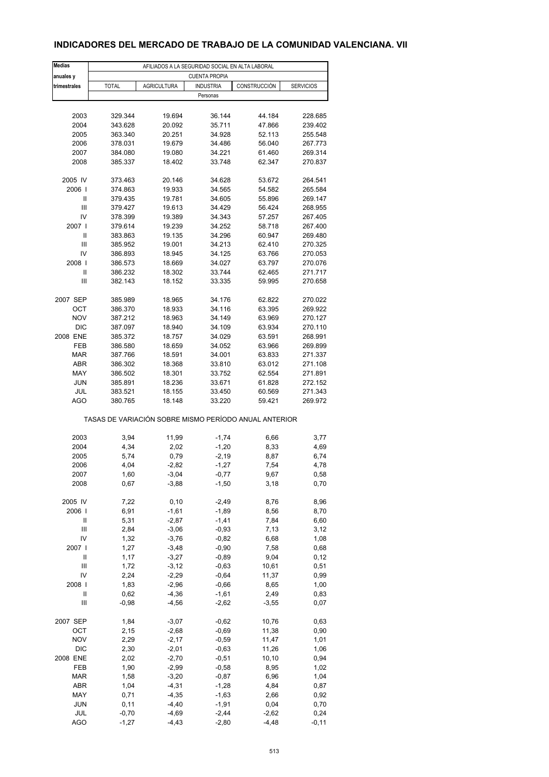### **INDICADORES DEL MERCADO DE TRABAJO DE LA COMUNIDAD VALENCIANA. VII**

| <b>Medias</b>  | AFILIADOS A LA SEGURIDAD SOCIAL EN ALTA LABORAL |                                                       |                      |              |                  |  |  |
|----------------|-------------------------------------------------|-------------------------------------------------------|----------------------|--------------|------------------|--|--|
| anuales y      |                                                 |                                                       | <b>CUENTA PROPIA</b> |              |                  |  |  |
| trimestrales   | <b>TOTAL</b>                                    | <b>AGRICULTURA</b>                                    | <b>INDUSTRIA</b>     | CONSTRUCCIÓN | <b>SERVICIOS</b> |  |  |
|                |                                                 |                                                       | Personas             |              |                  |  |  |
|                |                                                 |                                                       |                      |              |                  |  |  |
| 2003           | 329.344                                         | 19.694                                                | 36.144               | 44.184       | 228.685          |  |  |
| 2004           | 343.628                                         | 20.092                                                | 35.711               | 47.866       | 239.402          |  |  |
| 2005           | 363.340                                         | 20.251                                                | 34.928               | 52.113       | 255.548          |  |  |
| 2006           | 378.031                                         | 19.679                                                | 34.486               | 56.040       | 267.773          |  |  |
| 2007           | 384.080                                         | 19.080                                                | 34.221               | 61.460       | 269.314          |  |  |
| 2008           | 385.337                                         | 18.402                                                | 33.748               | 62.347       | 270.837          |  |  |
| 2005 IV        | 373.463                                         | 20.146                                                | 34.628               | 53.672       | 264.541          |  |  |
| 2006           | 374.863                                         | 19.933                                                | 34.565               | 54.582       | 265.584          |  |  |
| Ш              | 379.435                                         | 19.781                                                | 34.605               | 55.896       | 269.147          |  |  |
| Ш              |                                                 |                                                       |                      |              |                  |  |  |
|                | 379.427                                         | 19.613                                                | 34.429               | 56.424       | 268.955          |  |  |
| IV             | 378.399                                         | 19.389                                                | 34.343               | 57.257       | 267.405          |  |  |
| 2007 l         | 379.614                                         | 19.239                                                | 34.252               | 58.718       | 267.400          |  |  |
| Ш              | 383.863                                         | 19.135                                                | 34.296               | 60.947       | 269.480          |  |  |
| Ш              | 385.952                                         | 19.001                                                | 34.213               | 62.410       | 270.325          |  |  |
| IV             | 386.893                                         | 18.945                                                | 34.125               | 63.766       | 270.053          |  |  |
| 2008           | 386.573                                         | 18.669                                                | 34.027               | 63.797       | 270.076          |  |  |
| Ш              | 386.232                                         | 18.302                                                | 33.744               | 62.465       | 271.717          |  |  |
| Ш              | 382.143                                         | 18.152                                                | 33.335               | 59.995       | 270.658          |  |  |
|                |                                                 |                                                       |                      |              |                  |  |  |
| 2007 SEP       | 385.989                                         | 18.965                                                | 34.176               | 62.822       | 270.022          |  |  |
| ОСТ            | 386.370                                         | 18.933                                                | 34.116               | 63.395       | 269.922          |  |  |
| <b>NOV</b>     | 387.212                                         | 18.963                                                | 34.149               | 63.969       | 270.127          |  |  |
| <b>DIC</b>     | 387.097                                         | 18.940                                                | 34.109               | 63.934       | 270.110          |  |  |
| 2008 ENE       | 385.372                                         | 18.757                                                | 34.029               | 63.591       | 268.991          |  |  |
| FEB            | 386.580                                         | 18.659                                                | 34.052               | 63.966       | 269.899          |  |  |
| <b>MAR</b>     | 387.766                                         | 18.591                                                | 34.001               | 63.833       | 271.337          |  |  |
| ABR            | 386.302                                         | 18.368                                                | 33.810               | 63.012       | 271.108          |  |  |
| MAY            | 386.502                                         | 18.301                                                | 33.752               | 62.554       | 271.891          |  |  |
| <b>JUN</b>     | 385.891                                         | 18.236                                                | 33.671               | 61.828       | 272.152          |  |  |
| JUL            | 383.521                                         | 18.155                                                | 33.450               | 60.569       | 271.343          |  |  |
| AGO            | 380.765                                         | 18.148                                                | 33.220               | 59.421       | 269.972          |  |  |
|                |                                                 | TASAS DE VARIACIÓN SOBRE MISMO PERÍODO ANUAL ANTERIOR |                      |              |                  |  |  |
|                |                                                 |                                                       |                      |              |                  |  |  |
| 2003           | 3,94                                            | 11,99                                                 | $-1,74$              | 6,66         | 3,77             |  |  |
| 2004           | 4,34                                            | 2,02                                                  | $-1,20$              | 8,33         | 4,69             |  |  |
| 2005           | 5,74                                            | 0,79                                                  | $-2,19$              | 8,87         | 6,74             |  |  |
| 2006           | 4,04                                            | $-2,82$                                               | $-1,27$              | 7,54         | 4,78             |  |  |
| 2007           | 1,60                                            | $-3,04$                                               | $-0,77$              | 9,67         | 0,58             |  |  |
| 2008           | 0,67                                            | $-3,88$                                               | $-1,50$              | 3,18         | 0,70             |  |  |
|                |                                                 |                                                       |                      |              |                  |  |  |
| 2005 IV        | 7,22                                            | 0, 10                                                 | $-2,49$              | 8,76         | 8,96             |  |  |
| 2006           | 6,91                                            | $-1,61$                                               | $-1,89$              | 8,56         | 8,70             |  |  |
| Ш              | 5,31                                            | $-2,87$                                               | $-1,41$              | 7,84         | 6,60             |  |  |
| Ш              | 2,84                                            | $-3,06$                                               | $-0,93$              | 7,13         | 3,12             |  |  |
| IV             | 1,32                                            | $-3,76$                                               | $-0,82$              | 6,68         | 1,08             |  |  |
| 2007           | 1,27                                            | $-3,48$                                               | $-0,90$              | 7,58         | 0,68             |  |  |
| Ш              | 1,17                                            | $-3,27$                                               | $-0,89$              | 9,04         | 0,12             |  |  |
| $\mathbf{III}$ | 1,72                                            | $-3, 12$                                              | $-0,63$              | 10,61        | 0,51             |  |  |
| IV             | 2,24                                            | $-2,29$                                               | $-0,64$              | 11,37        | 0,99             |  |  |
| 2008           | 1,83                                            | $-2,96$                                               | $-0,66$              | 8,65         | 1,00             |  |  |
| Ш              | 0,62                                            | $-4,36$                                               | $-1,61$              | 2,49         | 0,83             |  |  |
| $\mathbf{III}$ | $-0,98$                                         | $-4,56$                                               | $-2,62$              | $-3,55$      | 0,07             |  |  |
|                |                                                 |                                                       |                      |              |                  |  |  |
| 2007 SEP       | 1,84                                            | $-3,07$                                               | $-0,62$              | 10,76        | 0,63             |  |  |
| OCT            | 2,15                                            | $-2,68$                                               | $-0,69$              | 11,38        | 0,90             |  |  |
| <b>NOV</b>     | 2,29                                            | $-2,17$                                               | $-0,59$              | 11,47        | 1,01             |  |  |
| <b>DIC</b>     | 2,30                                            | $-2,01$                                               | $-0,63$              | 11,26        | 1,06             |  |  |
| 2008 ENE       | 2,02                                            | $-2,70$                                               | $-0,51$              | 10, 10       | 0,94             |  |  |
| FEB            | 1,90                                            | $-2,99$                                               | $-0,58$              | 8,95         | 1,02             |  |  |
| <b>MAR</b>     | 1,58                                            | $-3,20$                                               | $-0,87$              | 6,96         | 1,04             |  |  |
| ABR            | 1,04                                            | $-4,31$                                               | $-1,28$              | 4,84         | 0,87             |  |  |
|                |                                                 |                                                       |                      |              |                  |  |  |
| MAY            | 0,71                                            | $-4,35$                                               | $-1,63$              | 2,66         | 0,92             |  |  |
| <b>JUN</b>     | 0,11                                            | $-4,40$                                               | $-1,91$              | 0,04         | 0,70             |  |  |
| JUL            | $-0,70$                                         | $-4,69$                                               | $-2,44$              | $-2,62$      | 0,24             |  |  |
| <b>AGO</b>     | $-1,27$                                         | $-4,43$                                               | $-2,80$              | $-4,48$      | $-0,11$          |  |  |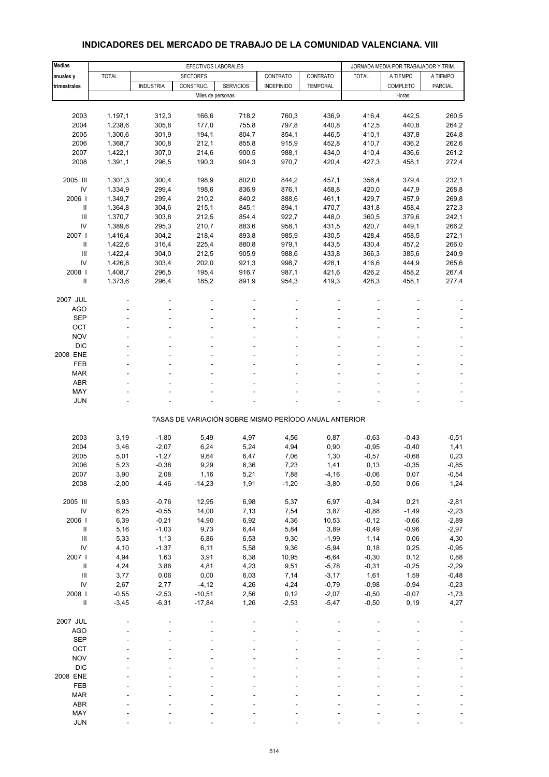#### **Medias EFECTIVOS LABORALES EFECTIVOS LABORALES** JORNADA MEDIA POR TRABAJADOR Y TRIM. **anuales y** TOTAL SECTORES CONTRATO CONTRATO TOTAL A TIEMPO A TIEMPO **trimestrales | | INDUSTRIA | CONSTRUC. | SERVICIOS | INDEFINIDO | TEMPORAL | | COMPLETO | PARCIAL** Miles de personas Horas et al. 1999 et al. 1999 et al. 1999 et al. 1999 et al. 1999 et al. 1999 et al. 1999 et al. 1999 et al. 1999 et al. 1999 et al. 1999 et al. 1999 et al. 1999 et al. 1999 et al. 1999 et al. 1999 et al. 2003 1.197,1 312,3 166,6 718,2 760,3 436,9 416,4 442,5 260,5 2004 1.238,6 305,8 177,0 755,8 797,8 440,8 412,5 440,8 264,2 2005 1.300,6 301,9 194,1 804,7 854,1 446,5 410,1 437,8 264,8 2006 1.368,7 300,8 212,1 855,8 915,9 452,8 410,7 436,2 262,6 2007 1.422,1 307,0 214,6 900,5 988,1 434,0 410,4 436,6 261,2 2008 1.391,1 296,5 190,3 904,3 970,7 420,4 427,3 458,1 272,4 2005 III 1.301,3 300,4 198,9 802,0 844,2 457,1 356,4 379,4 232,1 IV 1.334,9 299,4 198,6 836,9 876,1 458,8 420,0 447,9 268,8 2006 I 1.349,7 299,4 210,2 840,2 888,6 461,1 429,7 457,9 269,8 II 1.364,8 304,6 215,1 845,1 894,1 470,7 431,8 458,4 272,3 III 1.370,7 303,8 212,5 854,4 922,7 448,0 360,5 379,6 242,1 IV 1.389,6 295,3 210,7 883,6 958,1 431,5 420,7 449,1 266,2 2007 I 1.416,4 304,2 218,4 893,8 985,9 430,5 428,4 458,5 272,1 II 1.422,6 316,4 225,4 880,8 979,1 443,5 430,4 457,2 266,0 III 1.422,4 304,0 212,5 905,9 988,6 433,8 366,3 385,6 240,9 IV 1.426,8 303,4 202,0 921,3 998,7 428,1 416,6 444,9 265,6 2008 I 1.408,7 296,5 195,4 916,7 987,1 421,6 426,2 458,2 267,4 II 1.373,6 296,4 185,2 891,9 954,3 419,3 428,3 458,1 277,4 2007 JUL - - - - - --- - AGO - - - - - - - - - SEP - - - - - - - - - OCT the set of the set of the set of the set of the set of the set of the set of the set of the set of the set  $\textsf{NOV}$  , and  $\textsf{SOV}$  , and  $\textsf{SOV}$  , and  $\textsf{SOV}$  , and  $\textsf{SOV}$  , and  $\textsf{SOV}$  DIC - - - - - - - - - 2008 ENE - - - - - --- - FEB - - - - - - - - - MAR - - - - - - - - -  $ABR$  , and the set of the set of the set of the set of the set of the set of the set of the set of the set of the set of the set of the set of the set of the set of the set of the set of the set of the set of the set of t MAY - - - - - - - - - JUN - - - - - - - - - TASAS DE VARIACIÓN SOBRE MISMO PERÍODO ANUAL ANTERIOR 2003 3,19 -1,80 5,49 4,97 4,56 0,87 -0,63 -0,43 -0,51 2004 3,46 -2,07 6,24 5,24 4,94 0,90 -0,95 -0,40 1,41 2005 5,01 -1,27 9,64 6,47 7,06 1,30 -0,57 -0,68 0,23 2006 5,23 -0,38 9,29 6,36 7,23 1,41 0,13 -0,35 -0,85 2007 3,90 2,08 1,16 5,21 7,88 -4,16 -0,06 0,07 -0,54 2008 -2,00 -4,46 -14,23 1,91 -1,20 -3,80 -0,50 0,06 1,24 2005 III 5,93 -0,76 12,95 6,98 5,37 6,97 -0,34 0,21 -2,81 IV 6,25 -0,55 14,00 7,13 7,54 3,87 -0,88 -1,49 -2,23 2006 I 6,39 -0,21 14,90 6,92 4,36 10,53 -0,12 -0,66 -2,89 II 5,16 -1,03 9,73 6,44 5,84 3,89 -0,49 -0,96 -2,97 III 5,33 1,13 6,86 6,53 9,30 -1,99 1,14 0,06 4,30 IV 4,10 -1,37 6,11 5,58 9,36 -5,94 0,18 0,25 -0,95 2007 I 4,94 1,63 3,91 6,38 10,95 -6,64 -0,30 0,12 0,88 II 4,24 3,86 4,81 4,23 9,51 -5,78 -0,31 -0,25 -2,29 III 3,77 0,06 0,00 6,03 7,14 -3,17 1,61 1,59 -0,48 IV 2,67 2,77 -4,12 4,26 4,24 -0,79 -0,98 -0,94 -0,23 2008 I -0,55 -2,53 -10,51 2,56 0,12 -2,07 -0,50 -0,07 -1,73 II -3,45 -6,31 -17,84 1,26 -2,53 -5,47 -0,50 0,19 4,27 2007 JUL - - - - - --- - AGO - - - - - - - - - SEP - - - - - - - - - OCT the set of the set of the set of the set of the set of the set of the set of the set of the set of the set  $\textsf{NOV}$  , and  $\textsf{SOV}$  , and  $\textsf{SOV}$  , and  $\textsf{SOV}$  , and  $\textsf{SOV}$  , and  $\textsf{SOV}$  DIC - - - - - - - - - 2008 ENE - - - - - --- - FEB - - - - - - - - - MAR - - - - - - - - - ABR - - - - - - - - - MAY - - - - - - - - -

#### **INDICADORES DEL MERCADO DE TRABAJO DE LA COMUNIDAD VALENCIANA. VIII**

JUN - - - - - - - - -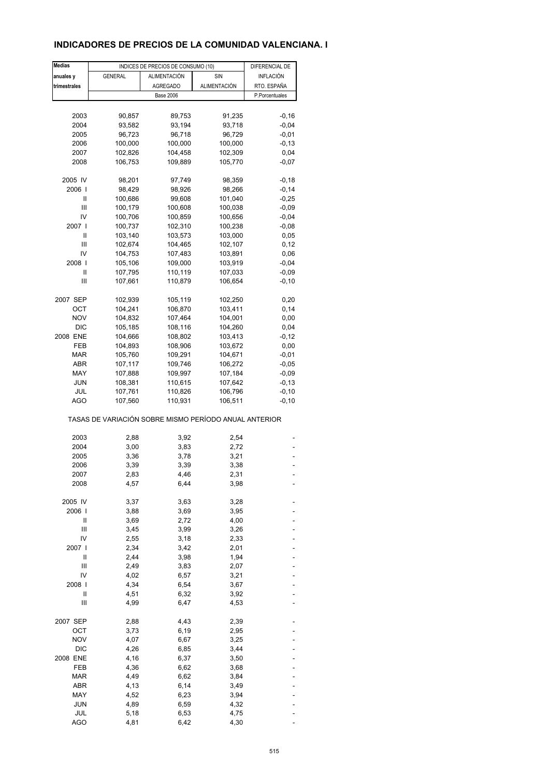### **INDICADORES DE PRECIOS DE LA COMUNIDAD VALENCIANA. I**

| <b>Medias</b> |                                                       | INDICES DE PRECIOS DE CONSUMO (10) |              | DIFERENCIAL DE |
|---------------|-------------------------------------------------------|------------------------------------|--------------|----------------|
| anuales y     | <b>GENERAL</b>                                        | ALIMENTACIÓN                       | SIN          | INFLACIÓN      |
| trimestrales  |                                                       | <b>AGREGADO</b>                    | ALIMENTACIÓN | RTO. ESPAÑA    |
|               |                                                       | <b>Base 2006</b>                   |              | P.Porcentuales |
|               |                                                       |                                    |              |                |
| 2003          | 90,857                                                | 89,753                             | 91,235       | $-0,16$        |
| 2004          | 93,582                                                | 93,194                             | 93,718       | $-0,04$        |
| 2005          | 96,723                                                | 96,718                             | 96,729       | $-0,01$        |
|               |                                                       |                                    |              |                |
| 2006          | 100,000                                               | 100,000                            | 100,000      | $-0, 13$       |
| 2007          | 102,826                                               | 104,458                            | 102,309      | 0,04           |
| 2008          | 106,753                                               | 109,889                            | 105,770      | $-0,07$        |
| 2005 IV       | 98,201                                                | 97,749                             | 98,359       | $-0,18$        |
| 2006          | 98,429                                                | 98,926                             | 98,266       | $-0,14$        |
| Ш             | 100,686                                               | 99,608                             | 101,040      | $-0,25$        |
| Ш             | 100,179                                               | 100,608                            | 100,038      | $-0,09$        |
| IV            | 100,706                                               | 100,859                            | 100,656      | $-0,04$        |
| 2007 l        | 100,737                                               | 102,310                            | 100,238      | $-0,08$        |
| Ш             | 103,140                                               | 103,573                            | 103,000      | 0,05           |
| Ш             | 102,674                                               | 104,465                            | 102,107      | 0,12           |
|               |                                                       |                                    |              |                |
| IV<br>2008    | 104,753                                               | 107,483                            | 103,891      | 0,06           |
|               | 105,106                                               | 109,000                            | 103,919      | $-0,04$        |
| Ш             | 107,795                                               | 110,119                            | 107,033      | $-0,09$        |
| Ш             | 107,661                                               | 110,879                            | 106,654      | $-0, 10$       |
| 2007 SEP      | 102,939                                               | 105,119                            | 102,250      | 0,20           |
| OCT           | 104,241                                               | 106,870                            | 103,411      | 0,14           |
| <b>NOV</b>    | 104,832                                               | 107,464                            | 104,001      | 0,00           |
| <b>DIC</b>    | 105,185                                               | 108,116                            | 104,260      | 0,04           |
| 2008 ENE      | 104,666                                               | 108,802                            | 103,413      | $-0,12$        |
| FEB           | 104,893                                               | 108,906                            | 103,672      | 0,00           |
|               |                                                       |                                    |              | $-0,01$        |
| MAR           | 105,760                                               | 109,291                            | 104,671      |                |
| ABR           | 107,117                                               | 109,746                            | 106,272      | $-0,05$        |
| MAY           | 107,888                                               | 109,997                            | 107,184      | $-0,09$        |
| <b>JUN</b>    | 108,381                                               | 110,615                            | 107,642      | $-0,13$        |
| JUL           | 107,761                                               | 110,826                            | 106,796      | $-0, 10$       |
| AGO           | 107,560                                               | 110,931                            | 106,511      | $-0, 10$       |
|               | TASAS DE VARIACIÓN SOBRE MISMO PERÍODO ANUAL ANTERIOR |                                    |              |                |
| 2003          | 2,88                                                  | 3,92                               | 2,54         |                |
| 2004          | 3,00                                                  | 3,83                               | 2,72         |                |
| 2005          | 3,36                                                  | 3,78                               | 3,21         |                |
| 2006          | 3,39                                                  | 3,39                               | 3,38         |                |
| 2007          | 2,83                                                  | 4,46                               | 2,31         |                |
| 2008          | 4,57                                                  | 6,44                               | 3,98         |                |
|               |                                                       |                                    |              |                |
| 2005 IV       | 3,37                                                  | 3,63                               | 3,28         |                |
| 2006          | 3,88                                                  | 3,69                               | 3,95         |                |
| Ш             | 3,69                                                  | 2,72                               | 4,00         |                |
| Ш             | 3,45                                                  | 3,99                               | 3,26         |                |
| IV            | 2,55                                                  | 3,18                               | 2,33         |                |
| 2007 l        | 2,34                                                  | 3,42                               | 2,01         |                |
| Ш             | 2,44                                                  | 3,98                               | 1,94         |                |
| Ш             | 2,49                                                  | 3,83                               | 2,07         |                |
| IV            | 4,02                                                  | 6,57                               | 3,21         |                |
| 2008          | 4,34                                                  | 6,54                               | 3,67         |                |
| Ш             | 4,51                                                  | 6,32                               | 3,92         |                |
| Ш             | 4,99                                                  | 6,47                               | 4,53         |                |
| 2007 SEP      | 2,88                                                  | 4,43                               | 2,39         |                |
| OCT           | 3,73                                                  | 6,19                               | 2,95         |                |
| <b>NOV</b>    | 4,07                                                  | 6,67                               | 3,25         |                |
| <b>DIC</b>    | 4,26                                                  | 6,85                               | 3,44         |                |
| 2008 ENE      | 4,16                                                  | 6,37                               | 3,50         |                |
| FEB           | 4,36                                                  | 6,62                               | 3,68         |                |
| <b>MAR</b>    | 4,49                                                  | 6,62                               | 3,84         |                |
|               |                                                       |                                    |              |                |
| ABR           | 4,13                                                  | 6,14                               | 3,49         |                |
| MAY           | 4,52                                                  | 6,23                               | 3,94         |                |
| <b>JUN</b>    | 4,89                                                  | 6,59                               | 4,32         |                |
| JUL           | 5,18                                                  | 6,53                               | 4,75         |                |
| <b>AGO</b>    | 4,81                                                  | 6,42                               | 4,30         |                |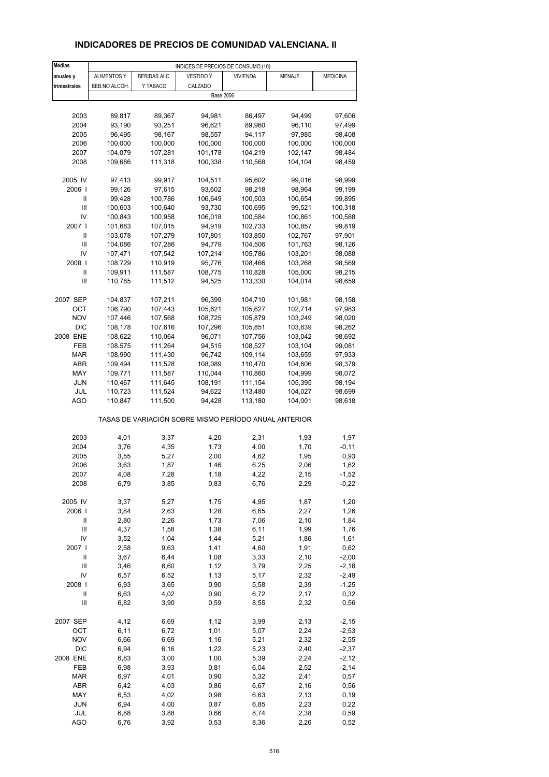# **INDICADORES DE PRECIOS DE COMUNIDAD VALENCIANA. II**

| <b>Medias</b>  | INDICES DE PRECIOS DE CONSUMO (10) |              |                                                       |                 |               |                 |
|----------------|------------------------------------|--------------|-------------------------------------------------------|-----------------|---------------|-----------------|
| anuales y      | <b>ALIMENTOS Y</b>                 | BEBIDAS ALC. | <b>VESTIDO Y</b>                                      | <b>VIVIENDA</b> | <b>MENAJE</b> | <b>MEDICINA</b> |
| trimestrales   | BEB.NO ALCOH.                      | Y TABACO     | CALZADO                                               |                 |               |                 |
|                |                                    |              | <b>Base 2006</b>                                      |                 |               |                 |
|                |                                    |              |                                                       |                 |               |                 |
| 2003           | 89,817                             | 89,367       | 94,981                                                | 86,497          | 94,499        | 97,606          |
| 2004           | 93,190                             | 93,251       | 96,621                                                | 89,960          | 96,110        | 97,499          |
| 2005           | 96,495                             | 98,167       | 98,557                                                | 94,117          | 97,985        | 98,408          |
| 2006           | 100,000                            | 100,000      | 100,000                                               | 100,000         | 100,000       | 100,000         |
| 2007           | 104,079                            | 107,281      | 101,178                                               | 104,219         | 102,147       | 98,484          |
| 2008           | 109,686                            | 111,318      | 100,338                                               | 110,568         | 104,104       | 98,459          |
|                |                                    |              |                                                       |                 |               |                 |
| 2005 IV        | 97,413                             | 99,917       | 104,511                                               | 95,602          | 99,016        | 98,999          |
| 2006           | 99,126                             | 97,615       | 93,602                                                | 98,218          | 98,964        | 99,199          |
| Ш              | 99,428                             | 100,786      | 106,649                                               | 100,503         | 100,654       | 99,895          |
| Ш              | 100,603                            | 100,640      | 93,730                                                | 100,695         | 99,521        | 100,318         |
| IV             | 100,843                            | 100,958      | 106,018                                               | 100,584         | 100,861       | 100,588         |
| 2007           | 101,683                            | 107,015      | 94,919                                                | 102,733         | 100,857       | 99,819          |
| Ш              | 103,078                            | 107,279      | 107,801                                               | 103,850         | 102,767       | 97,901          |
| $\mathbf{III}$ | 104,086                            | 107,286      | 94,779                                                | 104,506         | 101,763       | 98,126          |
| IV             | 107,471                            | 107,542      | 107,214                                               | 105,786         | 103,201       | 98,088          |
| 2008           | 108,729                            | 110,919      | 95,776                                                | 108,466         | 103,268       | 98,569          |
| Ш              | 109,911                            | 111,587      | 108,775                                               | 110,828         | 105,000       | 98,215          |
| Ш              | 110,785                            | 111,512      | 94,525                                                | 113,330         | 104,014       | 98,659          |
|                |                                    |              |                                                       |                 |               |                 |
| 2007 SEP       | 104,837                            | 107,211      | 96,399                                                | 104,710         | 101,981       | 98,158          |
| OCT            | 106,790                            | 107,443      | 105,621                                               | 105,627         | 102,714       | 97,983          |
| <b>NOV</b>     | 107,446                            | 107,568      | 108,725                                               | 105,879         | 103,249       | 98,020          |
| <b>DIC</b>     | 108,178                            | 107,616      | 107,296                                               | 105,851         | 103,639       | 98,262          |
| 2008 ENE       | 108,622                            | 110,064      | 96,071                                                | 107,756         | 103,042       | 98,692          |
| FEB            | 108,575                            | 111,264      | 94,515                                                | 108,527         | 103,104       | 99,081          |
| <b>MAR</b>     | 108,990                            | 111,430      | 96,742                                                | 109,114         | 103,659       | 97,933          |
| ABR            | 109,494                            | 111,528      | 108,089                                               | 110,470         | 104,606       | 98,379          |
| MAY            | 109,771                            | 111,587      | 110,044                                               | 110,860         | 104,999       | 98,072          |
| JUN            | 110,467                            | 111,645      | 108,191                                               | 111,154         | 105,395       | 98,194          |
| JUL            | 110,723                            | 111,524      | 94,622                                                | 113,480         | 104,027       | 98,699          |
| AGO            | 110,847                            | 111,500      | 94,428                                                | 113,180         | 104,001       | 98,618          |
|                |                                    |              | TASAS DE VARIACIÓN SOBRE MISMO PERÍODO ANUAL ANTERIOR |                 |               |                 |
|                |                                    |              |                                                       |                 |               |                 |
| 2003           | 4,01                               | 3,37         | 4,20                                                  | 2,31            | 1,93          | 1,97            |
| 2004<br>2005   | 3,76<br>3,55                       | 4,35         | 1,73<br>2,00                                          | 4,00<br>4,62    | 1,70<br>1,95  | $-0,11$<br>0,93 |
|                |                                    | 5,27         |                                                       |                 |               |                 |
| 2006<br>2007   | 3,63<br>4,08                       | 1,87<br>7,28 | 1,46<br>1,18                                          | 6,25<br>4,22    | 2,06<br>2,15  | 1,62<br>$-1,52$ |
| 2008           | 6,79                               | 3,85         | 0,83                                                  | 6,76            | 2,29          | $-0,22$         |
|                |                                    |              |                                                       |                 |               |                 |
| 2005 IV        | 3,37                               | 5,27         | 1,75                                                  | 4,95            | 1,87          | 1,20            |
| 2006           | 3,84                               | 2,63         | 1,28                                                  | 6,65            | 2,27          | 1,26            |
| Ш              | 2,80                               | 2,26         | 1,73                                                  | 7,06            | 2,10          | 1,84            |
| $\mathsf{III}$ | 4,37                               | 1,58         | 1,38                                                  | 6,11            | 1,99          | 1,76            |
| IV             | 3,52                               | 1,04         | 1,44                                                  | 5,21            | 1,86          | 1,61            |
| 2007 l         | 2,58                               | 9,63         | 1,41                                                  | 4,60            | 1,91          | 0,62            |
| Ш              | 3,67                               | 6,44         | 1,08                                                  | 3,33            | 2,10          | $-2,00$         |
| $\mathsf{III}$ | 3,46                               | 6,60         | 1,12                                                  | 3,79            | 2,25          | $-2,18$         |
| IV             | 6,57                               | 6,52         | 1,13                                                  | 5,17            | 2,32          | -2,49           |
| 2008           | 6,93                               | 3,65         | 0,90                                                  | 5,58            | 2,39          | $-1,25$         |
| Ш              | 6,63                               | 4,02         | 0,90                                                  | 6,72            | 2,17          | 0,32            |
| Ш              | 6,82                               | 3,90         | 0,59                                                  | 8,55            | 2,32          | 0,56            |
|                |                                    |              |                                                       |                 |               |                 |
| 2007 SEP       | 4,12                               | 6,69         | 1,12                                                  | 3,99            | 2,13          | $-2,15$         |
| OCT            | 6,11                               | 6,72         | 1,01                                                  | 5,07            | 2,24          | $-2,53$         |
| <b>NOV</b>     | 6,66                               | 6,69         | 1,16                                                  | 5,21            | 2,32          | $-2,55$         |
| <b>DIC</b>     | 6,94                               | 6, 16        | 1,22                                                  | 5,23            | 2,40          | $-2,37$         |
| 2008 ENE       | 6,83                               | 3,00         | 1,00                                                  | 5,39            | 2,24          | $-2,12$         |
| FEB            | 6,98                               | 3,93         | 0,81                                                  | 6,04            | 2,52          | $-2,14$         |
| <b>MAR</b>     | 6,97                               | 4,01         | 0,90                                                  | 5,32            | 2,41          | 0,57            |
| ABR            | 6,42                               | 4,03         | 0,86                                                  | 6,67            | 2,16          | 0,56            |
| MAY            | 6,53                               | 4,02         | 0,98                                                  | 6,63            | 2,13          | 0, 19           |
| <b>JUN</b>     | 6,94                               | 4,00         | 0,87                                                  | 6,85            | 2,23          | 0,22            |
| JUL            | 6,88                               | 3,88         | 0,66                                                  | 8,74            | 2,38          | 0,59            |
| <b>AGO</b>     | 6,76                               | 3,92         | 0,53                                                  | 8,36            | 2,26          | 0,52            |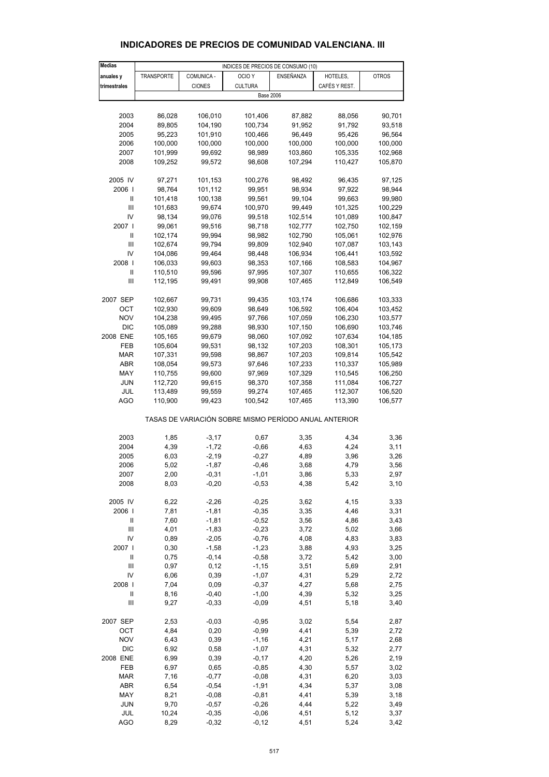| <b>Medias</b> |                   |               | INDICES DE PRECIOS DE CONSUMO (10)                    |           |               |              |
|---------------|-------------------|---------------|-------------------------------------------------------|-----------|---------------|--------------|
| anuales y     | <b>TRANSPORTE</b> | COMUNICA -    | OCIO <sub>Y</sub>                                     | ENSEÑANZA | HOTELES,      | <b>OTROS</b> |
| trimestrales  |                   | <b>CIONES</b> | <b>CULTURA</b>                                        |           | CAFÉS Y REST. |              |
|               |                   |               | <b>Base 2006</b>                                      |           |               |              |
|               |                   |               |                                                       |           |               |              |
| 2003          | 86,028            | 106,010       | 101,406                                               | 87,882    | 88,056        | 90,701       |
| 2004          | 89,805            | 104,190       | 100,734                                               | 91,952    | 91,792        | 93,518       |
| 2005          | 95,223            | 101,910       | 100,466                                               | 96,449    | 95,426        | 96,564       |
| 2006          | 100,000           | 100,000       | 100,000                                               | 100,000   | 100,000       | 100,000      |
| 2007          | 101,999           | 99,692        | 98,989                                                | 103,860   | 105,335       | 102,968      |
| 2008          | 109,252           | 99,572        | 98,608                                                | 107,294   | 110,427       | 105,870      |
|               |                   |               |                                                       |           |               |              |
| 2005 IV       | 97,271            | 101,153       | 100,276                                               | 98,492    | 96,435        | 97,125       |
| 2006          | 98,764            | 101,112       | 99,951                                                | 98,934    | 97,922        | 98,944       |
| Ш             | 101,418           | 100,138       | 99,561                                                | 99,104    | 99,663        | 99,980       |
| Ш             | 101,683           | 99,674        | 100,970                                               | 99,449    | 101,325       | 100,229      |
| IV            | 98,134            | 99,076        | 99,518                                                | 102,514   | 101,089       | 100,847      |
| 2007 l        | 99,061            | 99,516        | 98,718                                                | 102,777   | 102,750       | 102,159      |
| Ш             | 102,174           | 99,994        | 98,982                                                | 102,790   | 105,061       | 102,976      |
| Ш             | 102,674           | 99,794        | 99,809                                                | 102,940   | 107,087       | 103,143      |
| IV            | 104,086           | 99,464        | 98,448                                                | 106,934   | 106,441       | 103,592      |
| 2008          | 106,033           | 99,603        | 98,353                                                | 107,166   | 108,583       | 104,967      |
| Ш             | 110,510           | 99,596        | 97,995                                                | 107,307   | 110,655       | 106,322      |
| Ш             | 112,195           | 99,491        | 99,908                                                | 107,465   | 112,849       | 106,549      |
|               |                   |               |                                                       |           |               |              |
| 2007 SEP      | 102,667           | 99,731        | 99,435                                                | 103,174   | 106,686       | 103,333      |
| OCT           | 102,930           | 99,609        | 98,649                                                | 106,592   | 106,404       | 103,452      |
| <b>NOV</b>    | 104,238           | 99,495        | 97,766                                                | 107,059   | 106,230       | 103,577      |
| <b>DIC</b>    | 105,089           | 99,288        | 98,930                                                | 107,150   | 106,690       | 103,746      |
| 2008 ENE      | 105,165           | 99,679        | 98,060                                                | 107,092   | 107,634       | 104,185      |
| FEB           | 105,604           | 99,531        | 98,132                                                | 107,203   | 108,301       | 105,173      |
| <b>MAR</b>    | 107,331           | 99,598        | 98,867                                                | 107,203   | 109,814       | 105,542      |
|               |                   |               |                                                       |           |               |              |
| ABR           | 108,054           | 99,573        | 97,646                                                | 107,233   | 110,337       | 105,989      |
| MAY           | 110,755           | 99,600        | 97,969                                                | 107,329   | 110,545       | 106,250      |
| JUN           | 112,720           | 99,615        | 98,370                                                | 107,358   | 111,084       | 106,727      |
| JUL           | 113,489           | 99,559        | 99,274                                                | 107,465   | 112,307       | 106,520      |
| AGO           | 110,900           | 99,423        | 100,542                                               | 107,465   | 113,390       | 106,577      |
|               |                   |               | TASAS DE VARIACIÓN SOBRE MISMO PERÍODO ANUAL ANTERIOR |           |               |              |
| 2003          | 1,85              | $-3,17$       | 0,67                                                  | 3,35      | 4,34          | 3,36         |
| 2004          | 4,39              | $-1,72$       | $-0,66$                                               | 4,63      | 4,24          | 3,11         |
| 2005          | 6,03              | $-2,19$       | $-0,27$                                               | 4,89      | 3,96          | 3,26         |
| 2006          | 5,02              | $-1,87$       | $-0,46$                                               |           | 4,79          |              |
| 2007          | 2,00              | $-0,31$       |                                                       | 3,68      |               | 3,56         |
|               |                   |               | $-1,01$                                               | 3,86      | 5,33          | 2,97         |
| 2008          | 8,03              | $-0,20$       | $-0,53$                                               | 4,38      | 5,42          | 3,10         |
| 2005 IV       | 6,22              | $-2,26$       | $-0,25$                                               | 3,62      | 4,15          | 3,33         |
| 2006          | 7,81              | $-1,81$       | $-0,35$                                               | 3,35      | 4,46          | 3,31         |
| Ш             | 7,60              | $-1,81$       | $-0,52$                                               | 3,56      | 4,86          | 3,43         |
| Ш             | 4,01              | $-1,83$       | $-0,23$                                               | 3,72      | 5,02          | 3,66         |
| IV            | 0,89              | $-2,05$       | $-0,76$                                               | 4,08      | 4,83          | 3,83         |
| 2007 l        | 0,30              | $-1,58$       | $-1,23$                                               | 3,88      | 4,93          | 3,25         |
| Ш             | 0,75              | $-0,14$       | $-0,58$                                               | 3,72      | 5,42          | 3,00         |
|               |                   |               |                                                       |           |               |              |
| Ш             | 0,97              | 0,12          | $-1,15$                                               | 3,51      | 5,69          | 2,91         |
| IV            | 6,06              | 0,39          | $-1,07$                                               | 4,31      | 5,29          | 2,72         |
| 2008          | 7,04              | 0,09          | $-0,37$                                               | 4,27      | 5,68          | 2,75         |
| Ш             | 8,16              | $-0,40$       | $-1,00$                                               | 4,39      | 5,32          | 3,25         |
| Ш             | 9,27              | $-0,33$       | $-0,09$                                               | 4,51      | 5,18          | 3,40         |
| 2007 SEP      | 2,53              | $-0,03$       | $-0,95$                                               | 3,02      | 5,54          | 2,87         |
| OCT           | 4,84              | 0,20          | $-0,99$                                               | 4,41      | 5,39          | 2,72         |
| <b>NOV</b>    | 6,43              | 0,39          | $-1,16$                                               | 4,21      | 5,17          | 2,68         |
|               |                   |               |                                                       |           |               |              |
| <b>DIC</b>    | 6,92              | 0,58          | $-1,07$                                               | 4,31      | 5,32          | 2,77         |
| 2008 ENE      | 6,99              | 0,39          | $-0,17$                                               | 4,20      | 5,26          | 2,19         |
| FEB           | 6,97              | 0,65          | $-0,85$                                               | 4,30      | 5,57          | 3,02         |
| <b>MAR</b>    | 7,16              | $-0,77$       | $-0,08$                                               | 4,31      | 6,20          | 3,03         |
| ABR           | 6,54              | $-0,54$       | $-1,91$                                               | 4,34      | 5,37          | 3,08         |
| MAY           | 8,21              | $-0,08$       | $-0,81$                                               | 4,41      | 5,39          | 3,18         |
| <b>JUN</b>    | 9,70              | $-0,57$       | $-0,26$                                               | 4,44      | 5,22          | 3,49         |
| JUL           | 10,24             | $-0,35$       | $-0,06$                                               | 4,51      | 5,12          | 3,37         |

#### **INDICADORES DE PRECIOS DE COMUNIDAD VALENCIANA. III**

AGO 8,29 -0,32 -0,12 4,51 5,24 3,42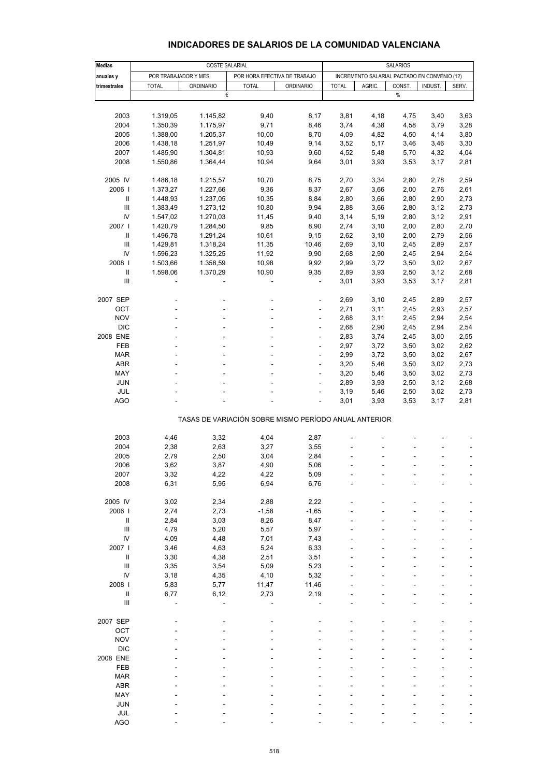| <b>Medias</b>          |                                  | <b>SALARIOS</b>       |                                                       |                                              |                        |              |                   |              |              |
|------------------------|----------------------------------|-----------------------|-------------------------------------------------------|----------------------------------------------|------------------------|--------------|-------------------|--------------|--------------|
| anuales y              | POR TRABAJADOR Y MES             | <b>COSTE SALARIAL</b> | POR HORA EFECTIVA DE TRABAJO                          | INCREMENTO SALARIAL PACTADO EN CONVENIO (12) |                        |              |                   |              |              |
| trimestrales           | <b>TOTAL</b><br><b>ORDINARIO</b> |                       | <b>TOTAL</b><br><b>ORDINARIO</b>                      |                                              | <b>TOTAL</b><br>AGRIC. |              | CONST.<br>INDUST. |              | SERV.        |
|                        |                                  | €                     |                                                       |                                              |                        |              | $\%$              |              |              |
|                        |                                  |                       |                                                       |                                              |                        |              |                   |              |              |
| 2003                   | 1.319,05                         | 1.145,82              | 9,40                                                  | 8,17                                         | 3,81                   | 4,18         | 4,75              | 3,40         | 3,63         |
| 2004                   | 1.350,39                         | 1.175,97              | 9,71                                                  | 8,46                                         | 3,74                   | 4,38         | 4,58              | 3,79         | 3,28         |
| 2005                   | 1.388,00                         | 1.205,37              | 10,00                                                 | 8,70                                         | 4,09                   | 4,82         | 4,50              | 4,14         | 3,80         |
| 2006                   | 1.438,18                         | 1.251,97              | 10,49                                                 | 9,14                                         | 3,52                   | 5,17         | 3,46              | 3,46         | 3,30         |
| 2007                   | 1.485,90                         | 1.304,81              | 10,93                                                 | 9,60                                         | 4,52                   | 5,48         | 5,70              | 4,32         | 4,04         |
| 2008                   | 1.550,86                         | 1.364,44              | 10,94                                                 | 9,64                                         | 3,01                   | 3,93         | 3,53              | 3,17         | 2,81         |
| 2005 IV                | 1.486,18                         | 1.215,57              | 10,70                                                 | 8,75                                         | 2,70                   | 3,34         | 2,80              | 2,78         | 2,59         |
| 2006                   | 1.373,27                         | 1.227,66              | 9,36                                                  | 8,37                                         | 2,67                   | 3,66         | 2,00              | 2,76         | 2,61         |
| Ш                      | 1.448,93                         | 1.237,05              | 10,35                                                 | 8,84                                         | 2,80                   | 3,66         | 2,80              | 2,90         | 2,73         |
| $\mathbf{III}$         | 1.383,49                         | 1.273,12              | 10,80                                                 | 9,94                                         | 2,88                   | 3,66         | 2,80              | 3,12         | 2,73         |
| IV                     | 1.547,02                         | 1.270,03              | 11,45                                                 | 9,40                                         | 3,14                   | 5,19         | 2,80              | 3,12         | 2,91         |
| 2007 l                 | 1.420,79                         | 1.284,50              | 9,85                                                  | 8,90                                         | 2,74                   | 3,10         | 2,00              | 2,80         | 2,70         |
| $\mathsf{I}$           | 1.496,78                         | 1.291,24              | 10,61                                                 | 9,15                                         | 2,62                   | 3,10         | 2,00              | 2,79         | 2,56         |
| Ш                      | 1.429,81                         | 1.318,24              | 11,35                                                 | 10,46                                        | 2,69                   | 3,10         | 2,45              | 2,89         | 2,57         |
| IV                     | 1.596,23                         | 1.325,25              | 11,92                                                 | 9,90                                         | 2,68                   | 2,90         | 2,45              | 2,94         | 2,54         |
| 2008                   | 1.503,66                         | 1.358,59              | 10,98                                                 | 9,92                                         | 2,99                   | 3,72         | 3,50              | 3,02         | 2,67         |
| Ш                      | 1.598,06                         | 1.370,29              | 10,90                                                 | 9,35                                         | 2,89                   | 3,93         | 2,50              | 3,12         | 2,68         |
| Ш                      |                                  |                       |                                                       | ٠                                            | 3,01                   | 3,93         | 3,53              | 3,17         | 2,81         |
|                        |                                  |                       |                                                       |                                              |                        |              |                   |              |              |
| 2007 SEP               |                                  |                       |                                                       | ÷,<br>٠                                      | 2,69                   | 3,10         | 2,45              | 2,89         | 2,57         |
| OCT<br><b>NOV</b>      |                                  |                       |                                                       |                                              | 2,71                   | 3,11         | 2,45              | 2,93         | 2,57         |
| <b>DIC</b>             |                                  |                       |                                                       | ÷,<br>٠                                      | 2,68                   | 3,11         | 2,45              | 2,94         | 2,54         |
|                        |                                  |                       |                                                       |                                              | 2,68                   | 2,90         | 2,45              | 2,94         | 2,54         |
| 2008 ENE<br><b>FEB</b> | ٠                                | ٠                     |                                                       |                                              | 2,83                   | 3,74         | 2,45              | 3,00         | 2,55         |
|                        |                                  |                       |                                                       | $\overline{\phantom{a}}$                     | 2,97                   | 3,72         | 3,50              | 3,02         | 2,62         |
| <b>MAR</b>             |                                  |                       |                                                       | $\overline{\phantom{a}}$                     | 2,99                   | 3,72         | 3,50              | 3,02         | 2,67         |
| <b>ABR</b><br>MAY      | ٠                                | ÷.                    |                                                       | $\overline{\phantom{a}}$                     | 3,20<br>3,20           | 5,46         | 3,50              | 3,02         | 2,73         |
| <b>JUN</b>             |                                  |                       |                                                       | $\overline{\phantom{a}}$                     |                        | 5,46         | 3,50              | 3,02         | 2,73         |
| <b>JUL</b>             |                                  |                       |                                                       | $\overline{\phantom{a}}$                     | 2,89                   | 3,93         | 2,50              | 3,12         | 2,68         |
| <b>AGO</b>             |                                  |                       |                                                       | ٠                                            | 3,19<br>3,01           | 5,46<br>3,93 | 2,50<br>3,53      | 3,02<br>3,17 | 2,73<br>2,81 |
|                        |                                  |                       |                                                       |                                              |                        |              |                   |              |              |
|                        |                                  |                       | TASAS DE VARIACIÓN SOBRE MISMO PERÍODO ANUAL ANTERIOR |                                              |                        |              |                   |              |              |
|                        |                                  |                       |                                                       |                                              |                        |              |                   |              |              |
| 2003<br>2004           | 4,46<br>2,38                     | 3,32<br>2,63          | 4,04<br>3,27                                          | 2,87<br>3,55                                 |                        |              |                   |              |              |
| 2005                   | 2,79                             | 2,50                  | 3,04                                                  | 2,84                                         |                        |              |                   |              |              |
| 2006                   | 3,62                             | 3,87                  | 4,90                                                  | 5,06                                         |                        |              |                   |              |              |
| 2007                   | 3,32                             | 4,22                  | 4,22                                                  | 5,09                                         |                        |              |                   |              |              |
| 2008                   | 6,31                             | 5,95                  | 6,94                                                  | 6,76                                         |                        |              |                   |              |              |
|                        |                                  |                       |                                                       |                                              |                        |              |                   |              |              |
| 2005 IV                | 3,02                             | 2,34                  | 2,88                                                  | 2,22                                         |                        |              |                   |              |              |
| 2006                   | 2,74                             | 2,73                  | $-1,58$                                               | $-1,65$                                      |                        |              |                   |              |              |
| $\sf II$               | 2,84                             | 3,03                  | 8,26                                                  | 8,47                                         |                        |              |                   |              |              |
| $\mathbf{III}$         | 4,79                             | 5,20                  | 5,57                                                  | 5,97                                         |                        |              |                   |              |              |
| IV                     | 4,09                             | 4,48                  | 7,01                                                  | 7,43                                         |                        |              |                   |              |              |
| 2007 l                 | 3,46                             | 4,63                  | 5,24                                                  | 6,33                                         |                        |              |                   |              |              |
|                        | 3,30                             | 4,38                  | 2,51                                                  | 3,51                                         |                        |              |                   |              |              |
| $\mathbf{III}$         | 3,35                             | 3,54                  | 5,09                                                  | 5,23                                         |                        |              |                   |              |              |
| IV                     | 3,18                             | 4,35                  | 4,10                                                  | 5,32                                         |                        |              |                   |              |              |
| 2008                   | 5,83                             | 5,77                  | 11,47                                                 | 11,46                                        |                        |              |                   |              |              |
| $\sf II$               | 6,77                             | 6, 12                 | 2,73                                                  | 2,19                                         |                        |              |                   |              |              |
| $\mathbf{III}$         |                                  |                       |                                                       |                                              |                        |              |                   |              |              |
| 2007 SEP               |                                  |                       |                                                       |                                              |                        |              |                   |              |              |
| OCT                    |                                  |                       |                                                       |                                              |                        |              |                   |              |              |
| <b>NOV</b>             |                                  |                       |                                                       |                                              |                        |              |                   |              |              |
| <b>DIC</b>             |                                  |                       |                                                       |                                              |                        |              |                   |              |              |
| 2008 ENE               |                                  |                       |                                                       |                                              |                        |              |                   |              |              |
| FEB                    |                                  |                       |                                                       |                                              |                        |              |                   |              |              |
| <b>MAR</b>             |                                  |                       |                                                       |                                              |                        |              |                   |              |              |
| <b>ABR</b>             |                                  |                       |                                                       |                                              |                        |              |                   |              |              |
| MAY                    |                                  |                       |                                                       |                                              |                        |              |                   |              |              |
| <b>JUN</b>             |                                  |                       |                                                       |                                              |                        |              |                   |              |              |
| JUL                    |                                  |                       |                                                       |                                              |                        |              |                   |              |              |
| <b>AGO</b>             |                                  |                       |                                                       |                                              |                        |              |                   |              |              |

#### **INDICADORES DE SALARIOS DE LA COMUNIDAD VALENCIANA**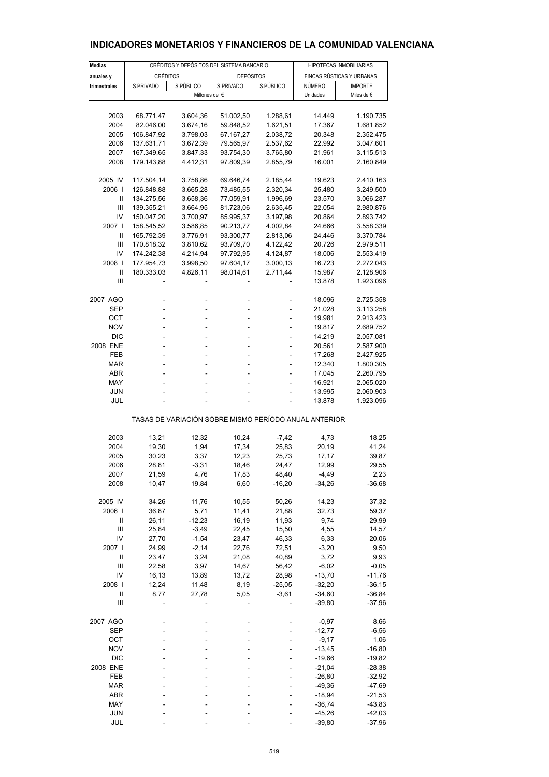| <b>Medias</b>                                         |                 |           | HIPOTECAS INMOBILIARIAS                   |           |                           |                |  |  |  |
|-------------------------------------------------------|-----------------|-----------|-------------------------------------------|-----------|---------------------------|----------------|--|--|--|
|                                                       |                 |           | CRÉDITOS Y DEPÓSITOS DEL SISTEMA BANCARIO |           |                           |                |  |  |  |
| anuales y                                             | <b>CRÉDITOS</b> |           | <b>DEPÓSITOS</b>                          |           | FINCAS RÚSTICAS Y URBANAS |                |  |  |  |
| trimestrales                                          | S.PRIVADO       | S.PÚBLICO | S.PRIVADO                                 | S.PÚBLICO | NÚMERO                    | <b>IMPORTE</b> |  |  |  |
|                                                       |                 |           | Millones de €                             |           | Unidades                  | Miles de €     |  |  |  |
|                                                       |                 |           |                                           |           |                           |                |  |  |  |
| 2003                                                  | 68.771,47       | 3.604,36  | 51.002,50                                 | 1.288,61  | 14.449                    | 1.190.735      |  |  |  |
| 2004                                                  | 82.046,00       | 3.674,16  | 59.848,52                                 | 1.621,51  | 17.367                    | 1.681.852      |  |  |  |
| 2005                                                  | 106.847,92      | 3.798,03  | 67.167,27                                 | 2.038,72  | 20.348                    | 2.352.475      |  |  |  |
| 2006                                                  | 137.631,71      | 3.672,39  | 79.565,97                                 | 2.537,62  | 22.992                    | 3.047.601      |  |  |  |
| 2007                                                  | 167.349,65      | 3.847,33  | 93.754,30                                 | 3.765,80  | 21.961                    | 3.115.513      |  |  |  |
|                                                       |                 |           |                                           |           |                           |                |  |  |  |
| 2008                                                  | 179.143,88      | 4.412,31  | 97.809,39                                 | 2.855,79  | 16.001                    | 2.160.849      |  |  |  |
|                                                       |                 |           |                                           |           |                           |                |  |  |  |
| 2005 IV                                               | 117.504,14      | 3.758,86  | 69.646,74                                 | 2.185,44  | 19.623                    | 2.410.163      |  |  |  |
| 2006                                                  | 126.848,88      | 3.665,28  | 73.485,55                                 | 2.320,34  | 25.480                    | 3.249.500      |  |  |  |
| $\mathbf{II}$                                         | 134.275,56      | 3.658,36  | 77.059,91                                 | 1.996,69  | 23.570                    | 3.066.287      |  |  |  |
| Ш                                                     | 139.355,21      | 3.664,95  | 81.723,06                                 | 2.635,45  | 22.054                    | 2.980.876      |  |  |  |
| IV                                                    | 150.047,20      | 3.700,97  | 85.995,37                                 | 3.197,98  | 20.864                    | 2.893.742      |  |  |  |
| 2007                                                  | 158.545,52      | 3.586,85  | 90.213,77                                 | 4.002,84  | 24.666                    | 3.558.339      |  |  |  |
| $\mathbf{II}$                                         | 165.792,39      | 3.776,91  | 93.300,77                                 | 2.813,06  | 24.446                    | 3.370.784      |  |  |  |
| Ш                                                     | 170.818,32      | 3.810,62  | 93.709,70                                 | 4.122,42  | 20.726                    | 2.979.511      |  |  |  |
| IV                                                    | 174.242,38      | 4.214,94  | 97.792,95                                 | 4.124,87  | 18.006                    | 2.553.419      |  |  |  |
| 2008                                                  | 177.954,73      | 3.998,50  | 97.604,17                                 | 3.000,13  | 16.723                    | 2.272.043      |  |  |  |
| $\mathbf{II}$                                         | 180.333,03      | 4.826,11  | 98.014,61                                 | 2.711,44  | 15.987                    | 2.128.906      |  |  |  |
| Ш                                                     |                 |           |                                           |           | 13.878                    | 1.923.096      |  |  |  |
|                                                       |                 |           |                                           |           |                           |                |  |  |  |
|                                                       |                 |           |                                           |           |                           |                |  |  |  |
| 2007 AGO                                              |                 |           |                                           |           | 18.096                    | 2.725.358      |  |  |  |
| SEP                                                   | ÷,              | -         | ÷                                         | ÷         | 21.028                    | 3.113.258      |  |  |  |
| OCT                                                   | ä,              |           |                                           |           | 19.981                    | 2.913.423      |  |  |  |
| <b>NOV</b>                                            |                 |           |                                           |           | 19.817                    | 2.689.752      |  |  |  |
| <b>DIC</b>                                            | L,              |           |                                           | ÷         | 14.219                    | 2.057.081      |  |  |  |
| 2008 ENE                                              | L,              |           |                                           | ä,        | 20.561                    | 2.587.900      |  |  |  |
| FEB                                                   |                 |           |                                           |           | 17.268                    | 2.427.925      |  |  |  |
| <b>MAR</b>                                            | ÷,              |           |                                           | ÷         | 12.340                    | 1.800.305      |  |  |  |
| <b>ABR</b>                                            | L,              |           |                                           |           | 17.045                    | 2.260.795      |  |  |  |
| MAY                                                   |                 |           |                                           |           | 16.921                    | 2.065.020      |  |  |  |
| <b>JUN</b>                                            |                 |           |                                           |           | 13.995                    | 2.060.903      |  |  |  |
| JUL                                                   |                 |           |                                           |           | 13.878                    | 1.923.096      |  |  |  |
|                                                       |                 |           |                                           |           |                           |                |  |  |  |
| TASAS DE VARIACIÓN SOBRE MISMO PERÍODO ANUAL ANTERIOR |                 |           |                                           |           |                           |                |  |  |  |
|                                                       |                 |           |                                           |           |                           |                |  |  |  |
| 2003                                                  | 13,21           | 12,32     | 10,24                                     | $-7,42$   | 4,73                      | 18,25          |  |  |  |
| 2004                                                  | 19,30           | 1,94      | 17,34                                     | 25,83     | 20,19                     | 41,24          |  |  |  |
| 2005                                                  | 30,23           | 3,37      | 12,23                                     | 25,73     | 17,17                     | 39,87          |  |  |  |
| 2006                                                  | 28,81           | $-3,31$   | 18,46                                     | 24,47     | 12,99                     | 29,55          |  |  |  |
| 2007                                                  | 21,59           | 4,76      | 17,83                                     | 48,40     | $-4,49$                   | 2,23           |  |  |  |
| 2008                                                  | 10,47           | 19,84     | 6,60                                      | $-16,20$  | $-34,26$                  | $-36,68$       |  |  |  |
|                                                       |                 |           |                                           |           |                           |                |  |  |  |
| 2005 IV                                               | 34,26           | 11,76     | 10,55                                     | 50,26     | 14,23                     | 37,32          |  |  |  |
| 2006                                                  | 36,87           | 5,71      | 11,41                                     | 21,88     | 32,73                     | 59,37          |  |  |  |
| Ш                                                     | 26,11           | $-12,23$  | 16,19                                     | 11,93     | 9,74                      | 29,99          |  |  |  |
| $\mathbf{III}$                                        | 25,84           | $-3,49$   | 22,45                                     | 15,50     | 4,55                      | 14,57          |  |  |  |
| IV                                                    | 27,70           | $-1,54$   | 23,47                                     | 46,33     | 6,33                      | 20,06          |  |  |  |
| 2007                                                  | 24,99           | $-2,14$   | 22,76                                     | 72,51     | $-3,20$                   | 9,50           |  |  |  |
| Ш                                                     | 23,47           | 3,24      | 21,08                                     | 40,89     | 3,72                      | 9,93           |  |  |  |
| $\mathbf{III}$                                        |                 |           |                                           |           |                           |                |  |  |  |
|                                                       | 22,58           | 3,97      | 14,67                                     | 56,42     | $-6,02$                   | $-0,05$        |  |  |  |
| IV                                                    | 16,13           | 13,89     | 13,72                                     | 28,98     | $-13,70$                  | $-11,76$       |  |  |  |
| 2008                                                  | 12,24           | 11,48     | 8,19                                      | $-25,05$  | $-32,20$                  | $-36, 15$      |  |  |  |
| Ш                                                     | 8,77            | 27,78     | 5,05                                      | $-3,61$   | $-34,60$                  | $-36,84$       |  |  |  |
| $\mathbf{III}$                                        |                 |           |                                           |           | $-39,80$                  | $-37,96$       |  |  |  |
| 2007 AGO                                              |                 |           |                                           |           | $-0,97$                   | 8,66           |  |  |  |
| <b>SEP</b>                                            |                 |           |                                           |           | $-12,77$                  | $-6,56$        |  |  |  |
| OCT                                                   |                 |           |                                           |           | $-9,17$                   | 1,06           |  |  |  |
|                                                       |                 |           |                                           |           |                           |                |  |  |  |
| <b>NOV</b>                                            |                 |           |                                           |           | $-13,45$                  | $-16,80$       |  |  |  |
| <b>DIC</b>                                            |                 |           |                                           |           | $-19,66$                  | $-19,82$       |  |  |  |
| 2008 ENE                                              |                 |           |                                           |           | $-21,04$                  | $-28,38$       |  |  |  |
| FEB                                                   |                 |           |                                           |           | $-26,80$                  | $-32,92$       |  |  |  |
| <b>MAR</b>                                            |                 |           |                                           |           | $-49,36$                  | $-47,69$       |  |  |  |
| ABR                                                   |                 |           |                                           |           | $-18,94$                  | $-21,53$       |  |  |  |
| MAY                                                   |                 |           |                                           |           | $-36,74$                  | $-43,83$       |  |  |  |
| JUN                                                   |                 |           |                                           |           | $-45,26$                  | $-42,03$       |  |  |  |
| JUL                                                   |                 |           |                                           |           | $-39,80$                  | $-37,96$       |  |  |  |

# **INDICADORES MONETARIOS Y FINANCIEROS DE LA COMUNIDAD VALENCIANA**